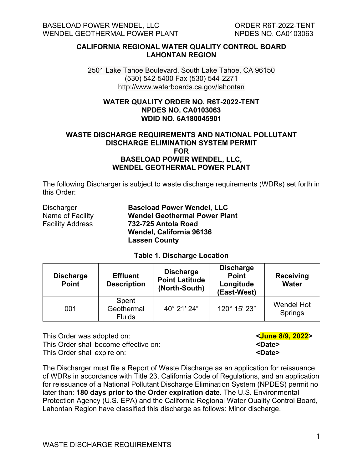**CALIFORNIA REGIONAL WATER QUALITY CONTROL BOARD LAHONTAN REGION**

2501 Lake Tahoe Boulevard, South Lake Tahoe, CA 96150 (530) 542-5400 Fax (530) 544-2271 http://www.waterboards.ca.gov/lahontan

#### **WATER QUALITY ORDER NO. R6T-2022-TENT NPDES NO. CA0103063 WDID NO. 6A180045901**

#### **WASTE DISCHARGE REQUIREMENTS AND NATIONAL POLLUTANT DISCHARGE ELIMINATION SYSTEM PERMIT FOR BASELOAD POWER WENDEL, LLC, WENDEL GEOTHERMAL POWER PLANT**

The following Discharger is subject to waste discharge requirements (WDRs) set forth in this Order:

| Discharger              | <b>Baseload Power Wendel, LLC</b>    |
|-------------------------|--------------------------------------|
| Name of Facility        | <b>Wendel Geothermal Power Plant</b> |
| <b>Facility Address</b> | 732-725 Antola Road                  |
|                         | Wendel, California 96136             |
|                         | <b>Lassen County</b>                 |

#### **Table 1. Discharge Location**

<span id="page-0-1"></span>

| <b>Discharge</b><br><b>Point</b> | <b>Effluent</b><br><b>Description</b> | <b>Discharge</b><br><b>Point Latitude</b><br>(North-South) | <b>Discharge</b><br><b>Point</b><br>Longitude<br>(East-West) | <b>Receiving</b><br><b>Water</b> |
|----------------------------------|---------------------------------------|------------------------------------------------------------|--------------------------------------------------------------|----------------------------------|
| 001                              | Spent<br>Geothermal<br><b>Fluids</b>  | 40° 21' 24"                                                | 120° 15' 23"                                                 | <b>Wendel Hot</b><br>Springs     |

This Order was adopted on: **[<June 8/9, 2022>](#page-0-0)** This Order shall become effective on: This Order shall expire on: **We are all the Solution School** experiences and the state state of  $\sim$ 

The Discharger must file a Report of Waste Discharge as an application for reissuance of WDRs in accordance with Title 23, California Code of Regulations, and an application for reissuance of a National Pollutant Discharge Elimination System (NPDES) permit no later than: **180 days prior to the Order expiration date.** The U.S. Environmental Protection Agency (U.S. EPA) and the California Regional Water Quality Control Board, Lahontan Region have classified this discharge as follows: Minor discharge.

<span id="page-0-0"></span>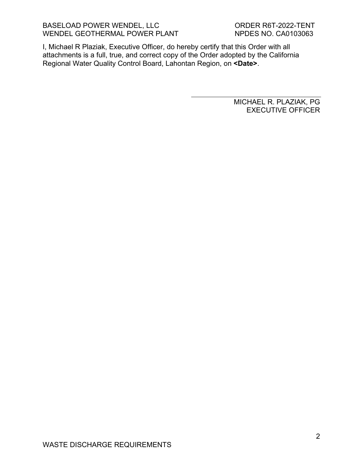I, Michael R Plaziak, Executive Officer, do hereby certify that this Order with all attachments is a full, true, and correct copy of the Order adopted by the California Regional Water Quality Control Board, Lahontan Region, on **<Date>**.

> MICHAEL R. PLAZIAK, PG EXECUTIVE OFFICER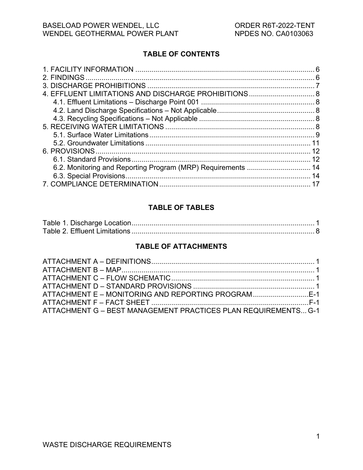## **TABLE OF CONTENTS**

|                                                              | 6  |
|--------------------------------------------------------------|----|
|                                                              |    |
|                                                              |    |
|                                                              |    |
|                                                              |    |
|                                                              |    |
|                                                              |    |
|                                                              |    |
|                                                              |    |
|                                                              |    |
|                                                              | 12 |
|                                                              |    |
| 6.2. Monitoring and Reporting Program (MRP) Requirements  14 |    |
|                                                              |    |
|                                                              |    |

#### **TABLE OF TABLES**

## **TABLE OF ATTACHMENTS**

| ATTACHMENT E – MONITORING AND REPORTING PROGRAM E-1            |  |
|----------------------------------------------------------------|--|
|                                                                |  |
| ATTACHMENT G - BEST MANAGEMENT PRACTICES PLAN REQUIREMENTS G-1 |  |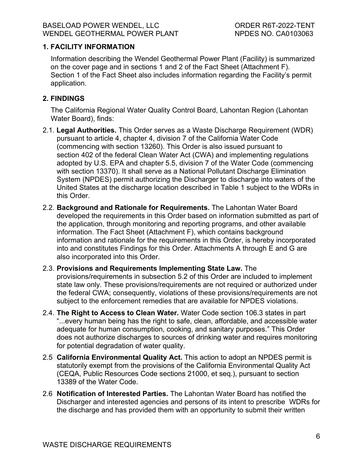#### <span id="page-3-0"></span>**1. FACILITY INFORMATION**

Information describing the Wendel Geothermal Power Plant (Facility) is summarized on the cover page and in sections 1 and 2 of the Fact Sheet (Attachment F). Section 1 of the Fact Sheet also includes information regarding the Facility's permit application.

## <span id="page-3-1"></span>**2. FINDINGS**

The California Regional Water Quality Control Board, Lahontan Region (Lahontan Water Board), finds:

- 2.1. **Legal Authorities.** This Order serves as a Waste Discharge Requirement (WDR) pursuant to article 4, chapter 4, division 7 of the California Water Code (commencing with section 13260). This Order is also issued pursuant to section 402 of the federal Clean Water Act (CWA) and implementing regulations adopted by U.S. EPA and chapter 5.5, division 7 of the Water Code (commencing with section 13370). It shall serve as a National Pollutant Discharge Elimination System (NPDES) permit authorizing the Discharger to discharge into waters of the United States at the discharge location described in Table 1 subject to the WDRs in this Order.
- 2.2. **Background and Rationale for Requirements.** The Lahontan Water Board developed the requirements in this Order based on information submitted as part of the application, through monitoring and reporting programs, and other available information. The Fact Sheet (Attachment F), which contains background information and rationale for the requirements in this Order, is hereby incorporated into and constitutes Findings for this Order. Attachments A through E and G are also incorporated into this Order.

# 2.3. **Provisions and Requirements Implementing State Law.** The

provisions/requirements in subsection 5.2 of this Order are included to implement state law only. These provisions/requirements are not required or authorized under the federal CWA; consequently, violations of these provisions/requirements are not subject to the enforcement remedies that are available for NPDES violations.

- 2.4. **The Right to Access to Clean Water.** Water Code section 106.3 states in part "...every human being has the right to safe, clean, affordable, and accessible water adequate for human consumption, cooking, and sanitary purposes." This Order does not authorize discharges to sources of drinking water and requires monitoring for potential degradation of water quality.
- 2.5 **California Environmental Quality Act.** This action to adopt an NPDES permit is statutorily exempt from the provisions of the California Environmental Quality Act (CEQA, Public Resources Code sections 21000, et seq.), pursuant to section 13389 of the Water Code.
- 2.6 **Notification of Interested Parties.** The Lahontan Water Board has notified the Discharger and interested agencies and persons of its intent to prescribe WDRs for the discharge and has provided them with an opportunity to submit their written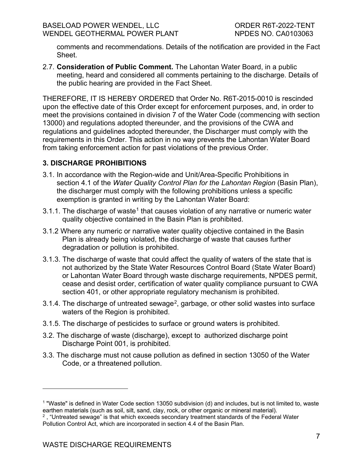comments and recommendations. Details of the notification are provided in the Fact Sheet.

2.7. **Consideration of Public Comment.** The Lahontan Water Board, in a public meeting, heard and considered all comments pertaining to the discharge. Details of the public hearing are provided in the Fact Sheet.

THEREFORE, IT IS HEREBY ORDERED that Order No. R6T-2015-0010 is rescinded upon the effective date of this Order except for enforcement purposes, and, in order to meet the provisions contained in division 7 of the Water Code (commencing with section 13000) and regulations adopted thereunder, and the provisions of the CWA and regulations and guidelines adopted thereunder, the Discharger must comply with the requirements in this Order. This action in no way prevents the Lahontan Water Board from taking enforcement action for past violations of the previous Order.

## <span id="page-4-0"></span>**3. DISCHARGE PROHIBITIONS**

- 3.1. In accordance with the Region-wide and Unit/Area-Specific Prohibitions in section 4.1 of the *Water Quality Control Plan for the Lahontan Region* (Basin Plan), the discharger must comply with the following prohibitions unless a specific exemption is granted in writing by the Lahontan Water Board:
- 3.[1](#page-4-1).1. The discharge of waste<sup>1</sup> that causes violation of any narrative or numeric water quality objective contained in the Basin Plan is prohibited.
- 3.1.2 Where any numeric or narrative water quality objective contained in the Basin Plan is already being violated, the discharge of waste that causes further degradation or pollution is prohibited.
- 3.1.3. The discharge of waste that could affect the quality of waters of the state that is not authorized by the State Water Resources Control Board (State Water Board) or Lahontan Water Board through waste discharge requirements, NPDES permit, cease and desist order, certification of water quality compliance pursuant to CWA section 401, or other appropriate regulatory mechanism is prohibited.
- 3.1.4. The discharge of untreated sewage<sup>[2](#page-4-2)</sup>, garbage, or other solid wastes into surface waters of the Region is prohibited.
- 3.1.5. The discharge of pesticides to surface or ground waters is prohibited.
- 3.2. The discharge of waste (discharge), except to authorized discharge point Discharge Point 001, is prohibited.
- 3.3. The discharge must not cause pollution as defined in section 13050 of the Water Code, or a threatened pollution.

<span id="page-4-1"></span><sup>1</sup> "Waste" is defined in Water Code section 13050 subdivision (d) and includes, but is not limited to, waste earthen materials (such as soil, silt, sand, clay, rock, or other organic or mineral material).

<span id="page-4-2"></span> $^{\text{2}}$  , "Untreated sewage" is that which exceeds secondary treatment standards of the Federal Water Pollution Control Act, which are incorporated in section 4.4 of the Basin Plan.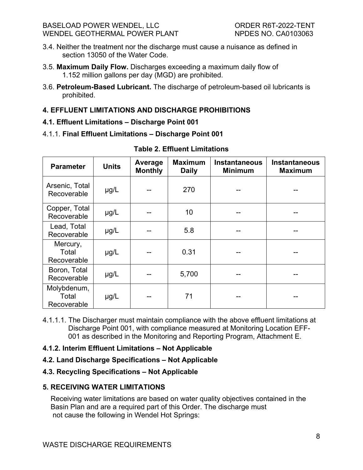- 3.4. Neither the treatment nor the discharge must cause a nuisance as defined in section 13050 of the Water Code.
- 3.5. **Maximum Daily Flow.** Discharges exceeding a maximum daily flow of 1.152 million gallons per day (MGD) are prohibited.
- 3.6. **Petroleum-Based Lubricant.** The discharge of petroleum-based oil lubricants is prohibited.

## <span id="page-5-0"></span>**4. EFFLUENT LIMITATIONS AND DISCHARGE PROHIBITIONS**

- <span id="page-5-1"></span>**4.1. Effluent Limitations – Discharge Point 001**
- <span id="page-5-5"></span>4.1.1. **Final Effluent Limitations – Discharge Point 001**

| <b>Parameter</b>                    | <b>Units</b> | Average<br><b>Monthly</b> | <b>Maximum</b><br><b>Daily</b> | <b>Instantaneous</b><br><b>Minimum</b> | <b>Instantaneous</b><br><b>Maximum</b> |
|-------------------------------------|--------------|---------------------------|--------------------------------|----------------------------------------|----------------------------------------|
| Arsenic, Total<br>Recoverable       | $\mu g/L$    |                           | 270                            |                                        |                                        |
| Copper, Total<br>Recoverable        | $\mu g/L$    |                           | 10                             |                                        |                                        |
| Lead, Total<br>Recoverable          | $\mu g/L$    |                           | 5.8                            |                                        |                                        |
| Mercury,<br>Total<br>Recoverable    | $\mu$ g/L    | --                        | 0.31                           |                                        |                                        |
| Boron, Total<br>Recoverable         | $\mu g/L$    |                           | 5,700                          |                                        |                                        |
| Molybdenum,<br>Total<br>Recoverable | $\mu$ g/L    |                           | 71                             |                                        |                                        |

**Table 2. Effluent Limitations**

4.1.1.1. The Discharger must maintain compliance with the above effluent limitations at Discharge Point 001, with compliance measured at Monitoring Location EFF-001 as described in the Monitoring and Reporting Program, Attachment E.

## **4.1.2. Interim Effluent Limitations – Not Applicable**

<span id="page-5-2"></span>**4.2. Land Discharge Specifications – Not Applicable**

## <span id="page-5-3"></span>**4.3. Recycling Specifications – Not Applicable**

## <span id="page-5-4"></span>**5. RECEIVING WATER LIMITATIONS**

Receiving water limitations are based on water quality objectives contained in the Basin Plan and are a required part of this Order. The discharge must not cause the following in Wendel Hot Springs: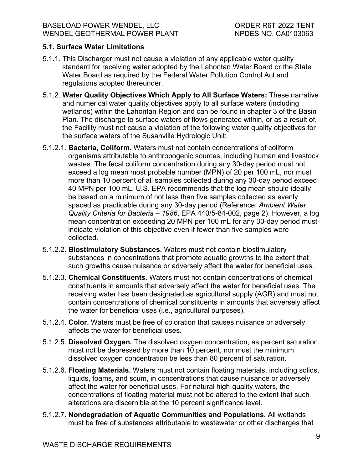### <span id="page-6-0"></span>**5.1. Surface Water Limitations**

- 5.1.1. This Discharger must not cause a violation of any applicable water quality standard for receiving water adopted by the Lahontan Water Board or the State Water Board as required by the Federal Water Pollution Control Act and regulations adopted thereunder.
- 5.1.2. **Water Quality Objectives Which Apply to All Surface Waters:** These narrative and numerical water quality objectives apply to all surface waters (including wetlands) within the Lahontan Region and can be found in chapter 3 of the Basin Plan. The discharge to surface waters of flows generated within, or as a result of, the Facility must not cause a violation of the following water quality objectives for the surface waters of the Susanville Hydrologic Unit:
- 5.1.2.1. **Bacteria, Coliform.** Waters must not contain concentrations of coliform organisms attributable to anthropogenic sources, including human and livestock wastes. The fecal coliform concentration during any 30-day period must not exceed a log mean most probable number (MPN) of 20 per 100 mL, nor must more than 10 percent of all samples collected during any 30-day period exceed 40 MPN per 100 mL. U.S. EPA recommends that the log mean should ideally be based on a minimum of not less than five samples collected as evenly spaced as practicable during any 30-day period (Reference: *Ambient Water Quality Criteria for Bacteria – 1986*, EPA 440/5-84-002, page 2). However, a log mean concentration exceeding 20 MPN per 100 mL for any 30-day period must indicate violation of this objective even if fewer than five samples were collected.
- 5.1.2.2. **Biostimulatory Substances.** Waters must not contain biostimulatory substances in concentrations that promote aquatic growths to the extent that such growths cause nuisance or adversely affect the water for beneficial uses.
- 5.1.2.3. **Chemical Constituents.** Waters must not contain concentrations of chemical constituents in amounts that adversely affect the water for beneficial uses. The receiving water has been designated as agricultural supply (AGR) and must not contain concentrations of chemical constituents in amounts that adversely affect the water for beneficial uses (i.e., agricultural purposes).
- 5.1.2.4. **Color.** Waters must be free of coloration that causes nuisance or adversely affects the water for beneficial uses.
- 5.1.2.5. **Dissolved Oxygen.** The dissolved oxygen concentration, as percent saturation, must not be depressed by more than 10 percent, nor must the minimum dissolved oxygen concentration be less than 80 percent of saturation.
- 5.1.2.6. **Floating Materials.** Waters must not contain floating materials, including solids, liquids, foams, and scum, in concentrations that cause nuisance or adversely affect the water for beneficial uses. For natural high-quality waters, the concentrations of floating material must not be altered to the extent that such alterations are discernible at the 10 percent significance level.
- 5.1.2.7. **Nondegradation of Aquatic Communities and Populations.** All wetlands must be free of substances attributable to wastewater or other discharges that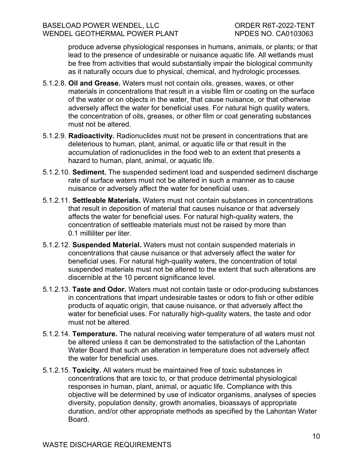produce adverse physiological responses in humans, animals, or plants; or that lead to the presence of undesirable or nuisance aquatic life. All wetlands must be free from activities that would substantially impair the biological community as it naturally occurs due to physical, chemical, and hydrologic processes.

- 5.1.2.8. **Oil and Grease.** Waters must not contain oils, greases, waxes, or other materials in concentrations that result in a visible film or coating on the surface of the water or on objects in the water, that cause nuisance, or that otherwise adversely affect the water for beneficial uses. For natural high quality waters, the concentration of oils, greases, or other film or coat generating substances must not be altered.
- 5.1.2.9. **Radioactivity.** Radionuclides must not be present in concentrations that are deleterious to human, plant, animal, or aquatic life or that result in the accumulation of radionuclides in the food web to an extent that presents a hazard to human, plant, animal, or aquatic life.
- 5.1.2.10. **Sediment.** The suspended sediment load and suspended sediment discharge rate of surface waters must not be altered in such a manner as to cause nuisance or adversely affect the water for beneficial uses.
- 5.1.2.11. **Settleable Materials.** Waters must not contain substances in concentrations that result in deposition of material that causes nuisance or that adversely affects the water for beneficial uses. For natural high-quality waters, the concentration of settleable materials must not be raised by more than 0.1 milliliter per liter.
- 5.1.2.12. **Suspended Material.** Waters must not contain suspended materials in concentrations that cause nuisance or that adversely affect the water for beneficial uses. For natural high-quality waters, the concentration of total suspended materials must not be altered to the extent that such alterations are discernible at the 10 percent significance level.
- 5.1.2.13. **Taste and Odor.** Waters must not contain taste or odor-producing substances in concentrations that impart undesirable tastes or odors to fish or other edible products of aquatic origin, that cause nuisance, or that adversely affect the water for beneficial uses. For naturally high-quality waters, the taste and odor must not be altered.
- 5.1.2.14. **Temperature.** The natural receiving water temperature of all waters must not be altered unless it can be demonstrated to the satisfaction of the Lahontan Water Board that such an alteration in temperature does not adversely affect the water for beneficial uses.
- 5.1.2.15. **Toxicity.** All waters must be maintained free of toxic substances in concentrations that are toxic to, or that produce detrimental physiological responses in human, plant, animal, or aquatic life. Compliance with this objective will be determined by use of indicator organisms, analyses of species diversity, population density, growth anomalies, bioassays of appropriate duration, and/or other appropriate methods as specified by the Lahontan Water Board.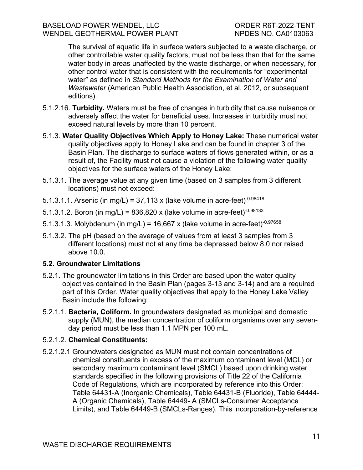The survival of aquatic life in surface waters subjected to a waste discharge, or other controllable water quality factors, must not be less than that for the same water body in areas unaffected by the waste discharge, or when necessary, for other control water that is consistent with the requirements for "experimental water" as defined in *Standard Methods for the Examination of Water and Wastewater* (American Public Health Association, et al. 2012, or subsequent editions).

- 5.1.2.16. **Turbidity.** Waters must be free of changes in turbidity that cause nuisance or adversely affect the water for beneficial uses. Increases in turbidity must not exceed natural levels by more than 10 percent.
- 5.1.3. **Water Quality Objectives Which Apply to Honey Lake:** These numerical water quality objectives apply to Honey Lake and can be found in chapter 3 of the Basin Plan. The discharge to surface waters of flows generated within, or as a result of, the Facility must not cause a violation of the following water quality objectives for the surface waters of the Honey Lake:
- 5.1.3.1. The average value at any given time (based on 3 samples from 3 different locations) must not exceed:
- 5.1.3.1.1. Arsenic (in mg/L) = 37,113 x (lake volume in acre-feet) $-0.98418$
- 5.1.3.1.2. Boron (in mg/L) = 836,820 x (lake volume in acre-feet) $0.98133$
- 5.1.3.1.3. Molybdenum (in mg/L) = 16,667 x (lake volume in acre-feet) $0.97658$
- 5.1.3.2. The pH (based on the average of values from at least 3 samples from 3 different locations) must not at any time be depressed below 8.0 nor raised above 10.0.

#### <span id="page-8-0"></span>**5.2. Groundwater Limitations**

- 5.2.1. The groundwater limitations in this Order are based upon the water quality objectives contained in the Basin Plan (pages 3-13 and 3-14) and are a required part of this Order. Water quality objectives that apply to the Honey Lake Valley Basin include the following:
- 5.2.1.1. **Bacteria, Coliform.** In groundwaters designated as municipal and domestic supply (MUN), the median concentration of coliform organisms over any sevenday period must be less than 1.1 MPN per 100 mL.

#### 5.2.1.2. **Chemical Constituents:**

5.2.1.2.1 Groundwaters designated as MUN must not contain concentrations of chemical constituents in excess of the maximum contaminant level (MCL) or secondary maximum contaminant level (SMCL) based upon drinking water standards specified in the following provisions of Title 22 of the California Code of Regulations, which are incorporated by reference into this Order: Table 64431-A (Inorganic Chemicals), Table 64431-B (Fluoride), Table 64444- A (Organic Chemicals), Table 64449- A (SMCLs-Consumer Acceptance Limits), and Table 64449-B (SMCLs-Ranges). This incorporation-by-reference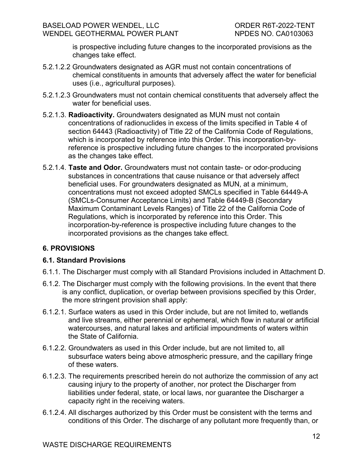is prospective including future changes to the incorporated provisions as the changes take effect.

- 5.2.1.2.2 Groundwaters designated as AGR must not contain concentrations of chemical constituents in amounts that adversely affect the water for beneficial uses (i.e., agricultural purposes).
- 5.2.1.2.3 Groundwaters must not contain chemical constituents that adversely affect the water for beneficial uses.
- 5.2.1.3. **Radioactivity.** Groundwaters designated as MUN must not contain concentrations of radionuclides in excess of the limits specified in Table 4 of section 64443 (Radioactivity) of Title 22 of the California Code of Regulations, which is incorporated by reference into this Order. This incorporation-byreference is prospective including future changes to the incorporated provisions as the changes take effect.
- 5.2.1.4. **Taste and Odor.** Groundwaters must not contain taste- or odor-producing substances in concentrations that cause nuisance or that adversely affect beneficial uses. For groundwaters designated as MUN, at a minimum, concentrations must not exceed adopted SMCLs specified in Table 64449-A (SMCLs-Consumer Acceptance Limits) and Table 64449-B (Secondary Maximum Contaminant Levels Ranges) of Title 22 of the California Code of Regulations, which is incorporated by reference into this Order. This incorporation-by-reference is prospective including future changes to the incorporated provisions as the changes take effect.

## <span id="page-9-0"></span>**6. PROVISIONS**

#### <span id="page-9-1"></span>**6.1. Standard Provisions**

- 6.1.1. The Discharger must comply with all Standard Provisions included in Attachment D.
- 6.1.2. The Discharger must comply with the following provisions. In the event that there is any conflict, duplication, or overlap between provisions specified by this Order, the more stringent provision shall apply:
- 6.1.2.1. Surface waters as used in this Order include, but are not limited to, wetlands and live streams, either perennial or ephemeral, which flow in natural or artificial watercourses, and natural lakes and artificial impoundments of waters within the State of California.
- 6.1.2.2. Groundwaters as used in this Order include, but are not limited to, all subsurface waters being above atmospheric pressure, and the capillary fringe of these waters.
- 6.1.2.3. The requirements prescribed herein do not authorize the commission of any act causing injury to the property of another, nor protect the Discharger from liabilities under federal, state, or local laws, nor guarantee the Discharger a capacity right in the receiving waters.
- 6.1.2.4. All discharges authorized by this Order must be consistent with the terms and conditions of this Order. The discharge of any pollutant more frequently than, or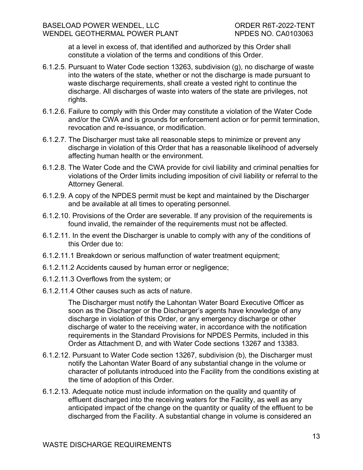at a level in excess of, that identified and authorized by this Order shall constitute a violation of the terms and conditions of this Order.

- 6.1.2.5. Pursuant to Water Code section 13263, subdivision (g), no discharge of waste into the waters of the state, whether or not the discharge is made pursuant to waste discharge requirements, shall create a vested right to continue the discharge. All discharges of waste into waters of the state are privileges, not rights.
- 6.1.2.6. Failure to comply with this Order may constitute a violation of the Water Code and/or the CWA and is grounds for enforcement action or for permit termination, revocation and re-issuance, or modification.
- 6.1.2.7. The Discharger must take all reasonable steps to minimize or prevent any discharge in violation of this Order that has a reasonable likelihood of adversely affecting human health or the environment.
- 6.1.2.8. The Water Code and the CWA provide for civil liability and criminal penalties for violations of the Order limits including imposition of civil liability or referral to the Attorney General.
- 6.1.2.9. A copy of the NPDES permit must be kept and maintained by the Discharger and be available at all times to operating personnel.
- 6.1.2.10. Provisions of the Order are severable. If any provision of the requirements is found invalid, the remainder of the requirements must not be affected.
- 6.1.2.11. In the event the Discharger is unable to comply with any of the conditions of this Order due to:
- 6.1.2.11.1 Breakdown or serious malfunction of water treatment equipment;
- 6.1.2.11.2 Accidents caused by human error or negligence;
- 6.1.2.11.3 Overflows from the system; or
- 6.1.2.11.4 Other causes such as acts of nature.

The Discharger must notify the Lahontan Water Board Executive Officer as soon as the Discharger or the Discharger's agents have knowledge of any discharge in violation of this Order, or any emergency discharge or other discharge of water to the receiving water, in accordance with the notification requirements in the Standard Provisions for NPDES Permits, included in this Order as Attachment D, and with Water Code sections 13267 and 13383.

- 6.1.2.12. Pursuant to Water Code section 13267, subdivision (b), the Discharger must notify the Lahontan Water Board of any substantial change in the volume or character of pollutants introduced into the Facility from the conditions existing at the time of adoption of this Order.
- 6.1.2.13. Adequate notice must include information on the quality and quantity of effluent discharged into the receiving waters for the Facility, as well as any anticipated impact of the change on the quantity or quality of the effluent to be discharged from the Facility. A substantial change in volume is considered an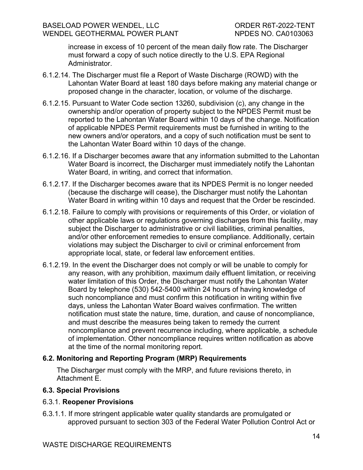increase in excess of 10 percent of the mean daily flow rate. The Discharger must forward a copy of such notice directly to the U.S. EPA Regional Administrator.

- 6.1.2.14. The Discharger must file a Report of Waste Discharge (ROWD) with the Lahontan Water Board at least 180 days before making any material change or proposed change in the character, location, or volume of the discharge.
- 6.1.2.15. Pursuant to Water Code section 13260, subdivision (c), any change in the ownership and/or operation of property subject to the NPDES Permit must be reported to the Lahontan Water Board within 10 days of the change. Notification of applicable NPDES Permit requirements must be furnished in writing to the new owners and/or operators, and a copy of such notification must be sent to the Lahontan Water Board within 10 days of the change.
- 6.1.2.16. If a Discharger becomes aware that any information submitted to the Lahontan Water Board is incorrect, the Discharger must immediately notify the Lahontan Water Board, in writing, and correct that information.
- 6.1.2.17. If the Discharger becomes aware that its NPDES Permit is no longer needed (because the discharge will cease), the Discharger must notify the Lahontan Water Board in writing within 10 days and request that the Order be rescinded.
- 6.1.2.18. Failure to comply with provisions or requirements of this Order, or violation of other applicable laws or regulations governing discharges from this facility, may subject the Discharger to administrative or civil liabilities, criminal penalties, and/or other enforcement remedies to ensure compliance. Additionally, certain violations may subject the Discharger to civil or criminal enforcement from appropriate local, state, or federal law enforcement entities.
- 6.1.2.19. In the event the Discharger does not comply or will be unable to comply for any reason, with any prohibition, maximum daily effluent limitation, or receiving water limitation of this Order, the Discharger must notify the Lahontan Water Board by telephone (530) 542-5400 within 24 hours of having knowledge of such noncompliance and must confirm this notification in writing within five days, unless the Lahontan Water Board waives confirmation. The written notification must state the nature, time, duration, and cause of noncompliance, and must describe the measures being taken to remedy the current noncompliance and prevent recurrence including, where applicable, a schedule of implementation. Other noncompliance requires written notification as above at the time of the normal monitoring report.

## <span id="page-11-0"></span>**6.2. Monitoring and Reporting Program (MRP) Requirements**

The Discharger must comply with the MRP, and future revisions thereto, in Attachment E.

## <span id="page-11-1"></span>**6.3. Special Provisions**

## 6.3.1. **Reopener Provisions**

6.3.1.1. If more stringent applicable water quality standards are promulgated or approved pursuant to section 303 of the Federal Water Pollution Control Act or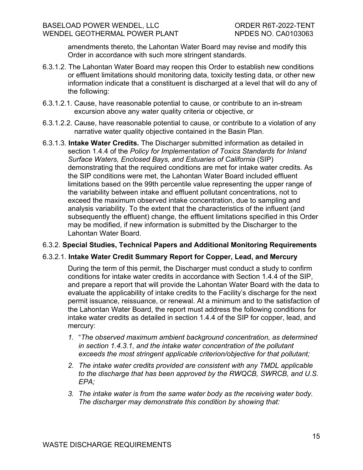amendments thereto, the Lahontan Water Board may revise and modify this Order in accordance with such more stringent standards.

- 6.3.1.2. The Lahontan Water Board may reopen this Order to establish new conditions or effluent limitations should monitoring data, toxicity testing data, or other new information indicate that a constituent is discharged at a level that will do any of the following:
- 6.3.1.2.1. Cause, have reasonable potential to cause, or contribute to an in-stream excursion above any water quality criteria or objective, or
- 6.3.1.2.2. Cause, have reasonable potential to cause, or contribute to a violation of any narrative water quality objective contained in the Basin Plan.
- 6.3.1.3. **Intake Water Credits.** The Discharger submitted information as detailed in section 1.4.4 of the *Policy for Implementation of Toxics Standards for Inland Surface Waters, Enclosed Bays, and Estuaries of California* (SIP) demonstrating that the required conditions are met for intake water credits. As the SIP conditions were met, the Lahontan Water Board included effluent limitations based on the 99th percentile value representing the upper range of the variability between intake and effluent pollutant concentrations, not to exceed the maximum observed intake concentration, due to sampling and analysis variability. To the extent that the characteristics of the influent (and subsequently the effluent) change, the effluent limitations specified in this Order may be modified, if new information is submitted by the Discharger to the Lahontan Water Board.

#### 6.3.2. **Special Studies, Technical Papers and Additional Monitoring Requirements**

## 6.3.2.1. **Intake Water Credit Summary Report for Copper, Lead, and Mercury**

During the term of this permit, the Discharger must conduct a study to confirm conditions for intake water credits in accordance with Section 1.4.4 of the SIP, and prepare a report that will provide the Lahontan Water Board with the data to evaluate the applicability of intake credits to the Facility's discharge for the next permit issuance, reissuance, or renewal. At a minimum and to the satisfaction of the Lahontan Water Board, the report must address the following conditions for intake water credits as detailed in section 1.4.4 of the SIP for copper, lead, and mercury:

- *1.* "*The observed maximum ambient background concentration, as determined in section 1.4.3.1, and the intake water concentration of the pollutant exceeds the most stringent applicable criterion/objective for that pollutant;*
- *2. The intake water credits provided are consistent with any TMDL applicable to the discharge that has been approved by the RWQCB, SWRCB, and U.S. EPA;*
- *3. The intake water is from the same water body as the receiving water body. The discharger may demonstrate this condition by showing that:*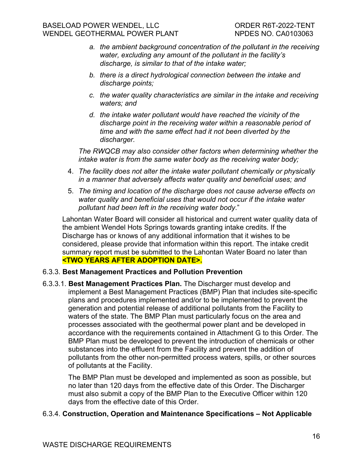- *a. the ambient background concentration of the pollutant in the receiving water, excluding any amount of the pollutant in the facility's discharge, is similar to that of the intake water;*
- *b. there is a direct hydrological connection between the intake and discharge points;*
- *c. the water quality characteristics are similar in the intake and receiving waters; and*
- *d. the intake water pollutant would have reached the vicinity of the discharge point in the receiving water within a reasonable period of time and with the same effect had it not been diverted by the discharger.*

*The RWQCB may also consider other factors when determining whether the intake water is from the same water body as the receiving water body;*

- 4. *The facility does not alter the intake water pollutant chemically or physically in a manner that adversely affects water quality and beneficial uses; and*
- 5. *The timing and location of the discharge does not cause adverse effects on water quality and beneficial uses that would not occur if the intake water pollutant had been left in the receiving water body*."

Lahontan Water Board will consider all historical and current water quality data of the ambient Wendel Hots Springs towards granting intake credits. If the Discharge has or knows of any additional information that it wishes to be considered, please provide that information within this report. The intake credit summary report must be submitted to the Lahontan Water Board no later than **<TWO YEARS AFTER ADOPTION DATE>.**

## 6.3.3. **Best Management Practices and Pollution Prevention**

6.3.3.1. **Best Management Practices Plan.** The Discharger must develop and implement a Best Management Practices (BMP) Plan that includes site-specific plans and procedures implemented and/or to be implemented to prevent the generation and potential release of additional pollutants from the Facility to waters of the state. The BMP Plan must particularly focus on the area and processes associated with the geothermal power plant and be developed in accordance with the requirements contained in Attachment G to this Order. The BMP Plan must be developed to prevent the introduction of chemicals or other substances into the effluent from the Facility and prevent the addition of pollutants from the other non-permitted process waters, spills, or other sources of pollutants at the Facility.

The BMP Plan must be developed and implemented as soon as possible, but no later than 120 days from the effective date of this Order. The Discharger must also submit a copy of the BMP Plan to the Executive Officer within 120 days from the effective date of this Order.

## 6.3.4. **Construction, Operation and Maintenance Specifications – Not Applicable**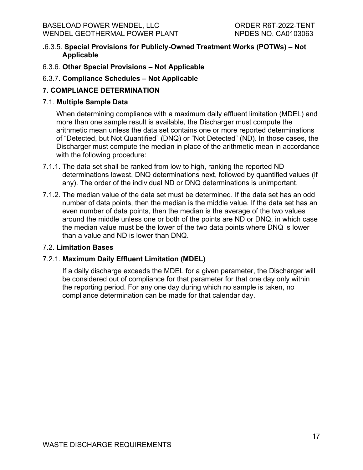#### BASELOAD POWER WENDEL, LLC ORDER R6T-2022-TENT WENDEL GEOTHERMAL POWER PLANT NPDES NO. CA0103063

- **.**6.3.5. **Special Provisions for Publicly-Owned Treatment Works (POTWs) – Not Applicable**
- 6.3.6. **Other Special Provisions – Not Applicable**
- 6.3.7. **Compliance Schedules – Not Applicable**

## <span id="page-14-0"></span>**7. COMPLIANCE DETERMINATION**

## 7.1. **Multiple Sample Data**

When determining compliance with a maximum daily effluent limitation (MDEL) and more than one sample result is available, the Discharger must compute the arithmetic mean unless the data set contains one or more reported determinations of "Detected, but Not Quantified" (DNQ) or "Not Detected" (ND). In those cases, the Discharger must compute the median in place of the arithmetic mean in accordance with the following procedure:

- 7.1.1. The data set shall be ranked from low to high, ranking the reported ND determinations lowest, DNQ determinations next, followed by quantified values (if any). The order of the individual ND or DNQ determinations is unimportant.
- 7.1.2. The median value of the data set must be determined. If the data set has an odd number of data points, then the median is the middle value. If the data set has an even number of data points, then the median is the average of the two values around the middle unless one or both of the points are ND or DNQ, in which case the median value must be the lower of the two data points where DNQ is lower than a value and ND is lower than DNQ.

## 7.2. **Limitation Bases**

## 7.2.1. **Maximum Daily Effluent Limitation (MDEL)**

If a daily discharge exceeds the MDEL for a given parameter, the Discharger will be considered out of compliance for that parameter for that one day only within the reporting period. For any one day during which no sample is taken, no compliance determination can be made for that calendar day.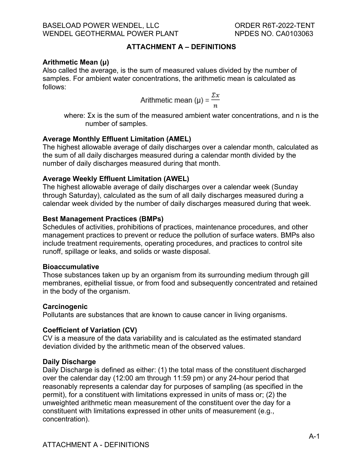#### **ATTACHMENT A – DEFINITIONS**

#### <span id="page-15-0"></span>**Arithmetic Mean (μ)**

Also called the average, is the sum of measured values divided by the number of samples. For ambient water concentrations, the arithmetic mean is calculated as follows:

Arithmetic mean 
$$
(\mu) = \frac{\Sigma x}{n}
$$

where: Σx is the sum of the measured ambient water concentrations, and n is the number of samples.

#### **Average Monthly Effluent Limitation (AMEL)**

The highest allowable average of daily discharges over a calendar month, calculated as the sum of all daily discharges measured during a calendar month divided by the number of daily discharges measured during that month.

#### **Average Weekly Effluent Limitation (AWEL)**

The highest allowable average of daily discharges over a calendar week (Sunday through Saturday), calculated as the sum of all daily discharges measured during a calendar week divided by the number of daily discharges measured during that week.

#### **Best Management Practices (BMPs)**

Schedules of activities, prohibitions of practices, maintenance procedures, and other management practices to prevent or reduce the pollution of surface waters. BMPs also include treatment requirements, operating procedures, and practices to control site runoff, spillage or leaks, and solids or waste disposal.

#### **Bioaccumulative**

Those substances taken up by an organism from its surrounding medium through gill membranes, epithelial tissue, or from food and subsequently concentrated and retained in the body of the organism.

#### **Carcinogenic**

Pollutants are substances that are known to cause cancer in living organisms.

## **Coefficient of Variation (CV)**

CV is a measure of the data variability and is calculated as the estimated standard deviation divided by the arithmetic mean of the observed values.

#### **Daily Discharge**

Daily Discharge is defined as either: (1) the total mass of the constituent discharged over the calendar day (12:00 am through 11:59 pm) or any 24-hour period that reasonably represents a calendar day for purposes of sampling (as specified in the permit), for a constituent with limitations expressed in units of mass or; (2) the unweighted arithmetic mean measurement of the constituent over the day for a constituent with limitations expressed in other units of measurement (e.g., concentration).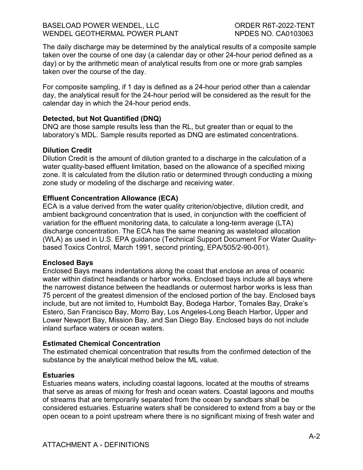#### BASELOAD POWER WENDEL, LLC ORDER R6T-2022-TENT WENDEL GEOTHERMAL POWER PLANT NPDES NO. CA0103063

The daily discharge may be determined by the analytical results of a composite sample taken over the course of one day (a calendar day or other 24-hour period defined as a day) or by the arithmetic mean of analytical results from one or more grab samples taken over the course of the day.

For composite sampling, if 1 day is defined as a 24-hour period other than a calendar day, the analytical result for the 24-hour period will be considered as the result for the calendar day in which the 24-hour period ends.

#### **Detected, but Not Quantified (DNQ)**

DNQ are those sample results less than the RL, but greater than or equal to the laboratory's MDL. Sample results reported as DNQ are estimated concentrations.

#### **Dilution Credit**

Dilution Credit is the amount of dilution granted to a discharge in the calculation of a water quality-based effluent limitation, based on the allowance of a specified mixing zone. It is calculated from the dilution ratio or determined through conducting a mixing zone study or modeling of the discharge and receiving water.

#### **Effluent Concentration Allowance (ECA)**

ECA is a value derived from the water quality criterion/objective, dilution credit, and ambient background concentration that is used, in conjunction with the coefficient of variation for the effluent monitoring data, to calculate a long-term average (LTA) discharge concentration. The ECA has the same meaning as wasteload allocation (WLA) as used in U.S. EPA guidance (Technical Support Document For Water Qualitybased Toxics Control, March 1991, second printing, EPA/505/2-90-001).

#### **Enclosed Bays**

Enclosed Bays means indentations along the coast that enclose an area of oceanic water within distinct headlands or harbor works. Enclosed bays include all bays where the narrowest distance between the headlands or outermost harbor works is less than 75 percent of the greatest dimension of the enclosed portion of the bay. Enclosed bays include, but are not limited to, Humboldt Bay, Bodega Harbor, Tomales Bay, Drake's Estero, San Francisco Bay, Morro Bay, Los Angeles-Long Beach Harbor, Upper and Lower Newport Bay, Mission Bay, and San Diego Bay. Enclosed bays do not include inland surface waters or ocean waters.

#### **Estimated Chemical Concentration**

The estimated chemical concentration that results from the confirmed detection of the substance by the analytical method below the ML value.

#### **Estuaries**

Estuaries means waters, including coastal lagoons, located at the mouths of streams that serve as areas of mixing for fresh and ocean waters. Coastal lagoons and mouths of streams that are temporarily separated from the ocean by sandbars shall be considered estuaries. Estuarine waters shall be considered to extend from a bay or the open ocean to a point upstream where there is no significant mixing of fresh water and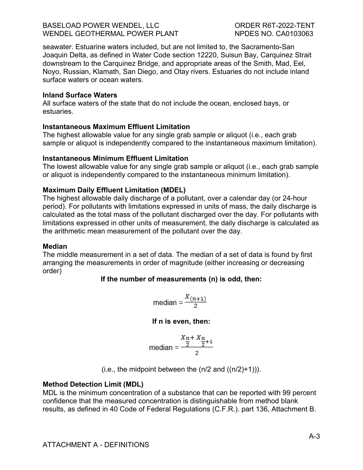seawater. Estuarine waters included, but are not limited to, the Sacramento-San Joaquin Delta, as defined in Water Code section 12220, Suisun Bay, Carquinez Strait downstream to the Carquinez Bridge, and appropriate areas of the Smith, Mad, Eel, Noyo, Russian, Klamath, San Diego, and Otay rivers. Estuaries do not include inland surface waters or ocean waters.

#### **Inland Surface Waters**

All surface waters of the state that do not include the ocean, enclosed bays, or estuaries.

#### **Instantaneous Maximum Effluent Limitation**

The highest allowable value for any single grab sample or aliquot (i.e., each grab sample or aliquot is independently compared to the instantaneous maximum limitation).

#### **Instantaneous Minimum Effluent Limitation**

The lowest allowable value for any single grab sample or aliquot (i.e., each grab sample or aliquot is independently compared to the instantaneous minimum limitation).

#### **Maximum Daily Effluent Limitation (MDEL)**

The highest allowable daily discharge of a pollutant, over a calendar day (or 24-hour period). For pollutants with limitations expressed in units of mass, the daily discharge is calculated as the total mass of the pollutant discharged over the day. For pollutants with limitations expressed in other units of measurement, the daily discharge is calculated as the arithmetic mean measurement of the pollutant over the day.

#### **Median**

The middle measurement in a set of data. The median of a set of data is found by first arranging the measurements in order of magnitude (either increasing or decreasing order)

#### **If the number of measurements (n) is odd, then:**

$$
\text{median} = \frac{X_{(n+1)}}{2}
$$

#### **If n is even, then:**

$$
median = \frac{\frac{X_n + X_n}{2} + 1}{2}
$$

(i.e., the midpoint between the  $(n/2 \text{ and } ((n/2)+1))$ ).

#### **Method Detection Limit (MDL)**

MDL is the minimum concentration of a substance that can be reported with 99 percent confidence that the measured concentration is distinguishable from method blank results, as defined in 40 Code of Federal Regulations (C.F.R.). part 136, Attachment B.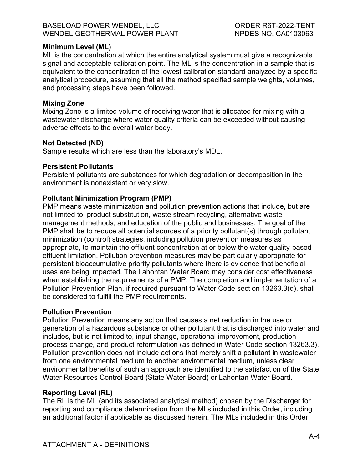#### BASELOAD POWER WENDEL, LLC ORDER R6T-2022-TENT WENDEL GEOTHERMAL POWER PLANT NPDES NO. CA0103063

#### **Minimum Level (ML)**

ML is the concentration at which the entire analytical system must give a recognizable signal and acceptable calibration point. The ML is the concentration in a sample that is equivalent to the concentration of the lowest calibration standard analyzed by a specific analytical procedure, assuming that all the method specified sample weights, volumes, and processing steps have been followed.

#### **Mixing Zone**

Mixing Zone is a limited volume of receiving water that is allocated for mixing with a wastewater discharge where water quality criteria can be exceeded without causing adverse effects to the overall water body.

#### **Not Detected (ND)**

Sample results which are less than the laboratory's MDL.

#### **Persistent Pollutants**

Persistent pollutants are substances for which degradation or decomposition in the environment is nonexistent or very slow.

#### **Pollutant Minimization Program (PMP)**

PMP means waste minimization and pollution prevention actions that include, but are not limited to, product substitution, waste stream recycling, alternative waste management methods, and education of the public and businesses. The goal of the PMP shall be to reduce all potential sources of a priority pollutant(s) through pollutant minimization (control) strategies, including pollution prevention measures as appropriate, to maintain the effluent concentration at or below the water quality-based effluent limitation. Pollution prevention measures may be particularly appropriate for persistent bioaccumulative priority pollutants where there is evidence that beneficial uses are being impacted. The Lahontan Water Board may consider cost effectiveness when establishing the requirements of a PMP. The completion and implementation of a Pollution Prevention Plan, if required pursuant to Water Code section 13263.3(d), shall be considered to fulfill the PMP requirements.

#### **Pollution Prevention**

Pollution Prevention means any action that causes a net reduction in the use or generation of a hazardous substance or other pollutant that is discharged into water and includes, but is not limited to, input change, operational improvement, production process change, and product reformulation (as defined in Water Code section 13263.3). Pollution prevention does not include actions that merely shift a pollutant in wastewater from one environmental medium to another environmental medium, unless clear environmental benefits of such an approach are identified to the satisfaction of the State Water Resources Control Board (State Water Board) or Lahontan Water Board.

#### **Reporting Level (RL)**

The RL is the ML (and its associated analytical method) chosen by the Discharger for reporting and compliance determination from the MLs included in this Order, including an additional factor if applicable as discussed herein. The MLs included in this Order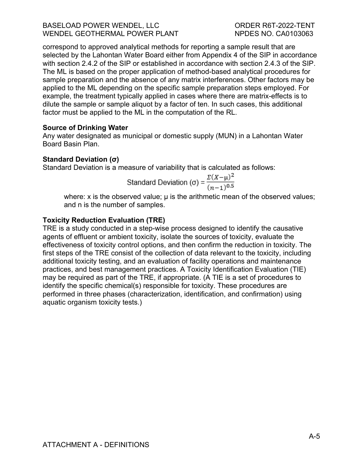#### BASELOAD POWER WENDEL, LLC ORDER R6T-2022-TENT WENDEL GEOTHERMAL POWER PLANT NPDES NO. CA0103063

correspond to approved analytical methods for reporting a sample result that are selected by the Lahontan Water Board either from Appendix 4 of the SIP in accordance with section 2.4.2 of the SIP or established in accordance with section 2.4.3 of the SIP. The ML is based on the proper application of method-based analytical procedures for sample preparation and the absence of any matrix interferences. Other factors may be applied to the ML depending on the specific sample preparation steps employed. For example, the treatment typically applied in cases where there are matrix-effects is to dilute the sample or sample aliquot by a factor of ten. In such cases, this additional factor must be applied to the ML in the computation of the RL.

#### **Source of Drinking Water**

Any water designated as municipal or domestic supply (MUN) in a Lahontan Water Board Basin Plan.

#### **Standard Deviation (σ)**

Standard Deviation is a measure of variability that is calculated as follows:

Standard Deviation (σ) = 
$$
\frac{\Sigma(X-\mu)^2}{(n-1)^{0.5}}
$$

where: x is the observed value;  $\mu$  is the arithmetic mean of the observed values; and n is the number of samples.

## **Toxicity Reduction Evaluation (TRE)**

TRE is a study conducted in a step-wise process designed to identify the causative agents of effluent or ambient toxicity, isolate the sources of toxicity, evaluate the effectiveness of toxicity control options, and then confirm the reduction in toxicity. The first steps of the TRE consist of the collection of data relevant to the toxicity, including additional toxicity testing, and an evaluation of facility operations and maintenance practices, and best management practices. A Toxicity Identification Evaluation (TIE) may be required as part of the TRE, if appropriate. (A TIE is a set of procedures to identify the specific chemical(s) responsible for toxicity. These procedures are performed in three phases (characterization, identification, and confirmation) using aquatic organism toxicity tests.)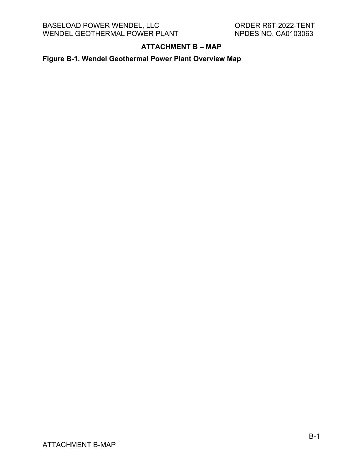## **ATTACHMENT B – MAP**

<span id="page-20-0"></span>**Figure B-1. Wendel Geothermal Power Plant Overview Map**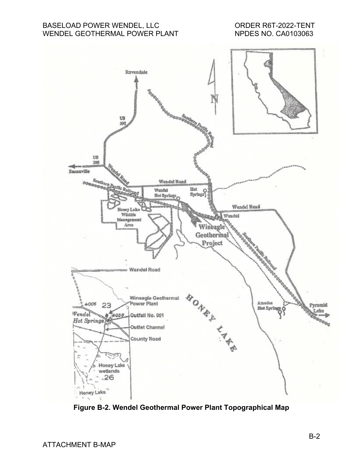#### BASELOAD POWER WENDEL, LLC ORDER R6T-2022-TENT WENDEL GEOTHERMAL POWER PLANT



**Figure B-2. Wendel Geothermal Power Plant Topographical Map**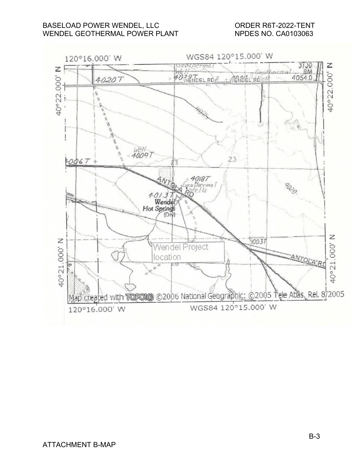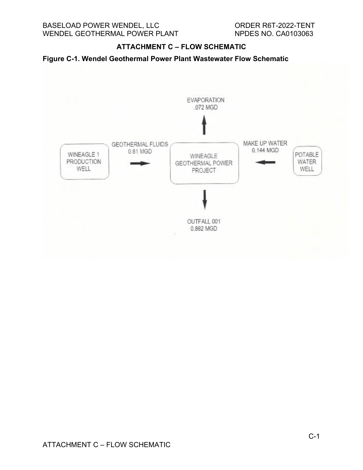#### **ATTACHMENT C – FLOW SCHEMATIC**

<span id="page-23-0"></span>

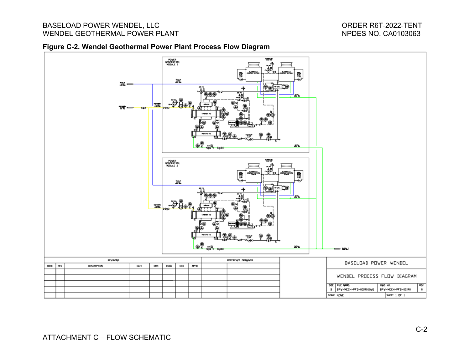#### BASELOAD POWER WENDEL, LLC<br>
WENDEL GEOTHERMAL POWER PLANT<br>
WENDEL GEOTHERMAL POWER PLANT WENDEL GEOTHERMAL POWER PLANT

#### **Figure C-2. Wendel Geothermal Power Plant Process Flow Diagram**

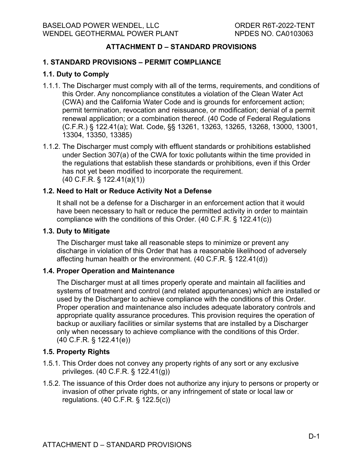## **ATTACHMENT D – STANDARD PROVISIONS**

#### <span id="page-25-0"></span>**1. STANDARD PROVISIONS – PERMIT COMPLIANCE**

#### **1.1. Duty to Comply**

- 1.1.1. The Discharger must comply with all of the terms, requirements, and conditions of this Order. Any noncompliance constitutes a violation of the Clean Water Act (CWA) and the California Water Code and is grounds for enforcement action; permit termination, revocation and reissuance, or modification; denial of a permit renewal application; or a combination thereof. (40 Code of Federal Regulations (C.F.R.) § 122.41(a); Wat. Code, §§ 13261, 13263, 13265, 13268, 13000, 13001, 13304, 13350, 13385)
- 1.1.2. The Discharger must comply with effluent standards or prohibitions established under Section 307(a) of the CWA for toxic pollutants within the time provided in the regulations that establish these standards or prohibitions, even if this Order has not yet been modified to incorporate the requirement. (40 C.F.R. § 122.41(a)(1))

#### **1.2. Need to Halt or Reduce Activity Not a Defense**

It shall not be a defense for a Discharger in an enforcement action that it would have been necessary to halt or reduce the permitted activity in order to maintain compliance with the conditions of this Order. (40 C.F.R. § 122.41(c))

#### **1.3. Duty to Mitigate**

The Discharger must take all reasonable steps to minimize or prevent any discharge in violation of this Order that has a reasonable likelihood of adversely affecting human health or the environment. (40 C.F.R. § 122.41(d))

#### **1.4. Proper Operation and Maintenance**

The Discharger must at all times properly operate and maintain all facilities and systems of treatment and control (and related appurtenances) which are installed or used by the Discharger to achieve compliance with the conditions of this Order. Proper operation and maintenance also includes adequate laboratory controls and appropriate quality assurance procedures. This provision requires the operation of backup or auxiliary facilities or similar systems that are installed by a Discharger only when necessary to achieve compliance with the conditions of this Order. (40 C.F.R. § 122.41(e))

#### **1.5. Property Rights**

- 1.5.1. This Order does not convey any property rights of any sort or any exclusive privileges. (40 C.F.R. § 122.41(g))
- 1.5.2. The issuance of this Order does not authorize any injury to persons or property or invasion of other private rights, or any infringement of state or local law or regulations. (40 C.F.R. § 122.5(c))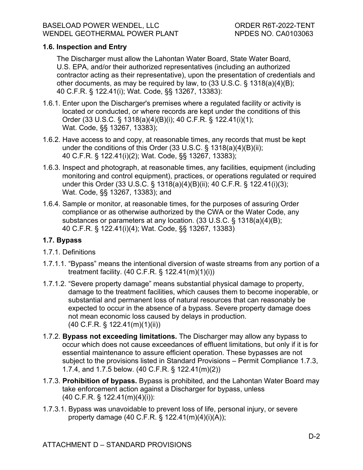## **1.6. Inspection and Entry**

The Discharger must allow the Lahontan Water Board, State Water Board, U.S. EPA, and/or their authorized representatives (including an authorized contractor acting as their representative), upon the presentation of credentials and other documents, as may be required by law, to (33 U.S.C. § 1318(a)(4)(B); 40 C.F.R. § 122.41(i); Wat. Code, §§ 13267, 13383):

- 1.6.1. Enter upon the Discharger's premises where a regulated facility or activity is located or conducted, or where records are kept under the conditions of this Order (33 U.S.C. § 1318(a)(4)(B)(i); 40 C.F.R. § 122.41(i)(1); Wat. Code, §§ 13267, 13383);
- 1.6.2. Have access to and copy, at reasonable times, any records that must be kept under the conditions of this Order (33 U.S.C. § 1318(a)(4)(B)(ii); 40 C.F.R. § 122.41(i)(2); Wat. Code, §§ 13267, 13383);
- 1.6.3. Inspect and photograph, at reasonable times, any facilities, equipment (including monitoring and control equipment), practices, or operations regulated or required under this Order (33 U.S.C. § 1318(a)(4)(B)(ii); 40 C.F.R. § 122.41(i)(3); Wat. Code, §§ 13267, 13383); and
- 1.6.4. Sample or monitor, at reasonable times, for the purposes of assuring Order compliance or as otherwise authorized by the CWA or the Water Code, any substances or parameters at any location. (33 U.S.C. § 1318(a)(4)(B); 40 C.F.R. § 122.41(i)(4); Wat. Code, §§ 13267, 13383)

## **1.7. Bypass**

## 1.7.1. Definitions

- 1.7.1.1. "Bypass" means the intentional diversion of waste streams from any portion of a treatment facility. (40 C.F.R. § 122.41(m)(1)(i))
- 1.7.1.2. "Severe property damage" means substantial physical damage to property, damage to the treatment facilities, which causes them to become inoperable, or substantial and permanent loss of natural resources that can reasonably be expected to occur in the absence of a bypass. Severe property damage does not mean economic loss caused by delays in production. (40 C.F.R. § 122.41(m)(1)(ii))
- 1.7.2. **Bypass not exceeding limitations.** The Discharger may allow any bypass to occur which does not cause exceedances of effluent limitations, but only if it is for essential maintenance to assure efficient operation. These bypasses are not subject to the provisions listed in Standard Provisions – Permit Compliance 1.7.3, 1.7.4, and 1.7.5 below. (40 C.F.R. § 122.41(m)(2))
- 1.7.3. **Prohibition of bypass.** Bypass is prohibited, and the Lahontan Water Board may take enforcement action against a Discharger for bypass, unless (40 C.F.R. § 122.41(m)(4)(i)):
- 1.7.3.1. Bypass was unavoidable to prevent loss of life, personal injury, or severe property damage (40 C.F.R. § 122.41(m)(4)(i)(A));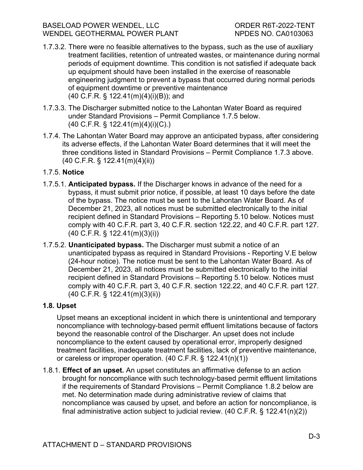- 1.7.3.2. There were no feasible alternatives to the bypass, such as the use of auxiliary treatment facilities, retention of untreated wastes, or maintenance during normal periods of equipment downtime. This condition is not satisfied if adequate back up equipment should have been installed in the exercise of reasonable engineering judgment to prevent a bypass that occurred during normal periods of equipment downtime or preventive maintenance (40 C.F.R. § 122.41(m)(4)(i)(B)); and
- 1.7.3.3. The Discharger submitted notice to the Lahontan Water Board as required under Standard Provisions – Permit Compliance 1.7.5 below. (40 C.F.R. § 122.41(m)(4)(i)(C).)
- 1.7.4. The Lahontan Water Board may approve an anticipated bypass, after considering its adverse effects, if the Lahontan Water Board determines that it will meet the three conditions listed in Standard Provisions – Permit Compliance 1.7.3 above. (40 C.F.R. § 122.41(m)(4)(ii))

## 1.7.5. **Notice**

- 1.7.5.1. **Anticipated bypass.** If the Discharger knows in advance of the need for a bypass, it must submit prior notice, if possible, at least 10 days before the date of the bypass. The notice must be sent to the Lahontan Water Board. As of December 21, 2023, all notices must be submitted electronically to the initial recipient defined in Standard Provisions – Reporting 5.10 below. Notices must comply with 40 C.F.R. part 3, 40 C.F.R. section 122.22, and 40 C.F.R. part 127. (40 C.F.R. § 122.41(m)(3)(i))
- 1.7.5.2. **Unanticipated bypass.** The Discharger must submit a notice of an unanticipated bypass as required in Standard Provisions - Reporting V.E below (24-hour notice). The notice must be sent to the Lahontan Water Board. As of December 21, 2023, all notices must be submitted electronically to the initial recipient defined in Standard Provisions – Reporting 5.10 below. Notices must comply with 40 C.F.R. part 3, 40 C.F.R. section 122.22, and 40 C.F.R. part 127. (40 C.F.R. § 122.41(m)(3)(ii))

## **1.8. Upset**

Upset means an exceptional incident in which there is unintentional and temporary noncompliance with technology-based permit effluent limitations because of factors beyond the reasonable control of the Discharger. An upset does not include noncompliance to the extent caused by operational error, improperly designed treatment facilities, inadequate treatment facilities, lack of preventive maintenance, or careless or improper operation. (40 C.F.R. § 122.41(n)(1))

1.8.1. **Effect of an upset.** An upset constitutes an affirmative defense to an action brought for noncompliance with such technology-based permit effluent limitations if the requirements of Standard Provisions – Permit Compliance 1.8.2 below are met. No determination made during administrative review of claims that noncompliance was caused by upset, and before an action for noncompliance, is final administrative action subject to judicial review. (40 C.F.R. § 122.41(n)(2))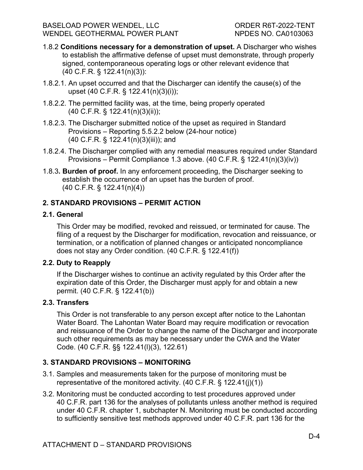- 1.8.2 **Conditions necessary for a demonstration of upset.** A Discharger who wishes to establish the affirmative defense of upset must demonstrate, through properly signed, contemporaneous operating logs or other relevant evidence that (40 C.F.R. § 122.41(n)(3)):
- 1.8.2.1. An upset occurred and that the Discharger can identify the cause(s) of the upset (40 C.F.R. § 122.41(n)(3)(i));
- 1.8.2.2. The permitted facility was, at the time, being properly operated (40 C.F.R. § 122.41(n)(3)(ii));
- 1.8.2.3. The Discharger submitted notice of the upset as required in Standard Provisions – Reporting 5.5.2.2 below (24-hour notice) (40 C.F.R. § 122.41(n)(3)(iii)); and
- 1.8.2.4. The Discharger complied with any remedial measures required under Standard Provisions – Permit Compliance 1.3 above. (40 C.F.R. § 122.41(n)(3)(iv))
- 1.8.3**. Burden of proof.** In any enforcement proceeding, the Discharger seeking to establish the occurrence of an upset has the burden of proof. (40 C.F.R. § 122.41(n)(4))

## **2. STANDARD PROVISIONS – PERMIT ACTION**

#### **2.1. General**

This Order may be modified, revoked and reissued, or terminated for cause. The filing of a request by the Discharger for modification, revocation and reissuance, or termination, or a notification of planned changes or anticipated noncompliance does not stay any Order condition. (40 C.F.R. § 122.41(f))

## **2.2. Duty to Reapply**

If the Discharger wishes to continue an activity regulated by this Order after the expiration date of this Order, the Discharger must apply for and obtain a new permit. (40 C.F.R. § 122.41(b))

#### **2.3. Transfers**

This Order is not transferable to any person except after notice to the Lahontan Water Board. The Lahontan Water Board may require modification or revocation and reissuance of the Order to change the name of the Discharger and incorporate such other requirements as may be necessary under the CWA and the Water Code. (40 C.F.R. §§ 122.41(l)(3), 122.61)

## **3. STANDARD PROVISIONS – MONITORING**

- 3.1. Samples and measurements taken for the purpose of monitoring must be representative of the monitored activity. (40 C.F.R. § 122.41(j)(1))
- 3.2. Monitoring must be conducted according to test procedures approved under 40 C.F.R. part 136 for the analyses of pollutants unless another method is required under 40 C.F.R. chapter 1, subchapter N. Monitoring must be conducted according to sufficiently sensitive test methods approved under 40 C.F.R. part 136 for the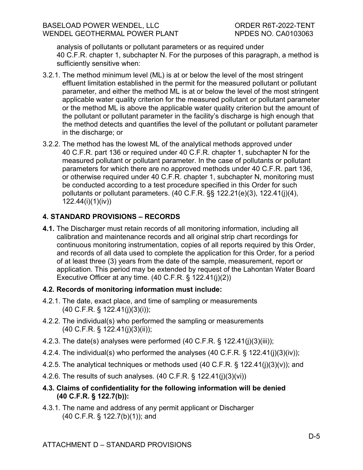analysis of pollutants or pollutant parameters or as required under 40 C.F.R. chapter 1, subchapter N. For the purposes of this paragraph, a method is sufficiently sensitive when:

- 3.2.1. The method minimum level (ML) is at or below the level of the most stringent effluent limitation established in the permit for the measured pollutant or pollutant parameter, and either the method ML is at or below the level of the most stringent applicable water quality criterion for the measured pollutant or pollutant parameter or the method ML is above the applicable water quality criterion but the amount of the pollutant or pollutant parameter in the facility's discharge is high enough that the method detects and quantifies the level of the pollutant or pollutant parameter in the discharge; or
- 3.2.2. The method has the lowest ML of the analytical methods approved under 40 C.F.R. part 136 or required under 40 C.F.R. chapter 1, subchapter N for the measured pollutant or pollutant parameter. In the case of pollutants or pollutant parameters for which there are no approved methods under 40 C.F.R. part 136, or otherwise required under 40 C.F.R. chapter 1, subchapter N, monitoring must be conducted according to a test procedure specified in this Order for such pollutants or pollutant parameters. (40 C.F.R. §§ 122.21(e)(3), 122.41(j)(4), 122.44(i)(1)(iv))

## **4. STANDARD PROVISIONS – RECORDS**

**4.1.** The Discharger must retain records of all monitoring information, including all calibration and maintenance records and all original strip chart recordings for continuous monitoring instrumentation, copies of all reports required by this Order, and records of all data used to complete the application for this Order, for a period of at least three (3) years from the date of the sample, measurement, report or application. This period may be extended by request of the Lahontan Water Board Executive Officer at any time. (40 C.F.R. § 122.41(j)(2))

## **4.2. Records of monitoring information must include:**

- 4.2.1. The date, exact place, and time of sampling or measurements (40 C.F.R. § 122.41(j)(3)(i));
- 4.2.2. The individual(s) who performed the sampling or measurements (40 C.F.R. § 122.41(j)(3)(ii));
- 4.2.3. The date(s) analyses were performed (40 C.F.R. § 122.41(j)(3)(iii));
- 4.2.4. The individual(s) who performed the analyses (40 C.F.R. § 122.41(j)(3)(iv));
- 4.2.5. The analytical techniques or methods used (40 C.F.R. § 122.41(j)(3)(v)); and
- 4.2.6. The results of such analyses. (40 C.F.R. § 122.41(j)(3)(vi))
- **4.3. Claims of confidentiality for the following information will be denied (40 C.F.R. § 122.7(b)):**
- 4.3.1. The name and address of any permit applicant or Discharger (40 C.F.R. § 122.7(b)(1)); and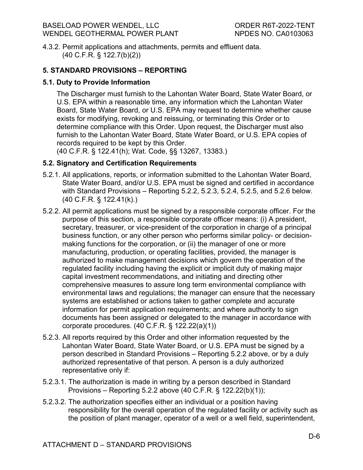4.3.2. Permit applications and attachments, permits and effluent data. (40 C.F.R. § 122.7(b)(2))

## **5. STANDARD PROVISIONS – REPORTING**

#### **5.1. Duty to Provide Information**

The Discharger must furnish to the Lahontan Water Board, State Water Board, or U.S. EPA within a reasonable time, any information which the Lahontan Water Board, State Water Board, or U.S. EPA may request to determine whether cause exists for modifying, revoking and reissuing, or terminating this Order or to determine compliance with this Order. Upon request, the Discharger must also furnish to the Lahontan Water Board, State Water Board, or U.S. EPA copies of records required to be kept by this Order.

(40 C.F.R. § 122.41(h); Wat. Code, §§ 13267, 13383.)

## **5.2. Signatory and Certification Requirements**

- 5.2.1. All applications, reports, or information submitted to the Lahontan Water Board, State Water Board, and/or U.S. EPA must be signed and certified in accordance with Standard Provisions – Reporting 5.2.2, 5.2.3, 5.2.4, 5.2.5, and 5.2.6 below. (40 C.F.R. § 122.41(k).)
- 5.2.2. All permit applications must be signed by a responsible corporate officer. For the purpose of this section, a responsible corporate officer means: (i) A president, secretary, treasurer, or vice-president of the corporation in charge of a principal business function, or any other person who performs similar policy- or decisionmaking functions for the corporation, or (ii) the manager of one or more manufacturing, production, or operating facilities, provided, the manager is authorized to make management decisions which govern the operation of the regulated facility including having the explicit or implicit duty of making major capital investment recommendations, and initiating and directing other comprehensive measures to assure long term environmental compliance with environmental laws and regulations; the manager can ensure that the necessary systems are established or actions taken to gather complete and accurate information for permit application requirements; and where authority to sign documents has been assigned or delegated to the manager in accordance with corporate procedures. (40 C.F.R. § 122.22(a)(1))
- 5.2.3. All reports required by this Order and other information requested by the Lahontan Water Board, State Water Board, or U.S. EPA must be signed by a person described in Standard Provisions – Reporting 5.2.2 above, or by a duly authorized representative of that person. A person is a duly authorized representative only if:
- 5.2.3.1. The authorization is made in writing by a person described in Standard Provisions – Reporting 5.2.2 above (40 C.F.R. § 122.22(b)(1));
- 5.2.3.2. The authorization specifies either an individual or a position having responsibility for the overall operation of the regulated facility or activity such as the position of plant manager, operator of a well or a well field, superintendent,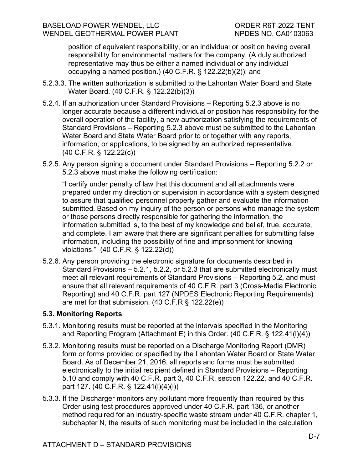position of equivalent responsibility, or an individual or position having overall responsibility for environmental matters for the company. (A duly authorized representative may thus be either a named individual or any individual occupying a named position.) (40 C.F.R. § 122.22(b)(2)); and

- 5.2.3.3. The written authorization is submitted to the Lahontan Water Board and State Water Board. (40 C.F.R. § 122.22(b)(3))
- 5.2.4. If an authorization under Standard Provisions Reporting 5.2.3 above is no longer accurate because a different individual or position has responsibility for the overall operation of the facility, a new authorization satisfying the requirements of Standard Provisions – Reporting 5.2.3 above must be submitted to the Lahontan Water Board and State Water Board prior to or together with any reports, information, or applications, to be signed by an authorized representative. (40 C.F.R. § 122.22(c))
- 5.2.5. Any person signing a document under Standard Provisions Reporting 5.2.2 or 5.2.3 above must make the following certification:

"I certify under penalty of law that this document and all attachments were prepared under my direction or supervision in accordance with a system designed to assure that qualified personnel properly gather and evaluate the information submitted. Based on my inquiry of the person or persons who manage the system or those persons directly responsible for gathering the information, the information submitted is, to the best of my knowledge and belief, true, accurate, and complete. I am aware that there are significant penalties for submitting false information, including the possibility of fine and imprisonment for knowing violations." (40 C.F.R. § 122.22(d))

5.2.6. Any person providing the electronic signature for documents described in Standard Provisions – 5.2.1, 5.2.2, or 5.2.3 that are submitted electronically must meet all relevant requirements of Standard Provisions – Reporting 5.2, and must ensure that all relevant requirements of 40 C.F.R. part 3 (Cross-Media Electronic Reporting) and 40 C.F.R. part 127 (NPDES Electronic Reporting Requirements) are met for that submission. (40 C.F.R § 122.22(e))

## **5.3. Monitoring Reports**

- 5.3.1. Monitoring results must be reported at the intervals specified in the Monitoring and Reporting Program (Attachment E) in this Order. (40 C.F.R. § 122.41(l)(4))
- 5.3.2. Monitoring results must be reported on a Discharge Monitoring Report (DMR) form or forms provided or specified by the Lahontan Water Board or State Water Board. As of December 21, 2016, all reports and forms must be submitted electronically to the initial recipient defined in Standard Provisions – Reporting 5.10 and comply with 40 C.F.R. part 3, 40 C.F.R. section 122.22, and 40 C.F.R. part 127. (40 C.F.R. § 122.41(l)(4)(i))
- 5.3.3. If the Discharger monitors any pollutant more frequently than required by this Order using test procedures approved under 40 C.F.R. part 136, or another method required for an industry-specific waste stream under 40 C.F.R. chapter 1, subchapter N, the results of such monitoring must be included in the calculation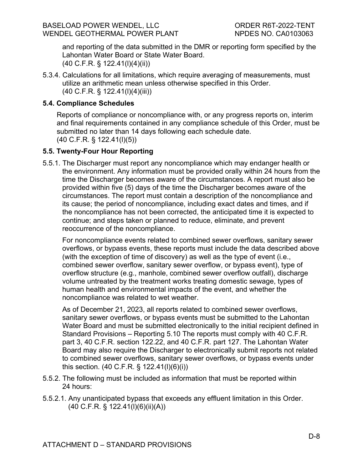and reporting of the data submitted in the DMR or reporting form specified by the Lahontan Water Board or State Water Board. (40 C.F.R. § 122.41(l)(4)(ii))

5.3.4. Calculations for all limitations, which require averaging of measurements, must utilize an arithmetic mean unless otherwise specified in this Order. (40 C.F.R. § 122.41(l)(4)(iii))

#### **5.4. Compliance Schedules**

Reports of compliance or noncompliance with, or any progress reports on, interim and final requirements contained in any compliance schedule of this Order, must be submitted no later than 14 days following each schedule date. (40 C.F.R. § 122.41(l)(5))

#### **5.5. Twenty-Four Hour Reporting**

5.5.1. The Discharger must report any noncompliance which may endanger health or the environment. Any information must be provided orally within 24 hours from the time the Discharger becomes aware of the circumstances. A report must also be provided within five (5) days of the time the Discharger becomes aware of the circumstances. The report must contain a description of the noncompliance and its cause; the period of noncompliance, including exact dates and times, and if the noncompliance has not been corrected, the anticipated time it is expected to continue; and steps taken or planned to reduce, eliminate, and prevent reoccurrence of the noncompliance.

For noncompliance events related to combined sewer overflows, sanitary sewer overflows, or bypass events, these reports must include the data described above (with the exception of time of discovery) as well as the type of event (i.e., combined sewer overflow, sanitary sewer overflow, or bypass event), type of overflow structure (e.g., manhole, combined sewer overflow outfall), discharge volume untreated by the treatment works treating domestic sewage, types of human health and environmental impacts of the event, and whether the noncompliance was related to wet weather.

As of December 21, 2023, all reports related to combined sewer overflows, sanitary sewer overflows, or bypass events must be submitted to the Lahontan Water Board and must be submitted electronically to the initial recipient defined in Standard Provisions – Reporting 5.10 The reports must comply with 40 C.F.R. part 3, 40 C.F.R. section 122.22, and 40 C.F.R. part 127. The Lahontan Water Board may also require the Discharger to electronically submit reports not related to combined sewer overflows, sanitary sewer overflows, or bypass events under this section. (40 C.F.R. § 122.41(l)(6)(i))

- 5.5.2. The following must be included as information that must be reported within 24 hours:
- 5.5.2.1. Any unanticipated bypass that exceeds any effluent limitation in this Order. (40 C.F.R. § 122.41(l)(6)(ii)(A))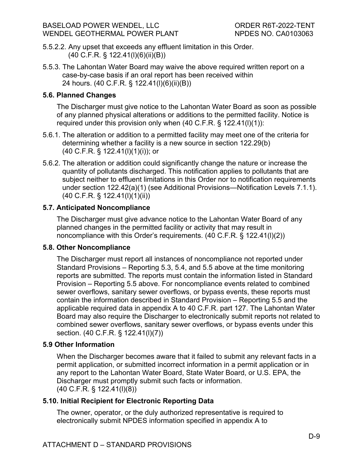- 5.5.2.2. Any upset that exceeds any effluent limitation in this Order. (40 C.F.R. § 122.41(l)(6)(ii)(B))
- 5.5.3. The Lahontan Water Board may waive the above required written report on a case-by-case basis if an oral report has been received within 24 hours. (40 C.F.R. § 122.41(l)(6)(ii)(B))

## **5.6. Planned Changes**

The Discharger must give notice to the Lahontan Water Board as soon as possible of any planned physical alterations or additions to the permitted facility. Notice is required under this provision only when  $(40 \text{ C.F.R.} \S 122.41(I)(1))$ :

- 5.6.1. The alteration or addition to a permitted facility may meet one of the criteria for determining whether a facility is a new source in section 122.29(b) (40 C.F.R. § 122.41(l)(1)(i)); or
- 5.6.2. The alteration or addition could significantly change the nature or increase the quantity of pollutants discharged. This notification applies to pollutants that are subject neither to effluent limitations in this Order nor to notification requirements under section 122.42(a)(1) (see Additional Provisions—Notification Levels 7.1.1). (40 C.F.R. § 122.41(l)(1)(ii))

## **5.7. Anticipated Noncompliance**

The Discharger must give advance notice to the Lahontan Water Board of any planned changes in the permitted facility or activity that may result in noncompliance with this Order's requirements. (40 C.F.R. § 122.41(l)(2))

## **5.8. Other Noncompliance**

The Discharger must report all instances of noncompliance not reported under Standard Provisions – Reporting 5.3, 5.4, and 5.5 above at the time monitoring reports are submitted. The reports must contain the information listed in Standard Provision – Reporting 5.5 above. For noncompliance events related to combined sewer overflows, sanitary sewer overflows, or bypass events, these reports must contain the information described in Standard Provision – Reporting 5.5 and the applicable required data in appendix A to 40 C.F.R. part 127. The Lahontan Water Board may also require the Discharger to electronically submit reports not related to combined sewer overflows, sanitary sewer overflows, or bypass events under this section. (40 C.F.R. § 122.41(l)(7))

## **5.9 Other Information**

When the Discharger becomes aware that it failed to submit any relevant facts in a permit application, or submitted incorrect information in a permit application or in any report to the Lahontan Water Board, State Water Board, or U.S. EPA, the Discharger must promptly submit such facts or information. (40 C.F.R. § 122.41(l)(8))

## **5.10. Initial Recipient for Electronic Reporting Data**

The owner, operator, or the duly authorized representative is required to electronically submit NPDES information specified in appendix A to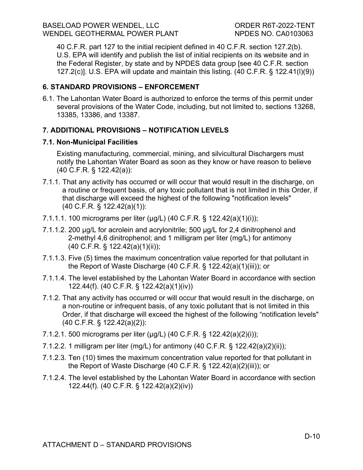40 C.F.R. part 127 to the initial recipient defined in 40 C.F.R. section 127.2(b). U.S. EPA will identify and publish the list of initial recipients on its website and in the Federal Register, by state and by NPDES data group [see 40 C.F.R. section 127.2(c)]. U.S. EPA will update and maintain this listing. (40 C.F.R. § 122.41(l)(9))

## **6. STANDARD PROVISIONS – ENFORCEMENT**

6.1. The Lahontan Water Board is authorized to enforce the terms of this permit under several provisions of the Water Code, including, but not limited to, sections 13268, 13385, 13386, and 13387.

## **7. ADDITIONAL PROVISIONS – NOTIFICATION LEVELS**

## **7.1. Non-Municipal Facilities**

Existing manufacturing, commercial, mining, and silvicultural Dischargers must notify the Lahontan Water Board as soon as they know or have reason to believe (40 C.F.R. § 122.42(a)):

- 7.1.1. That any activity has occurred or will occur that would result in the discharge, on a routine or frequent basis, of any toxic pollutant that is not limited in this Order, if that discharge will exceed the highest of the following "notification levels" (40 C.F.R. § 122.42(a)(1)):
- 7.1.1.1. 100 micrograms per liter (μg/L) (40 C.F.R. § 122.42(a)(1)(i));
- 7.1.1.2. 200 μg/L for acrolein and acrylonitrile; 500 μg/L for 2,4 dinitrophenol and 2-methyl 4,6 dinitrophenol; and 1 milligram per liter (mg/L) for antimony (40 C.F.R. § 122.42(a)(1)(ii));
- 7.1.1.3. Five (5) times the maximum concentration value reported for that pollutant in the Report of Waste Discharge (40 C.F.R. § 122.42(a)(1)(iii)); or
- 7.1.1.4. The level established by the Lahontan Water Board in accordance with section 122.44(f). (40 C.F.R. § 122.42(a)(1)(iv))
- 7.1.2. That any activity has occurred or will occur that would result in the discharge, on a non-routine or infrequent basis, of any toxic pollutant that is not limited in this Order, if that discharge will exceed the highest of the following "notification levels" (40 C.F.R. § 122.42(a)(2)):
- 7.1.2.1. 500 micrograms per liter (μg/L) (40 C.F.R. § 122.42(a)(2)(i));
- 7.1.2.2. 1 milligram per liter (mg/L) for antimony (40 C.F.R. § 122.42(a)(2)(ii));
- 7.1.2.3. Ten (10) times the maximum concentration value reported for that pollutant in the Report of Waste Discharge (40 C.F.R. § 122.42(a)(2)(iii)); or
- 7.1.2.4. The level established by the Lahontan Water Board in accordance with section 122.44(f). (40 C.F.R. § 122.42(a)(2)(iv))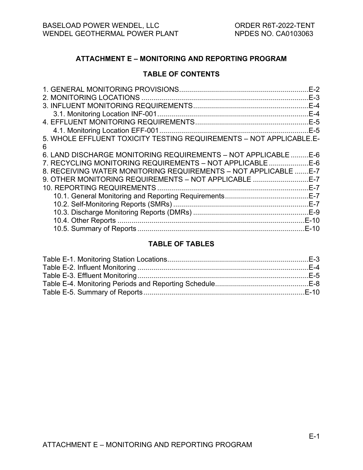#### <span id="page-35-0"></span>**ATTACHMENT E – MONITORING AND REPORTING PROGRAM**

#### **TABLE OF CONTENTS**

| 5. WHOLE EFFLUENT TOXICITY TESTING REQUIREMENTS - NOT APPLICABLE.E- |  |
|---------------------------------------------------------------------|--|
| 6                                                                   |  |
| 6. LAND DISCHARGE MONITORING REQUIREMENTS - NOT APPLICABLE  E-6     |  |
| 7. RECYCLING MONITORING REQUIREMENTS - NOT APPLICABLE E-6           |  |
| 8. RECEIVING WATER MONITORING REQUIREMENTS - NOT APPLICABLE  E-7    |  |
| 9. OTHER MONITORING REQUIREMENTS - NOT APPLICABLE E-7               |  |
|                                                                     |  |
|                                                                     |  |
|                                                                     |  |
|                                                                     |  |
|                                                                     |  |
|                                                                     |  |

#### **TABLE OF TABLES**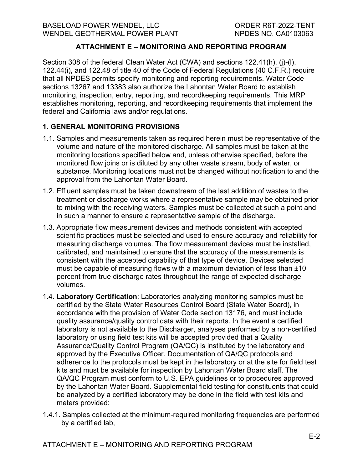# **ATTACHMENT E – MONITORING AND REPORTING PROGRAM**

Section 308 of the federal Clean Water Act (CWA) and sections 122.41(h), (j)-(l), 122.44(i), and 122.48 of title 40 of the Code of Federal Regulations (40 C.F.R.) require that all NPDES permits specify monitoring and reporting requirements. Water Code sections 13267 and 13383 also authorize the Lahontan Water Board to establish monitoring, inspection, entry, reporting, and recordkeeping requirements. This MRP establishes monitoring, reporting, and recordkeeping requirements that implement the federal and California laws and/or regulations.

## **1. GENERAL MONITORING PROVISIONS**

- 1.1. Samples and measurements taken as required herein must be representative of the volume and nature of the monitored discharge. All samples must be taken at the monitoring locations specified below and, unless otherwise specified, before the monitored flow joins or is diluted by any other waste stream, body of water, or substance. Monitoring locations must not be changed without notification to and the approval from the Lahontan Water Board.
- 1.2. Effluent samples must be taken downstream of the last addition of wastes to the treatment or discharge works where a representative sample may be obtained prior to mixing with the receiving waters. Samples must be collected at such a point and in such a manner to ensure a representative sample of the discharge.
- 1.3. Appropriate flow measurement devices and methods consistent with accepted scientific practices must be selected and used to ensure accuracy and reliability for measuring discharge volumes. The flow measurement devices must be installed, calibrated, and maintained to ensure that the accuracy of the measurements is consistent with the accepted capability of that type of device. Devices selected must be capable of measuring flows with a maximum deviation of less than  $\pm 10$ percent from true discharge rates throughout the range of expected discharge volumes.
- 1.4. **Laboratory Certification**: Laboratories analyzing monitoring samples must be certified by the State Water Resources Control Board (State Water Board), in accordance with the provision of Water Code section 13176, and must include quality assurance/quality control data with their reports. In the event a certified laboratory is not available to the Discharger, analyses performed by a non-certified laboratory or using field test kits will be accepted provided that a Quality Assurance/Quality Control Program (QA/QC) is instituted by the laboratory and approved by the Executive Officer. Documentation of QA/QC protocols and adherence to the protocols must be kept in the laboratory or at the site for field test kits and must be available for inspection by Lahontan Water Board staff. The QA/QC Program must conform to U.S. EPA guidelines or to procedures approved by the Lahontan Water Board. Supplemental field testing for constituents that could be analyzed by a certified laboratory may be done in the field with test kits and meters provided:
- 1.4.1. Samples collected at the minimum-required monitoring frequencies are performed by a certified lab,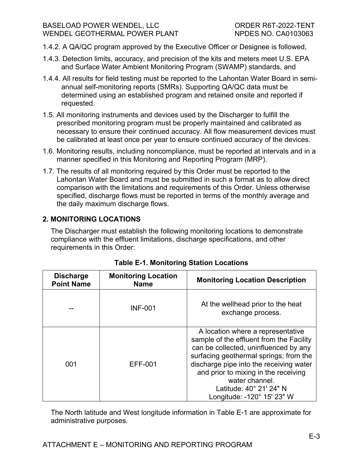#### BASELOAD POWER WENDEL, LLC ORDER R6T-2022-TENT WENDEL GEOTHERMAL POWER PLANT NPDES NO. CA0103063

- 1.4.2. A QA/QC program approved by the Executive Officer or Designee is followed,
- 1.4.3. Detection limits, accuracy, and precision of the kits and meters meet U.S. EPA and Surface Water Ambient Monitoring Program (SWAMP) standards, and
- 1.4.4. All results for field testing must be reported to the Lahontan Water Board in semiannual self-monitoring reports (SMRs). Supporting QA/QC data must be determined using an established program and retained onsite and reported if requested.
- 1.5. All monitoring instruments and devices used by the Discharger to fulfill the prescribed monitoring program must be properly maintained and calibrated as necessary to ensure their continued accuracy. All flow measurement devices must be calibrated at least once per year to ensure continued accuracy of the devices.
- 1.6. Monitoring results, including noncompliance, must be reported at intervals and in a manner specified in this Monitoring and Reporting Program (MRP).
- 1.7. The results of all monitoring required by this Order must be reported to the Lahontan Water Board and must be submitted in such a format as to allow direct comparison with the limitations and requirements of this Order. Unless otherwise specified, discharge flows must be reported in terms of the monthly average and the daily maximum discharge flows.

# **2. MONITORING LOCATIONS**

The Discharger must establish the following monitoring locations to demonstrate compliance with the effluent limitations, discharge specifications, and other requirements in this Order:

| <b>Discharge</b><br><b>Point Name</b> | <b>Monitoring Location</b><br><b>Monitoring Location Description</b><br><b>Name</b> |                                                                                                                                                                                                                                                                                                                                |
|---------------------------------------|-------------------------------------------------------------------------------------|--------------------------------------------------------------------------------------------------------------------------------------------------------------------------------------------------------------------------------------------------------------------------------------------------------------------------------|
|                                       | <b>INF-001</b>                                                                      | At the wellhead prior to the heat<br>exchange process.                                                                                                                                                                                                                                                                         |
| 001                                   | EFF-001                                                                             | A location where a representative<br>sample of the effluent from the Facility<br>can be collected, uninfluenced by any<br>surfacing geothermal springs; from the<br>discharge pipe into the receiving water<br>and prior to mixing in the receiving<br>water channel.<br>Latitude: 40° 21' 24" N<br>Longitude: -120° 15' 23" W |

The North latitude and West longitude information in Table E-1 are approximate for administrative purposes.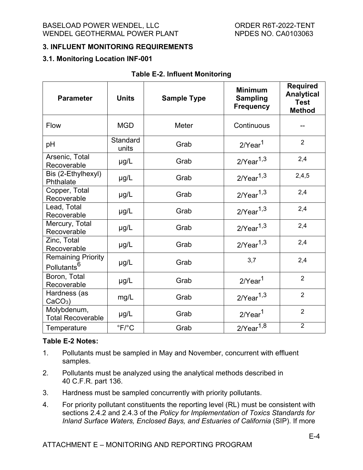## **3. INFLUENT MONITORING REQUIREMENTS**

#### **3.1. Monitoring Location INF-001**

| <b>Parameter</b>                                     | <b>Units</b>              | <b>Sample Type</b> | <b>Minimum</b><br><b>Sampling</b><br><b>Frequency</b> | <b>Required</b><br><b>Analytical</b><br><b>Test</b><br><b>Method</b> |
|------------------------------------------------------|---------------------------|--------------------|-------------------------------------------------------|----------------------------------------------------------------------|
| Flow                                                 | <b>MGD</b>                | Meter              | Continuous                                            |                                                                      |
| pH                                                   | <b>Standard</b><br>units  | Grab               | $2$ /Year $1$                                         | $\overline{2}$                                                       |
| Arsenic, Total<br>Recoverable                        | µg/L                      | Grab               | $2$ /Year $^{1,3}$                                    | 2,4                                                                  |
| Bis (2-Ethylhexyl)<br>Phthalate                      | $\mu$ g/L                 | Grab               | $2$ /Year $^{1,3}$                                    | 2,4,5                                                                |
| Copper, Total<br>Recoverable                         | $\mu$ g/L                 | Grab               | $2$ /Year $^{1,3}$                                    | 2,4                                                                  |
| Lead, Total<br>Recoverable                           | $\mu$ g/L                 | Grab               | $2$ /Year $^{1,3}$                                    | 2,4                                                                  |
| Mercury, Total<br>Recoverable                        | $\mu$ g/L                 | Grab               | $2$ /Year $1,3$                                       | 2,4                                                                  |
| Zinc, Total<br>Recoverable                           | $\mu$ g/L                 | Grab               | $2$ /Year $^{1,3}$                                    | 2,4                                                                  |
| <b>Remaining Priority</b><br>Pollutants <sup>6</sup> | $\mu$ g/L                 | Grab               | 3,7                                                   | 2,4                                                                  |
| Boron, Total<br>Recoverable                          | µg/L                      | Grab               | $2$ /Year $1$                                         | $\overline{2}$                                                       |
| Hardness (as<br>$CaCO3$ )                            | mg/L                      | Grab               | $2$ /Year $^{1,3}$                                    | $\overline{2}$                                                       |
| Molybdenum,<br><b>Total Recoverable</b>              | µg/L                      | Grab               | $2$ /Year $1$                                         | $\overline{2}$                                                       |
| Temperature                                          | $\mathrm{P}F/\mathrm{P}C$ | Grab               | $2$ /Year $^{1,8}$                                    | $\overline{2}$                                                       |

#### **Table E-2. Influent Monitoring**

#### **Table E-2 Notes:**

- 1. Pollutants must be sampled in May and November, concurrent with effluent samples.
- 2. Pollutants must be analyzed using the analytical methods described in 40 C.F.R. part 136.
- 3. Hardness must be sampled concurrently with priority pollutants.
- 4. For priority pollutant constituents the reporting level (RL) must be consistent with sections 2.4.2 and 2.4.3 of the *Policy for Implementation of Toxics Standards for Inland Surface Waters, Enclosed Bays, and Estuaries of California* (SIP). If more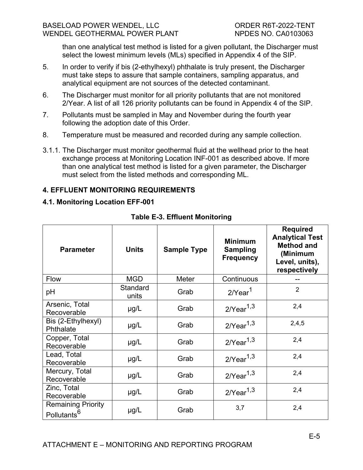than one analytical test method is listed for a given pollutant, the Discharger must select the lowest minimum levels (MLs) specified in Appendix 4 of the SIP.

- 5. In order to verify if bis (2-ethylhexyl) phthalate is truly present, the Discharger must take steps to assure that sample containers, sampling apparatus, and analytical equipment are not sources of the detected contaminant.
- 6. The Discharger must monitor for all priority pollutants that are not monitored 2/Year. A list of all 126 priority pollutants can be found in Appendix 4 of the SIP.
- 7. Pollutants must be sampled in May and November during the fourth year following the adoption date of this Order.
- 8. Temperature must be measured and recorded during any sample collection.
- 3.1.1. The Discharger must monitor geothermal fluid at the wellhead prior to the heat exchange process at Monitoring Location INF-001 as described above. If more than one analytical test method is listed for a given parameter, the Discharger must select from the listed methods and corresponding ML.

## **4. EFFLUENT MONITORING REQUIREMENTS**

## **4.1. Monitoring Location EFF-001**

| <b>Parameter</b>                                     | <b>Units</b>             | <b>Sample Type</b> | <b>Minimum</b><br><b>Sampling</b><br><b>Frequency</b> | <b>Required</b><br><b>Analytical Test</b><br><b>Method and</b><br>(Minimum<br>Level, units),<br>respectively |
|------------------------------------------------------|--------------------------|--------------------|-------------------------------------------------------|--------------------------------------------------------------------------------------------------------------|
| <b>Flow</b>                                          | <b>MGD</b>               | Meter              | Continuous                                            |                                                                                                              |
| pH                                                   | <b>Standard</b><br>units | Grab               | $2$ /Year $1$                                         | $\overline{2}$                                                                                               |
| Arsenic, Total<br>Recoverable                        | $\mu$ g/L                | Grab               | $2$ /Year $1,3$                                       | 2,4                                                                                                          |
| Bis (2-Ethylhexyl)<br>Phthalate                      | $\mu$ g/L                | Grab               | $2$ /Year $1,3$                                       | 2,4,5                                                                                                        |
| Copper, Total<br>Recoverable                         | $\mu$ g/L                | Grab               | $2/Year^{1,3}$                                        | 2,4                                                                                                          |
| Lead, Total<br>Recoverable                           | $\mu$ g/L                | Grab               | $2/Year^{1,3}$                                        | 2,4                                                                                                          |
| Mercury, Total<br>Recoverable                        | $\mu$ g/L                | Grab               | $2$ /Year $1,3$                                       | 2,4                                                                                                          |
| Zinc, Total<br>Recoverable                           | $\mu$ g/L                | Grab               | $2$ /Year $1,3$                                       | 2,4                                                                                                          |
| <b>Remaining Priority</b><br>Pollutants <sup>6</sup> | $\mu$ g/L                | Grab               | 3,7                                                   | 2,4                                                                                                          |

**Table E-3. Effluent Monitoring**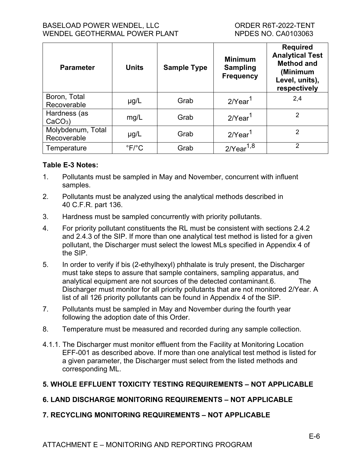## BASELOAD POWER WENDEL, LLC ORDER R6T-2022-TENT WENDEL GEOTHERMAL POWER PLANT NPDES NO. CA0103063

| <b>Parameter</b>                 | <b>Units</b>             | <b>Sample Type</b> | <b>Minimum</b><br><b>Sampling</b><br><b>Frequency</b> | <b>Required</b><br><b>Analytical Test</b><br><b>Method and</b><br>(Minimum<br>Level, units),<br>respectively |
|----------------------------------|--------------------------|--------------------|-------------------------------------------------------|--------------------------------------------------------------------------------------------------------------|
| Boron, Total<br>Recoverable      | $\mu$ g/L                | Grab               | $2$ <i>Near</i> <sup>1</sup>                          | 2,4                                                                                                          |
| Hardness (as<br>$CaCO3$ )        | mg/L                     | Grab               | $2$ /Year $1$                                         | 2                                                                                                            |
| Molybdenum, Total<br>Recoverable | $\mu$ g/L                | Grab               | $2$ /Year $1$                                         | 2                                                                                                            |
| Temperature                      | $\degree$ F/ $\degree$ C | Grab               | $2$ /Year $^{1,8}$                                    | 2                                                                                                            |

### **Table E-3 Notes:**

- 1. Pollutants must be sampled in May and November, concurrent with influent samples.
- 2. Pollutants must be analyzed using the analytical methods described in 40 C.F.R. part 136.
- 3. Hardness must be sampled concurrently with priority pollutants.
- 4. For priority pollutant constituents the RL must be consistent with sections 2.4.2 and 2.4.3 of the SIP. If more than one analytical test method is listed for a given pollutant, the Discharger must select the lowest MLs specified in Appendix 4 of the SIP.
- 5. In order to verify if bis (2-ethylhexyl) phthalate is truly present, the Discharger must take steps to assure that sample containers, sampling apparatus, and analytical equipment are not sources of the detected contaminant.6. The Discharger must monitor for all priority pollutants that are not monitored 2/Year. A list of all 126 priority pollutants can be found in Appendix 4 of the SIP.
- 7. Pollutants must be sampled in May and November during the fourth year following the adoption date of this Order.
- 8. Temperature must be measured and recorded during any sample collection.
- 4.1.1. The Discharger must monitor effluent from the Facility at Monitoring Location EFF-001 as described above. If more than one analytical test method is listed for a given parameter, the Discharger must select from the listed methods and corresponding ML.

## **5. WHOLE EFFLUENT TOXICITY TESTING REQUIREMENTS – NOT APPLICABLE**

# **6. LAND DISCHARGE MONITORING REQUIREMENTS – NOT APPLICABLE**

# **7. RECYCLING MONITORING REQUIREMENTS – NOT APPLICABLE**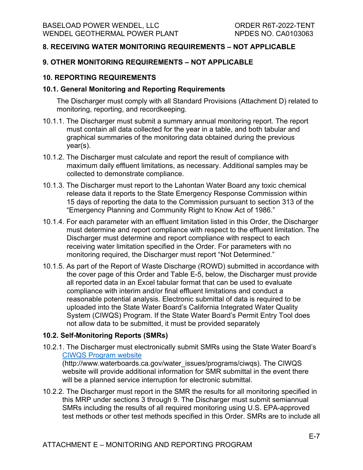## **8. RECEIVING WATER MONITORING REQUIREMENTS – NOT APPLICABLE**

#### **9. OTHER MONITORING REQUIREMENTS – NOT APPLICABLE**

#### **10. REPORTING REQUIREMENTS**

#### **10.1. General Monitoring and Reporting Requirements**

The Discharger must comply with all Standard Provisions (Attachment D) related to monitoring, reporting, and recordkeeping.

- 10.1.1. The Discharger must submit a summary annual monitoring report. The report must contain all data collected for the year in a table, and both tabular and graphical summaries of the monitoring data obtained during the previous year(s).
- 10.1.2. The Discharger must calculate and report the result of compliance with maximum daily effluent limitations, as necessary. Additional samples may be collected to demonstrate compliance.
- 10.1.3. The Discharger must report to the Lahontan Water Board any toxic chemical release data it reports to the State Emergency Response Commission within 15 days of reporting the data to the Commission pursuant to section 313 of the "Emergency Planning and Community Right to Know Act of 1986."
- 10.1.4. For each parameter with an effluent limitation listed in this Order, the Discharger must determine and report compliance with respect to the effluent limitation. The Discharger must determine and report compliance with respect to each receiving water limitation specified in the Order. For parameters with no monitoring required, the Discharger must report "Not Determined."
- 10.1.5. As part of the Report of Waste Discharge (ROWD) submitted in accordance with the cover page of this Order and Table E-5, below, the Discharger must provide all reported data in an Excel tabular format that can be used to evaluate compliance with interim and/or final effluent limitations and conduct a reasonable potential analysis. Electronic submittal of data is required to be uploaded into the State Water Board's California Integrated Water Quality System (CIWQS) Program. If the State Water Board's Permit Entry Tool does not allow data to be submitted, it must be provided separately

## **10.2. Self-Monitoring Reports (SMRs)**

10.2.1. The Discharger must electronically submit SMRs using the State Water Board's [CIWQS Program website](http://www.waterboards.ca.gov/water_issues/programs/ciwqs/)

(http://www.waterboards.ca.gov/water\_issues/programs/ciwqs). The CIWQS website will provide additional information for SMR submittal in the event there will be a planned service interruption for electronic submittal.

10.2.2. The Discharger must report in the SMR the results for all monitoring specified in this MRP under sections 3 through 9. The Discharger must submit semiannual SMRs including the results of all required monitoring using U.S. EPA-approved test methods or other test methods specified in this Order. SMRs are to include all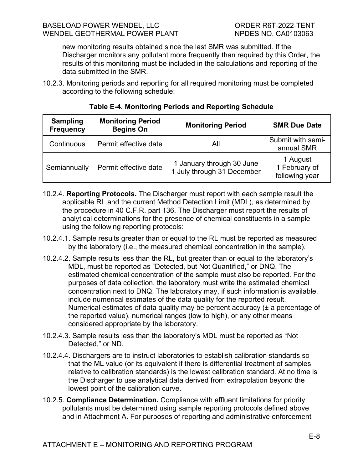new monitoring results obtained since the last SMR was submitted. If the Discharger monitors any pollutant more frequently than required by this Order, the results of this monitoring must be included in the calculations and reporting of the data submitted in the SMR.

10.2.3. Monitoring periods and reporting for all required monitoring must be completed according to the following schedule:

| <b>Sampling</b><br><b>Frequency</b> | <b>Monitoring Period</b><br><b>Begins On</b> | <b>Monitoring Period</b>                                | <b>SMR Due Date</b>                         |
|-------------------------------------|----------------------------------------------|---------------------------------------------------------|---------------------------------------------|
| Continuous                          | Permit effective date                        | All                                                     | Submit with semi-<br>annual SMR             |
| Semiannually                        | Permit effective date                        | 1 January through 30 June<br>1 July through 31 December | 1 August<br>1 February of<br>following year |

## **Table E-4. Monitoring Periods and Reporting Schedule**

- 10.2.4. **Reporting Protocols.** The Discharger must report with each sample result the applicable RL and the current Method Detection Limit (MDL), as determined by the procedure in 40 C.F.R. part 136. The Discharger must report the results of analytical determinations for the presence of chemical constituents in a sample using the following reporting protocols:
- 10.2.4.1. Sample results greater than or equal to the RL must be reported as measured by the laboratory (i.e., the measured chemical concentration in the sample).
- 10.2.4.2. Sample results less than the RL, but greater than or equal to the laboratory's MDL, must be reported as "Detected, but Not Quantified," or DNQ. The estimated chemical concentration of the sample must also be reported. For the purposes of data collection, the laboratory must write the estimated chemical concentration next to DNQ. The laboratory may, if such information is available, include numerical estimates of the data quality for the reported result. Numerical estimates of data quality may be percent accuracy (± a percentage of the reported value), numerical ranges (low to high), or any other means considered appropriate by the laboratory.
- 10.2.4.3. Sample results less than the laboratory's MDL must be reported as "Not Detected," or ND.
- 10.2.4.4. Dischargers are to instruct laboratories to establish calibration standards so that the ML value (or its equivalent if there is differential treatment of samples relative to calibration standards) is the lowest calibration standard. At no time is the Discharger to use analytical data derived from extrapolation beyond the lowest point of the calibration curve.
- 10.2.5. **Compliance Determination.** Compliance with effluent limitations for priority pollutants must be determined using sample reporting protocols defined above and in Attachment A. For purposes of reporting and administrative enforcement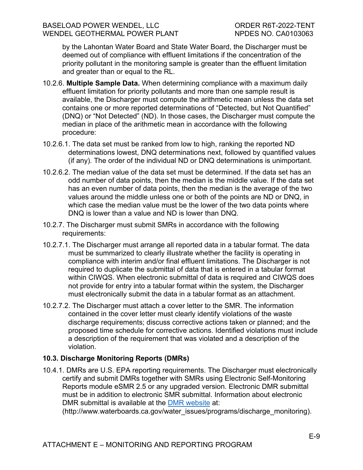by the Lahontan Water Board and State Water Board, the Discharger must be deemed out of compliance with effluent limitations if the concentration of the priority pollutant in the monitoring sample is greater than the effluent limitation and greater than or equal to the RL.

- 10.2.6. **Multiple Sample Data.** When determining compliance with a maximum daily effluent limitation for priority pollutants and more than one sample result is available, the Discharger must compute the arithmetic mean unless the data set contains one or more reported determinations of "Detected, but Not Quantified" (DNQ) or "Not Detected" (ND). In those cases, the Discharger must compute the median in place of the arithmetic mean in accordance with the following procedure:
- 10.2.6.1. The data set must be ranked from low to high, ranking the reported ND determinations lowest, DNQ determinations next, followed by quantified values (if any). The order of the individual ND or DNQ determinations is unimportant.
- 10.2.6.2. The median value of the data set must be determined. If the data set has an odd number of data points, then the median is the middle value. If the data set has an even number of data points, then the median is the average of the two values around the middle unless one or both of the points are ND or DNQ, in which case the median value must be the lower of the two data points where DNQ is lower than a value and ND is lower than DNQ.
- 10.2.7. The Discharger must submit SMRs in accordance with the following requirements:
- 10.2.7.1. The Discharger must arrange all reported data in a tabular format. The data must be summarized to clearly illustrate whether the facility is operating in compliance with interim and/or final effluent limitations. The Discharger is not required to duplicate the submittal of data that is entered in a tabular format within CIWQS. When electronic submittal of data is required and CIWQS does not provide for entry into a tabular format within the system, the Discharger must electronically submit the data in a tabular format as an attachment.
- 10.2.7.2. The Discharger must attach a cover letter to the SMR. The information contained in the cover letter must clearly identify violations of the waste discharge requirements; discuss corrective actions taken or planned; and the proposed time schedule for corrective actions. Identified violations must include a description of the requirement that was violated and a description of the violation.

## **10.3. Discharge Monitoring Reports (DMRs)**

10.4.1. DMRs are U.S. EPA reporting requirements. The Discharger must electronically certify and submit DMRs together with SMRs using Electronic Self-Monitoring Reports module eSMR 2.5 or any upgraded version. Electronic DMR submittal must be in addition to electronic SMR submittal. Information about electronic DMR submittal is available at the [DMR website](http://www.waterboards.ca.gov/water_issues/programs/discharge_monitoring) at:

(http://www.waterboards.ca.gov/water\_issues/programs/discharge\_monitoring).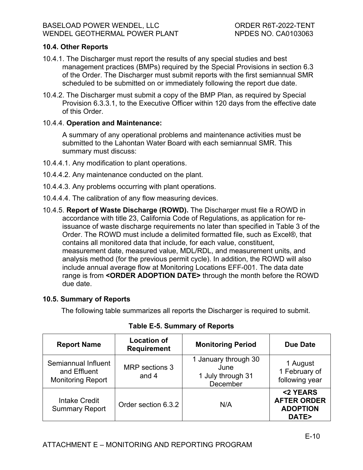## **10.4. Other Reports**

- 10.4.1. The Discharger must report the results of any special studies and best management practices (BMPs) required by the Special Provisions in section 6.3 of the Order. The Discharger must submit reports with the first semiannual SMR scheduled to be submitted on or immediately following the report due date.
- 10.4.2. The Discharger must submit a copy of the BMP Plan, as required by Special Provision 6.3.3.1, to the Executive Officer within 120 days from the effective date of this Order.

## 10.4.4. **Operation and Maintenance:**

A summary of any operational problems and maintenance activities must be submitted to the Lahontan Water Board with each semiannual SMR. This summary must discuss:

- 10.4.4.1. Any modification to plant operations.
- 10.4.4.2. Any maintenance conducted on the plant.
- 10.4.4.3. Any problems occurring with plant operations.
- 10.4.4.4. The calibration of any flow measuring devices.
- 10.4.5. **Report of Waste Discharge (ROWD).** The Discharger must file a ROWD in accordance with title 23, California Code of Regulations, as application for reissuance of waste discharge requirements no later than specified in Table 3 of the Order. The ROWD must include a delimited formatted file, such as Excel®, that contains all monitored data that include, for each value, constituent, measurement date, measured value, MDL/RDL, and measurement units, and analysis method (for the previous permit cycle). In addition, the ROWD will also include annual average flow at Monitoring Locations EFF-001. The data date range is from **<ORDER ADOPTION DATE>** through the month before the ROWD due date.

## **10.5. Summary of Reports**

The following table summarizes all reports the Discharger is required to submit.

| <b>Report Name</b>                                              | <b>Location of</b><br><b>Requirement</b> | <b>Monitoring Period</b>                                      | <b>Due Date</b>                                            |
|-----------------------------------------------------------------|------------------------------------------|---------------------------------------------------------------|------------------------------------------------------------|
| Semiannual Influent<br>and Effluent<br><b>Monitoring Report</b> | MRP sections 3<br>and 4                  | 1 January through 30<br>June<br>1 July through 31<br>December | 1 August<br>1 February of<br>following year                |
| <b>Intake Credit</b><br><b>Summary Report</b>                   | Order section 6.3.2                      | N/A                                                           | <2 YEARS<br><b>AFTER ORDER</b><br><b>ADOPTION</b><br>DATE> |

**Table E-5. Summary of Reports**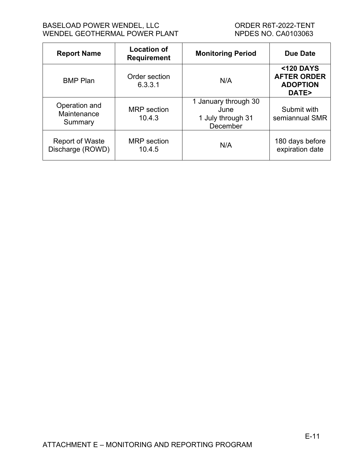### BASELOAD POWER WENDEL, LLC<br>
WENDEL GEOTHERMAL POWER PLANT
WENDEL GEOTHERMAL
NER PLANT
UNERER SURFALL TOWER PLANT
UNER WENDEL GEOTHERMAL POWER PLANT

| <b>Report Name</b>                         | <b>Location of</b><br><b>Requirement</b> | <b>Monitoring Period</b>                                      | <b>Due Date</b>                                             |
|--------------------------------------------|------------------------------------------|---------------------------------------------------------------|-------------------------------------------------------------|
| <b>BMP Plan</b>                            | Order section<br>6.3.3.1                 | N/A                                                           | <120 DAYS<br><b>AFTER ORDER</b><br><b>ADOPTION</b><br>DATE> |
| Operation and<br>Maintenance<br>Summary    | <b>MRP</b> section<br>10.4.3             | 1 January through 30<br>June<br>1 July through 31<br>December | Submit with<br>semiannual SMR                               |
| <b>Report of Waste</b><br>Discharge (ROWD) | <b>MRP</b> section<br>10.4.5             | N/A                                                           | 180 days before<br>expiration date                          |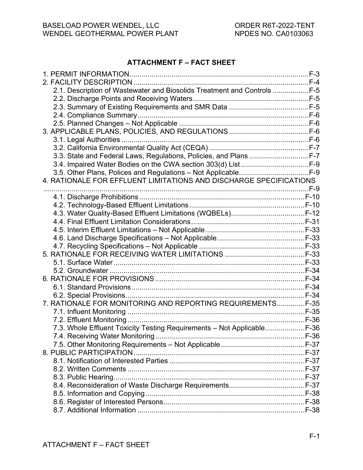### **ATTACHMENT F – FACT SHEET**

| 2.1. Description of Wastewater and Biosolids Treatment and Controls F-5 |  |
|-------------------------------------------------------------------------|--|
|                                                                         |  |
|                                                                         |  |
|                                                                         |  |
|                                                                         |  |
|                                                                         |  |
|                                                                         |  |
|                                                                         |  |
| 3.3. State and Federal Laws, Regulations, Policies, and PlansF-7        |  |
|                                                                         |  |
|                                                                         |  |
| 4. RATIONALE FOR EFFLUENT LIMITATIONS AND DISCHARGE SPECIFICATIONS      |  |
|                                                                         |  |
|                                                                         |  |
|                                                                         |  |
|                                                                         |  |
|                                                                         |  |
|                                                                         |  |
|                                                                         |  |
|                                                                         |  |
|                                                                         |  |
|                                                                         |  |
|                                                                         |  |
|                                                                         |  |
|                                                                         |  |
|                                                                         |  |
| 7. RATIONALE FOR MONITORING AND REPORTING REQUIREMENTS F-35             |  |
|                                                                         |  |
|                                                                         |  |
| 7.3. Whole Effluent Toxicity Testing Requirements - Not ApplicableF-36  |  |
|                                                                         |  |
|                                                                         |  |
|                                                                         |  |
|                                                                         |  |
|                                                                         |  |
|                                                                         |  |
|                                                                         |  |
|                                                                         |  |
|                                                                         |  |
|                                                                         |  |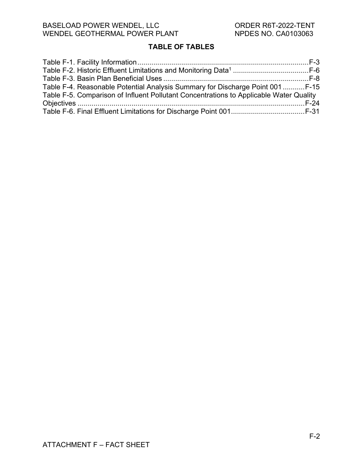# **TABLE OF TABLES**

| Table F-4. Reasonable Potential Analysis Summary for Discharge Point 001  F-15         |  |
|----------------------------------------------------------------------------------------|--|
| Table F-5. Comparison of Influent Pollutant Concentrations to Applicable Water Quality |  |
|                                                                                        |  |
|                                                                                        |  |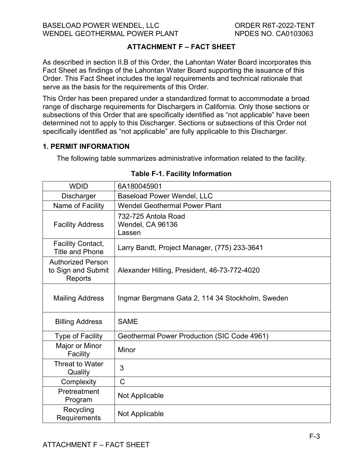## **ATTACHMENT F – FACT SHEET**

As described in section II.B of this Order, the Lahontan Water Board incorporates this Fact Sheet as findings of the Lahontan Water Board supporting the issuance of this Order. This Fact Sheet includes the legal requirements and technical rationale that serve as the basis for the requirements of this Order.

This Order has been prepared under a standardized format to accommodate a broad range of discharge requirements for Dischargers in California. Only those sections or subsections of this Order that are specifically identified as "not applicable" have been determined not to apply to this Discharger. Sections or subsections of this Order not specifically identified as "not applicable" are fully applicable to this Discharger.

### <span id="page-48-0"></span>**1. PERMIT INFORMATION**

<span id="page-48-1"></span>The following table summarizes administrative information related to the facility.

| <b>WDID</b>                                               | 6A180045901                                       |
|-----------------------------------------------------------|---------------------------------------------------|
| <b>Discharger</b>                                         | <b>Baseload Power Wendel, LLC</b>                 |
| Name of Facility                                          | <b>Wendel Geothermal Power Plant</b>              |
| <b>Facility Address</b>                                   | 732-725 Antola Road<br>Wendel, CA 96136<br>Lassen |
| <b>Facility Contact,</b><br><b>Title and Phone</b>        | Larry Bandt, Project Manager, (775) 233-3641      |
| <b>Authorized Person</b><br>to Sign and Submit<br>Reports | Alexander Hilling, President, 46-73-772-4020      |
| <b>Mailing Address</b>                                    | Ingmar Bergmans Gata 2, 114 34 Stockholm, Sweden  |
| <b>Billing Address</b>                                    | <b>SAME</b>                                       |
| <b>Type of Facility</b>                                   | Geothermal Power Production (SIC Code 4961)       |
| Major or Minor<br>Facility                                | Minor                                             |
| <b>Threat to Water</b><br>Quality                         | 3                                                 |
| Complexity                                                | $\mathsf{C}$                                      |
| Pretreatment<br>Program                                   | Not Applicable                                    |
| Recycling<br>Requirements                                 | Not Applicable                                    |

## **Table F-1. Facility Information**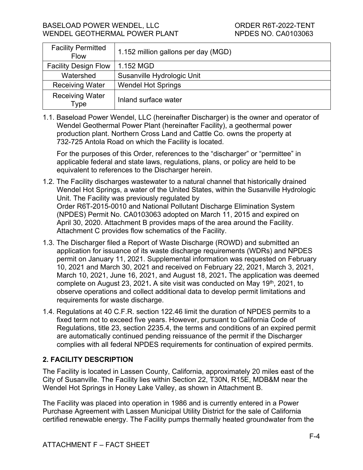| <b>Facility Permitted</b><br><b>Flow</b> | 1.152 million gallons per day (MGD) |
|------------------------------------------|-------------------------------------|
| <b>Facility Design Flow</b>              | 1.152 MGD                           |
| Watershed                                | Susanville Hydrologic Unit          |
| <b>Receiving Water</b>                   | <b>Wendel Hot Springs</b>           |
| <b>Receiving Water</b><br>Туре           | Inland surface water                |

1.1. Baseload Power Wendel, LLC (hereinafter Discharger) is the owner and operator of Wendel Geothermal Power Plant (hereinafter Facility), a geothermal power production plant. Northern Cross Land and Cattle Co. owns the property at 732-725 Antola Road on which the Facility is located.

For the purposes of this Order, references to the "discharger" or "permittee" in applicable federal and state laws, regulations, plans, or policy are held to be equivalent to references to the Discharger herein.

- 1.2. The Facility discharges wastewater to a natural channel that historically drained Wendel Hot Springs, a water of the United States, within the Susanville Hydrologic Unit. The Facility was previously regulated by Order R6T-2015-0010 and National Pollutant Discharge Elimination System (NPDES) Permit No. CA0103063 adopted on March 11, 2015 and expired on April 30, 2020. Attachment B provides maps of the area around the Facility. Attachment C provides flow schematics of the Facility.
- 1.3. The Discharger filed a Report of Waste Discharge (ROWD) and submitted an application for issuance of its waste discharge requirements (WDRs) and NPDES permit on January 11, 2021. Supplemental information was requested on February 10, 2021 and March 30, 2021 and received on February 22, 2021, March 3, 2021, March 10, 2021, June 16, 2021, and August 18, 2021**.** The application was deemed complete on August 23, 2021**.** A site visit was conducted on May 19th, 2021, to observe operations and collect additional data to develop permit limitations and requirements for waste discharge.
- 1.4. Regulations at 40 C.F.R. section 122.46 limit the duration of NPDES permits to a fixed term not to exceed five years. However, pursuant to California Code of Regulations, title 23, section 2235.4, the terms and conditions of an expired permit are automatically continued pending reissuance of the permit if the Discharger complies with all federal NPDES requirements for continuation of expired permits.

## <span id="page-49-0"></span>**2. FACILITY DESCRIPTION**

The Facility is located in Lassen County, California, approximately 20 miles east of the City of Susanville. The Facility lies within Section 22, T30N, R15E, MDB&M near the Wendel Hot Springs in Honey Lake Valley, as shown in Attachment B.

The Facility was placed into operation in 1986 and is currently entered in a Power Purchase Agreement with Lassen Municipal Utility District for the sale of California certified renewable energy. The Facility pumps thermally heated groundwater from the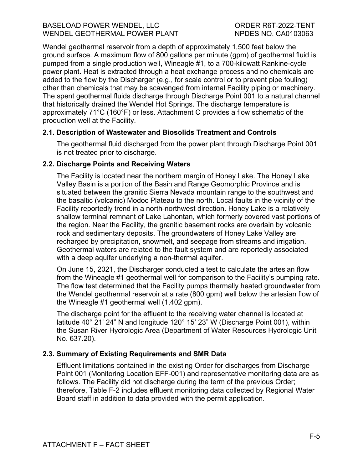#### BASELOAD POWER WENDEL, LLC ORDER R6T-2022-TENT WENDEL GEOTHERMAL POWER PLANT NPDES NO. CA0103063

Wendel geothermal reservoir from a depth of approximately 1,500 feet below the ground surface. A maximum flow of 800 gallons per minute (gpm) of geothermal fluid is pumped from a single production well, Wineagle #1, to a 700-kilowatt Rankine-cycle power plant. Heat is extracted through a heat exchange process and no chemicals are added to the flow by the Discharger (e.g., for scale control or to prevent pipe fouling) other than chemicals that may be scavenged from internal Facility piping or machinery. The spent geothermal fluids discharge through Discharge Point 001 to a natural channel that historically drained the Wendel Hot Springs. The discharge temperature is approximately 71°C (160°F) or less. Attachment C provides a flow schematic of the production well at the Facility.

### <span id="page-50-0"></span>**2.1. Description of Wastewater and Biosolids Treatment and Controls**

The geothermal fluid discharged from the power plant through Discharge Point 001 is not treated prior to discharge.

### <span id="page-50-1"></span>**2.2. Discharge Points and Receiving Waters**

The Facility is located near the northern margin of Honey Lake. The Honey Lake Valley Basin is a portion of the Basin and Range Geomorphic Province and is situated between the granitic Sierra Nevada mountain range to the southwest and the basaltic (volcanic) Modoc Plateau to the north. Local faults in the vicinity of the Facility reportedly trend in a north-northwest direction. Honey Lake is a relatively shallow terminal remnant of Lake Lahontan, which formerly covered vast portions of the region. Near the Facility, the granitic basement rocks are overlain by volcanic rock and sedimentary deposits. The groundwaters of Honey Lake Valley are recharged by precipitation, snowmelt, and seepage from streams and irrigation. Geothermal waters are related to the fault system and are reportedly associated with a deep aquifer underlying a non-thermal aquifer.

On June 15, 2021, the Discharger conducted a test to calculate the artesian flow from the Wineagle #1 geothermal well for comparison to the Facility's pumping rate. The flow test determined that the Facility pumps thermally heated groundwater from the Wendel geothermal reservoir at a rate (800 gpm) well below the artesian flow of the Wineagle #1 geothermal well (1,402 gpm).

The discharge point for the effluent to the receiving water channel is located at latitude 40° 21' 24" N and longitude 120° 15' 23" W (Discharge Point 001), within the Susan River Hydrologic Area (Department of Water Resources Hydrologic Unit No. 637.20).

## <span id="page-50-2"></span>**2.3. Summary of Existing Requirements and SMR Data**

Effluent limitations contained in the existing Order for discharges from Discharge Point 001 (Monitoring Location EFF-001) and representative monitoring data are as follows. The Facility did not discharge during the term of the previous Order; therefore, Table F-2 includes effluent monitoring data collected by Regional Water Board staff in addition to data provided with the permit application.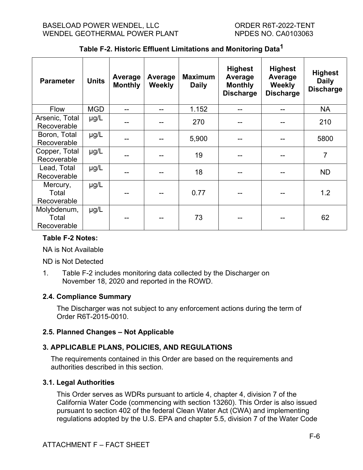<span id="page-51-4"></span>

| <b>Parameter</b>                    | <b>Units</b> | Average<br><b>Monthly</b> | Average<br><b>Weekly</b> | <b>Maximum</b><br><b>Daily</b> | <b>Highest</b><br>Average<br><b>Monthly</b><br><b>Discharge</b> | <b>Highest</b><br>Average<br><b>Weekly</b><br><b>Discharge</b> | <b>Highest</b><br><b>Daily</b><br><b>Discharge</b> |
|-------------------------------------|--------------|---------------------------|--------------------------|--------------------------------|-----------------------------------------------------------------|----------------------------------------------------------------|----------------------------------------------------|
| <b>Flow</b>                         | <b>MGD</b>   | --                        | --                       | 1.152                          | --                                                              |                                                                | <b>NA</b>                                          |
| Arsenic, Total<br>Recoverable       | $\mu$ g/L    | --                        |                          | 270                            |                                                                 |                                                                | 210                                                |
| Boron, Total<br>Recoverable         | $\mu$ g/L    | --                        | --                       | 5,900                          |                                                                 |                                                                | 5800                                               |
| Copper, Total<br>Recoverable        | $\mu$ g/L    |                           |                          | 19                             |                                                                 |                                                                | $\overline{7}$                                     |
| Lead, Total<br>Recoverable          | $\mu$ g/L    | --                        |                          | 18                             |                                                                 |                                                                | <b>ND</b>                                          |
| Mercury,<br>Total<br>Recoverable    | $\mu$ g/L    |                           |                          | 0.77                           |                                                                 |                                                                | 1.2                                                |
| Molybdenum,<br>Total<br>Recoverable | $\mu$ g/L    |                           |                          | 73                             |                                                                 |                                                                | 62                                                 |

**Table F-2. Historic Effluent Limitations and Monitoring Data1**

## **Table F-2 Notes:**

NA is Not Available

ND is Not Detected

1. Table F-2 includes monitoring data collected by the Discharger on November 18, 2020 and reported in the ROWD.

## <span id="page-51-0"></span>**2.4. Compliance Summary**

The Discharger was not subject to any enforcement actions during the term of Order R6T-2015-0010.

## <span id="page-51-1"></span>**2.5. Planned Changes – Not Applicable**

# <span id="page-51-2"></span>**3. APPLICABLE PLANS, POLICIES, AND REGULATIONS**

The requirements contained in this Order are based on the requirements and authorities described in this section.

## <span id="page-51-3"></span>**3.1. Legal Authorities**

This Order serves as WDRs pursuant to article 4, chapter 4, division 7 of the California Water Code (commencing with section 13260). This Order is also issued pursuant to section 402 of the federal Clean Water Act (CWA) and implementing regulations adopted by the U.S. EPA and chapter 5.5, division 7 of the Water Code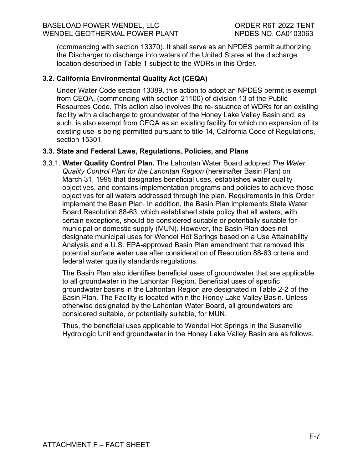(commencing with section 13370). It shall serve as an NPDES permit authorizing the Discharger to discharge into waters of the United States at the discharge location described in Table 1 subject to the WDRs in this Order.

## <span id="page-52-0"></span>**3.2. California Environmental Quality Act (CEQA)**

Under Water Code section 13389, this action to adopt an NPDES permit is exempt from CEQA, (commencing with section 21100) of division 13 of the Public Resources Code. This action also involves the re-issuance of WDRs for an existing facility with a discharge to groundwater of the Honey Lake Valley Basin and, as such, is also exempt from CEQA as an existing facility for which no expansion of its existing use is being permitted pursuant to title 14, California Code of Regulations, section 15301.

## <span id="page-52-1"></span>**3.3. State and Federal Laws, Regulations, Policies, and Plans**

3.3.1. **Water Quality Control Plan.** The Lahontan Water Board adopted *The Water Quality Control Plan for the Lahontan Region* (hereinafter Basin Plan) on March 31, 1995 that designates beneficial uses, establishes water quality objectives, and contains implementation programs and policies to achieve those objectives for all waters addressed through the plan. Requirements in this Order implement the Basin Plan. In addition, the Basin Plan implements State Water Board Resolution 88-63, which established state policy that all waters, with certain exceptions, should be considered suitable or potentially suitable for municipal or domestic supply (MUN). However, the Basin Plan does not designate municipal uses for Wendel Hot Springs based on a Use Attainability Analysis and a U.S. EPA-approved Basin Plan amendment that removed this potential surface water use after consideration of Resolution 88-63 criteria and federal water quality standards regulations.

The Basin Plan also identifies beneficial uses of groundwater that are applicable to all groundwater in the Lahontan Region. Beneficial uses of specific groundwater basins in the Lahontan Region are designated in Table 2-2 of the Basin Plan. The Facility is located within the Honey Lake Valley Basin. Unless otherwise designated by the Lahontan Water Board, all groundwaters are considered suitable, or potentially suitable, for MUN.

Thus, the beneficial uses applicable to Wendel Hot Springs in the Susanville Hydrologic Unit and groundwater in the Honey Lake Valley Basin are as follows.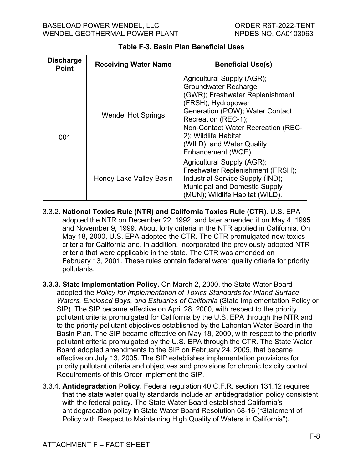<span id="page-53-0"></span>

| <b>Discharge</b><br><b>Point</b> | <b>Receiving Water Name</b> | <b>Beneficial Use(s)</b>                                                                                                                                                                                                                                                                      |
|----------------------------------|-----------------------------|-----------------------------------------------------------------------------------------------------------------------------------------------------------------------------------------------------------------------------------------------------------------------------------------------|
| 001                              | <b>Wendel Hot Springs</b>   | Agricultural Supply (AGR);<br><b>Groundwater Recharge</b><br>(GWR); Freshwater Replenishment<br>(FRSH); Hydropower<br>Generation (POW); Water Contact<br>Recreation (REC-1);<br>Non-Contact Water Recreation (REC-<br>2); Wildlife Habitat<br>(WILD); and Water Quality<br>Enhancement (WQE). |
|                                  | Honey Lake Valley Basin     | Agricultural Supply (AGR);<br>Freshwater Replenishment (FRSH);<br>Industrial Service Supply (IND);<br><b>Municipal and Domestic Supply</b><br>(MUN); Wildlife Habitat (WILD).                                                                                                                 |

## **Table F-3. Basin Plan Beneficial Uses**

- 3.3.2. **National Toxics Rule (NTR) and California Toxics Rule (CTR).** U.S. EPA adopted the NTR on December 22, 1992, and later amended it on May 4, 1995 and November 9, 1999. About forty criteria in the NTR applied in California. On May 18, 2000, U.S. EPA adopted the CTR. The CTR promulgated new toxics criteria for California and, in addition, incorporated the previously adopted NTR criteria that were applicable in the state. The CTR was amended on February 13, 2001. These rules contain federal water quality criteria for priority pollutants.
- **3.3.3. State Implementation Policy.** On March 2, 2000, the State Water Board adopted the *Policy for Implementation of Toxics Standards for Inland Surface Waters, Enclosed Bays, and Estuaries of California* (State Implementation Policy or SIP). The SIP became effective on April 28, 2000, with respect to the priority pollutant criteria promulgated for California by the U.S. EPA through the NTR and to the priority pollutant objectives established by the Lahontan Water Board in the Basin Plan. The SIP became effective on May 18, 2000, with respect to the priority pollutant criteria promulgated by the U.S. EPA through the CTR. The State Water Board adopted amendments to the SIP on February 24, 2005, that became effective on July 13, 2005. The SIP establishes implementation provisions for priority pollutant criteria and objectives and provisions for chronic toxicity control. Requirements of this Order implement the SIP.
- 3.3.4. **Antidegradation Policy.** Federal regulation 40 C.F.R. section 131.12 requires that the state water quality standards include an antidegradation policy consistent with the federal policy. The State Water Board established California's antidegradation policy in State Water Board Resolution 68-16 ("Statement of Policy with Respect to Maintaining High Quality of Waters in California").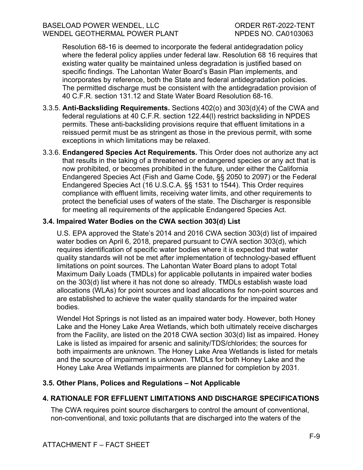Resolution 68-16 is deemed to incorporate the federal antidegradation policy where the federal policy applies under federal law. Resolution 68 16 requires that existing water quality be maintained unless degradation is justified based on specific findings. The Lahontan Water Board's Basin Plan implements, and incorporates by reference, both the State and federal antidegradation policies. The permitted discharge must be consistent with the antidegradation provision of 40 C.F.R. section 131.12 and State Water Board Resolution 68-16.

- 3.3.5. **Anti-Backsliding Requirements.** Sections 402(o) and 303(d)(4) of the CWA and federal regulations at 40 C.F.R. section 122.44(l) restrict backsliding in NPDES permits. These anti-backsliding provisions require that effluent limitations in a reissued permit must be as stringent as those in the previous permit, with some exceptions in which limitations may be relaxed.
- 3.3.6. **Endangered Species Act Requirements.** This Order does not authorize any act that results in the taking of a threatened or endangered species or any act that is now prohibited, or becomes prohibited in the future, under either the California Endangered Species Act (Fish and Game Code, §§ 2050 to 2097) or the Federal Endangered Species Act (16 U.S.C.A. §§ 1531 to 1544). This Order requires compliance with effluent limits, receiving water limits, and other requirements to protect the beneficial uses of waters of the state. The Discharger is responsible for meeting all requirements of the applicable Endangered Species Act.

## <span id="page-54-0"></span>**3.4. Impaired Water Bodies on the CWA section 303(d) List**

U.S. EPA approved the State's 2014 and 2016 CWA section 303(d) list of impaired water bodies on April 6, 2018, prepared pursuant to CWA section 303(d), which requires identification of specific water bodies where it is expected that water quality standards will not be met after implementation of technology-based effluent limitations on point sources. The Lahontan Water Board plans to adopt Total Maximum Daily Loads (TMDLs) for applicable pollutants in impaired water bodies on the 303(d) list where it has not done so already. TMDLs establish waste load allocations (WLAs) for point sources and load allocations for non-point sources and are established to achieve the water quality standards for the impaired water bodies.

Wendel Hot Springs is not listed as an impaired water body. However, both Honey Lake and the Honey Lake Area Wetlands, which both ultimately receive discharges from the Facility, are listed on the 2018 CWA section 303(d) list as impaired. Honey Lake is listed as impaired for arsenic and salinity/TDS/chlorides; the sources for both impairments are unknown. The Honey Lake Area Wetlands is listed for metals and the source of impairment is unknown. TMDLs for both Honey Lake and the Honey Lake Area Wetlands impairments are planned for completion by 2031.

## <span id="page-54-1"></span>**3.5. Other Plans, Polices and Regulations – Not Applicable**

# <span id="page-54-2"></span>**4. RATIONALE FOR EFFLUENT LIMITATIONS AND DISCHARGE SPECIFICATIONS**

The CWA requires point source dischargers to control the amount of conventional, non-conventional, and toxic pollutants that are discharged into the waters of the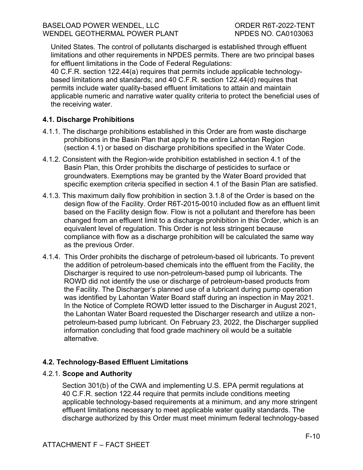United States. The control of pollutants discharged is established through effluent limitations and other requirements in NPDES permits. There are two principal bases for effluent limitations in the Code of Federal Regulations:

40 C.F.R. section 122.44(a) requires that permits include applicable technologybased limitations and standards; and 40 C.F.R. section 122.44(d) requires that permits include water quality-based effluent limitations to attain and maintain applicable numeric and narrative water quality criteria to protect the beneficial uses of the receiving water.

## <span id="page-55-0"></span>**4.1. Discharge Prohibitions**

- 4.1.1. The discharge prohibitions established in this Order are from waste discharge prohibitions in the Basin Plan that apply to the entire Lahontan Region (section 4.1) or based on discharge prohibitions specified in the Water Code.
- 4.1.2. Consistent with the Region-wide prohibition established in section 4.1 of the Basin Plan, this Order prohibits the discharge of pesticides to surface or groundwaters. Exemptions may be granted by the Water Board provided that specific exemption criteria specified in section 4.1 of the Basin Plan are satisfied.
- 4.1.3. This maximum daily flow prohibition in section 3.1.8 of the Order is based on the design flow of the Facility. Order R6T-2015-0010 included flow as an effluent limit based on the Facility design flow. Flow is not a pollutant and therefore has been changed from an effluent limit to a discharge prohibition in this Order, which is an equivalent level of regulation. This Order is not less stringent because compliance with flow as a discharge prohibition will be calculated the same way as the previous Order.
- 4.1.4. This Order prohibits the discharge of petroleum-based oil lubricants. To prevent the addition of petroleum-based chemicals into the effluent from the Facility, the Discharger is required to use non-petroleum-based pump oil lubricants. The ROWD did not identify the use or discharge of petroleum-based products from the Facility. The Discharger's planned use of a lubricant during pump operation was identified by Lahontan Water Board staff during an inspection in May 2021. In the Notice of Complete ROWD letter issued to the Discharger in August 2021, the Lahontan Water Board requested the Discharger research and utilize a nonpetroleum-based pump lubricant. On February 23, 2022, the Discharger supplied information concluding that food grade machinery oil would be a suitable alternative.

# <span id="page-55-1"></span>**4.2. Technology-Based Effluent Limitations**

# 4.2.1. **Scope and Authority**

Section 301(b) of the CWA and implementing U.S. EPA permit regulations at 40 C.F.R. section 122.44 require that permits include conditions meeting applicable technology-based requirements at a minimum, and any more stringent effluent limitations necessary to meet applicable water quality standards. The discharge authorized by this Order must meet minimum federal technology-based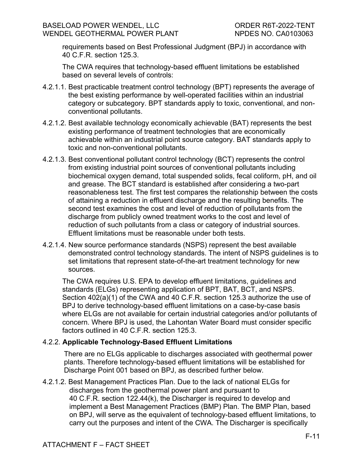requirements based on Best Professional Judgment (BPJ) in accordance with 40 C.F.R. section 125.3.

The CWA requires that technology-based effluent limitations be established based on several levels of controls:

- 4.2.1.1. Best practicable treatment control technology (BPT) represents the average of the best existing performance by well-operated facilities within an industrial category or subcategory. BPT standards apply to toxic, conventional, and nonconventional pollutants.
- 4.2.1.2. Best available technology economically achievable (BAT) represents the best existing performance of treatment technologies that are economically achievable within an industrial point source category. BAT standards apply to toxic and non-conventional pollutants.
- 4.2.1.3. Best conventional pollutant control technology (BCT) represents the control from existing industrial point sources of conventional pollutants including biochemical oxygen demand, total suspended solids, fecal coliform, pH, and oil and grease. The BCT standard is established after considering a two-part reasonableness test. The first test compares the relationship between the costs of attaining a reduction in effluent discharge and the resulting benefits. The second test examines the cost and level of reduction of pollutants from the discharge from publicly owned treatment works to the cost and level of reduction of such pollutants from a class or category of industrial sources. Effluent limitations must be reasonable under both tests.
- 4.2.1.4. New source performance standards (NSPS) represent the best available demonstrated control technology standards. The intent of NSPS guidelines is to set limitations that represent state-of-the-art treatment technology for new sources.

The CWA requires U.S. EPA to develop effluent limitations, guidelines and standards (ELGs) representing application of BPT, BAT, BCT, and NSPS. Section 402(a)(1) of the CWA and 40 C.F.R. section 125.3 authorize the use of BPJ to derive technology-based effluent limitations on a case-by-case basis where ELGs are not available for certain industrial categories and/or pollutants of concern. Where BPJ is used, the Lahontan Water Board must consider specific factors outlined in 40 C.F.R. section 125.3.

## 4.2.2. **Applicable Technology-Based Effluent Limitations**

There are no ELGs applicable to discharges associated with geothermal power plants. Therefore technology-based effluent limitations will be established for Discharge Point 001 based on BPJ, as described further below.

4.2.1.2. Best Management Practices Plan. Due to the lack of national ELGs for discharges from the geothermal power plant and pursuant to 40 C.F.R. section 122.44(k), the Discharger is required to develop and implement a Best Management Practices (BMP) Plan. The BMP Plan, based on BPJ, will serve as the equivalent of technology-based effluent limitations, to carry out the purposes and intent of the CWA. The Discharger is specifically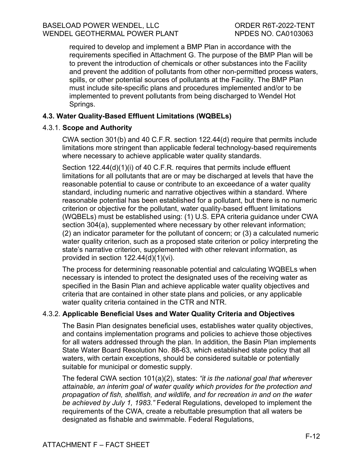required to develop and implement a BMP Plan in accordance with the requirements specified in Attachment G. The purpose of the BMP Plan will be to prevent the introduction of chemicals or other substances into the Facility and prevent the addition of pollutants from other non-permitted process waters, spills, or other potential sources of pollutants at the Facility. The BMP Plan must include site-specific plans and procedures implemented and/or to be implemented to prevent pollutants from being discharged to Wendel Hot Springs.

## <span id="page-57-0"></span>**4.3. Water Quality-Based Effluent Limitations (WQBELs)**

#### 4.3.1. **Scope and Authority**

CWA section 301(b) and 40 C.F.R. section 122.44(d) require that permits include limitations more stringent than applicable federal technology-based requirements where necessary to achieve applicable water quality standards.

Section 122.44(d)(1)(i) of 40 C.F.R. requires that permits include effluent limitations for all pollutants that are or may be discharged at levels that have the reasonable potential to cause or contribute to an exceedance of a water quality standard, including numeric and narrative objectives within a standard. Where reasonable potential has been established for a pollutant, but there is no numeric criterion or objective for the pollutant, water quality-based effluent limitations (WQBELs) must be established using: (1) U.S. EPA criteria guidance under CWA section 304(a), supplemented where necessary by other relevant information; (2) an indicator parameter for the pollutant of concern; or (3) a calculated numeric water quality criterion, such as a proposed state criterion or policy interpreting the state's narrative criterion, supplemented with other relevant information, as provided in section 122.44(d)(1)(vi).

The process for determining reasonable potential and calculating WQBELs when necessary is intended to protect the designated uses of the receiving water as specified in the Basin Plan and achieve applicable water quality objectives and criteria that are contained in other state plans and policies, or any applicable water quality criteria contained in the CTR and NTR.

#### 4.3.2. **Applicable Beneficial Uses and Water Quality Criteria and Objectives**

The Basin Plan designates beneficial uses, establishes water quality objectives, and contains implementation programs and policies to achieve those objectives for all waters addressed through the plan. In addition, the Basin Plan implements State Water Board Resolution No. 88-63, which established state policy that all waters, with certain exceptions, should be considered suitable or potentially suitable for municipal or domestic supply.

The federal CWA section 101(a)(2), states: *"it is the national goal that wherever attainable, an interim goal of water quality which provides for the protection and propagation of fish, shellfish, and wildlife, and for recreation in and on the water be achieved by July 1, 1983."* Federal Regulations, developed to implement the requirements of the CWA, create a rebuttable presumption that all waters be designated as fishable and swimmable. Federal Regulations,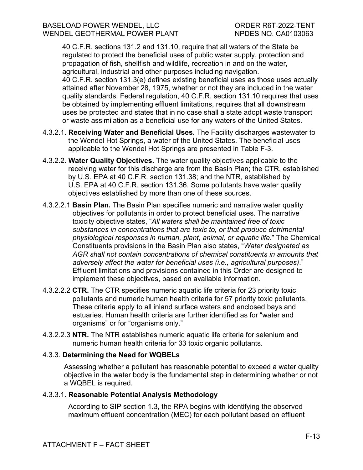#### BASELOAD POWER WENDEL, LLC ORDER R6T-2022-TENT WENDEL GEOTHERMAL POWER PLANT NPDES NO. CA0103063

40 C.F.R. sections 131.2 and 131.10, require that all waters of the State be regulated to protect the beneficial uses of public water supply, protection and propagation of fish, shellfish and wildlife, recreation in and on the water, agricultural, industrial and other purposes including navigation. 40 C.F.R. section 131.3(e) defines existing beneficial uses as those uses actually attained after November 28, 1975, whether or not they are included in the water quality standards. Federal regulation, 40 C.F.R. section 131.10 requires that uses be obtained by implementing effluent limitations, requires that all downstream uses be protected and states that in no case shall a state adopt waste transport or waste assimilation as a beneficial use for any waters of the United States.

- 4.3.2.1. **Receiving Water and Beneficial Uses.** The Facility discharges wastewater to the Wendel Hot Springs, a water of the United States. The beneficial uses applicable to the Wendel Hot Springs are presented in Table F-3.
- 4.3.2.2. **Water Quality Objectives.** The water quality objectives applicable to the receiving water for this discharge are from the Basin Plan; the CTR, established by U.S. EPA at 40 C.F.R. section 131.38; and the NTR, established by U.S. EPA at 40 C.F.R. section 131.36. Some pollutants have water quality objectives established by more than one of these sources.
- 4.3.2.2.1 **Basin Plan.** The Basin Plan specifies numeric and narrative water quality objectives for pollutants in order to protect beneficial uses. The narrative toxicity objective states, "*All waters shall be maintained free of toxic substances in concentrations that are toxic to, or that produce detrimental physiological responses in human, plant, animal, or aquatic life*." The Chemical Constituents provisions in the Basin Plan also states, "*Water designated as AGR shall not contain concentrations of chemical constituents in amounts that adversely affect the water for beneficial uses (i.e., agricultural purposes)*." Effluent limitations and provisions contained in this Order are designed to implement these objectives, based on available information.
- 4.3.2.2.2 **CTR.** The CTR specifies numeric aquatic life criteria for 23 priority toxic pollutants and numeric human health criteria for 57 priority toxic pollutants. These criteria apply to all inland surface waters and enclosed bays and estuaries. Human health criteria are further identified as for "water and organisms" or for "organisms only."
- 4.3.2.2.3 **NTR.** The NTR establishes numeric aquatic life criteria for selenium and numeric human health criteria for 33 toxic organic pollutants.

## 4.3.3. **Determining the Need for WQBELs**

Assessing whether a pollutant has reasonable potential to exceed a water quality objective in the water body is the fundamental step in determining whether or not a WQBEL is required.

#### 4.3.3.1. **Reasonable Potential Analysis Methodology**

According to SIP section 1.3, the RPA begins with identifying the observed maximum effluent concentration (MEC) for each pollutant based on effluent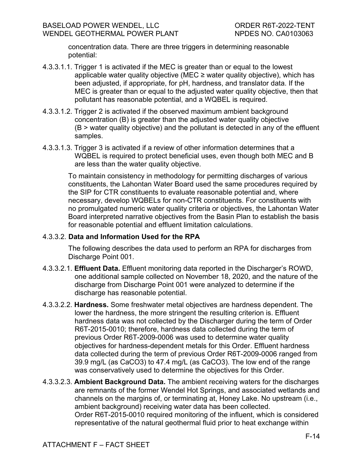concentration data. There are three triggers in determining reasonable potential:

- 4.3.3.1.1. Trigger 1 is activated if the MEC is greater than or equal to the lowest applicable water quality objective (MEC  $\geq$  water quality objective), which has been adjusted, if appropriate, for pH, hardness, and translator data. If the MEC is greater than or equal to the adjusted water quality objective, then that pollutant has reasonable potential, and a WQBEL is required.
- 4.3.3.1.2. Trigger 2 is activated if the observed maximum ambient background concentration (B) is greater than the adjusted water quality objective (B > water quality objective) and the pollutant is detected in any of the effluent samples.
- 4.3.3.1.3. Trigger 3 is activated if a review of other information determines that a WQBEL is required to protect beneficial uses, even though both MEC and B are less than the water quality objective.

To maintain consistency in methodology for permitting discharges of various constituents, the Lahontan Water Board used the same procedures required by the SIP for CTR constituents to evaluate reasonable potential and, where necessary, develop WQBELs for non-CTR constituents. For constituents with no promulgated numeric water quality criteria or objectives, the Lahontan Water Board interpreted narrative objectives from the Basin Plan to establish the basis for reasonable potential and effluent limitation calculations.

#### 4.3.3.2. **Data and Information Used for the RPA**

The following describes the data used to perform an RPA for discharges from Discharge Point 001.

- 4.3.3.2.1. **Effluent Data.** Effluent monitoring data reported in the Discharger's ROWD, one additional sample collected on November 18, 2020, and the nature of the discharge from Discharge Point 001 were analyzed to determine if the discharge has reasonable potential.
- 4.3.3.2.2. **Hardness.** Some freshwater metal objectives are hardness dependent. The lower the hardness, the more stringent the resulting criterion is. Effluent hardness data was not collected by the Discharger during the term of Order R6T-2015-0010; therefore, hardness data collected during the term of previous Order R6T-2009-0006 was used to determine water quality objectives for hardness-dependent metals for this Order. Effluent hardness data collected during the term of previous Order R6T-2009-0006 ranged from 39.9 mg/L (as CaCO3) to 47.4 mg/L (as CaCO3). The low end of the range was conservatively used to determine the objectives for this Order.
- 4.3.3.2.3. **Ambient Background Data.** The ambient receiving waters for the discharges are remnants of the former Wendel Hot Springs, and associated wetlands and channels on the margins of, or terminating at, Honey Lake. No upstream (i.e., ambient background) receiving water data has been collected. Order R6T-2015-0010 required monitoring of the influent, which is considered representative of the natural geothermal fluid prior to heat exchange within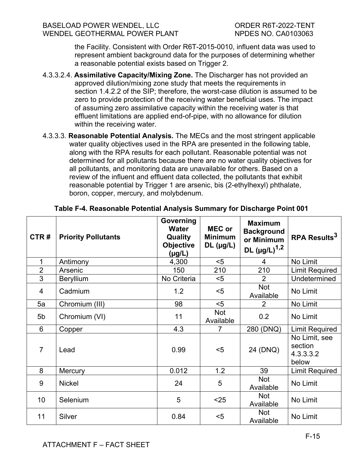the Facility. Consistent with Order R6T-2015-0010, influent data was used to represent ambient background data for the purposes of determining whether a reasonable potential exists based on Trigger 2.

- 4.3.3.2.4. **Assimilative Capacity/Mixing Zone.** The Discharger has not provided an approved dilution/mixing zone study that meets the requirements in section 1.4.2.2 of the SIP; therefore, the worst-case dilution is assumed to be zero to provide protection of the receiving water beneficial uses. The impact of assuming zero assimilative capacity within the receiving water is that effluent limitations are applied end-of-pipe, with no allowance for dilution within the receiving water.
- 4.3.3.3. **Reasonable Potential Analysis.** The MECs and the most stringent applicable water quality objectives used in the RPA are presented in the following table, along with the RPA results for each pollutant. Reasonable potential was not determined for all pollutants because there are no water quality objectives for all pollutants, and monitoring data are unavailable for others. Based on a review of the influent and effluent data collected, the pollutants that exhibit reasonable potential by Trigger 1 are arsenic, bis (2-ethylhexyl) phthalate, boron, copper, mercury, and molybdenum.

| CTR#            | <b>Priority Pollutants</b> | Governing<br><b>Water</b><br><b>Quality</b><br><b>Objective</b><br>$(\mu g/L)$ | <b>MEC or</b><br><b>Minimum</b><br>$DL$ (µg/L) | <b>Maximum</b><br><b>Background</b><br>or Minimum<br>DL $(\mu g/L)^{1,2}$ | <b>RPA Results<sup>3</sup></b>                 |
|-----------------|----------------------------|--------------------------------------------------------------------------------|------------------------------------------------|---------------------------------------------------------------------------|------------------------------------------------|
| 1               | Antimony                   | 4,300                                                                          | $5$                                            | $\overline{4}$                                                            | No Limit                                       |
| $\overline{2}$  | Arsenic                    | 150                                                                            | 210                                            | 210                                                                       | <b>Limit Required</b>                          |
| 3               | <b>Beryllium</b>           | No Criteria                                                                    | $5$                                            | $\overline{2}$                                                            | Undetermined                                   |
| 4               | Cadmium                    | 1.2                                                                            | $5$                                            | Not<br>Available                                                          | No Limit                                       |
| 5a              | Chromium (III)             | 98                                                                             | $5$                                            | 2                                                                         | No Limit                                       |
| 5 <sub>b</sub>  | Chromium (VI)              | 11                                                                             | <b>Not</b><br>Available                        | 0.2                                                                       | No Limit                                       |
| 6               | Copper                     | 4.3                                                                            | $\overline{7}$                                 | 280 (DNQ)                                                                 | <b>Limit Required</b>                          |
| $\overline{7}$  | Lead                       | 0.99                                                                           | $5$                                            | 24 (DNQ)                                                                  | No Limit, see<br>section<br>4.3.3.3.2<br>below |
| 8               | Mercury                    | 0.012                                                                          | 1.2                                            | 39                                                                        | <b>Limit Required</b>                          |
| 9               | <b>Nickel</b>              | 24                                                                             | 5                                              | Not<br>Available                                                          | No Limit                                       |
| 10 <sup>1</sup> | Selenium                   | 5                                                                              | $25$                                           | <b>Not</b><br>Available                                                   | No Limit                                       |
| 11              | Silver                     | 0.84                                                                           | $5$                                            | Not<br>Available                                                          | No Limit                                       |

## <span id="page-60-0"></span>**Table F-4. Reasonable Potential Analysis Summary for Discharge Point 001**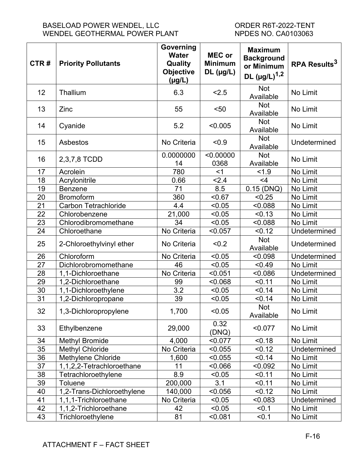#### BASELOAD POWER WENDEL, LLC<br>
WENDEL GEOTHERMAL POWER PLANT
WENDEL GEOTHERMAL
NER PLANT
UNERER SURFALL TOWER PLANT
UNER WENDEL GEOTHERMAL POWER PLANT

| CTR#            | <b>Priority Pollutants</b>  | Governing<br><b>Water</b><br>Quality<br><b>Objective</b><br>$(\mu g/L)$ | <b>MEC or</b><br><b>Minimum</b><br>$DL$ (µg/L) | <b>Maximum</b><br><b>Background</b><br>or Minimum<br>DL $(\mu g/L)^{1,2}$ | RPA Results <sup>3</sup> |
|-----------------|-----------------------------|-------------------------------------------------------------------------|------------------------------------------------|---------------------------------------------------------------------------|--------------------------|
| 12              | Thallium                    | 6.3                                                                     | 2.5                                            | <b>Not</b><br>Available                                                   | No Limit                 |
| 13              | Zinc                        | 55                                                                      | $50$                                           | Not<br>Available                                                          | No Limit                 |
| 14              | Cyanide                     | 5.2                                                                     | < 0.005                                        | <b>Not</b><br>Available                                                   | No Limit                 |
| 15              | Asbestos                    | No Criteria                                                             | < 0.9                                          | <b>Not</b><br>Available                                                   | Undetermined             |
| 16              | 2,3,7,8 TCDD                | 0.0000000<br>14                                                         | < 0.00000<br>0368                              | <b>Not</b><br>Available                                                   | No Limit                 |
| 17              | Acrolein                    | 780                                                                     | $<$ 1                                          | 1.9                                                                       | No Limit                 |
| 18              | Acrylonitrile               | 0.66                                                                    | 2.4                                            | $<$ 4                                                                     | No Limit                 |
| 19              | Benzene                     | 71                                                                      | 8.5                                            | $0.15$ (DNQ)                                                              | No Limit                 |
| 20              | <b>Bromoform</b>            | 360                                                                     | < 0.67                                         | < 0.25                                                                    | No Limit                 |
| 21              | <b>Carbon Tetrachloride</b> | 4.4                                                                     | < 0.05                                         | < 0.088                                                                   | No Limit                 |
| 22              | Chlorobenzene               | 21,000                                                                  | < 0.05                                         | < 0.13                                                                    | No Limit                 |
| 23              | Chlorodibromomethane        | 34                                                                      | < 0.05                                         | < 0.088                                                                   | No Limit                 |
| 24              | Chloroethane                | No Criteria                                                             | < 0.057                                        | < 0.12                                                                    | Undetermined             |
| 25              | 2-Chloroethylvinyl ether    | No Criteria                                                             | < 0.2                                          | Not<br>Available                                                          | Undetermined             |
| 26              | Chloroform                  | No Criteria                                                             | < 0.05                                         | < 0.098                                                                   | Undetermined             |
| 27              | Dichlorobromomethane        | 46                                                                      | < 0.05                                         | < 0.49                                                                    | No Limit                 |
| 28              | 1,1-Dichloroethane          | No Criteria                                                             | < 0.051                                        | < 0.086                                                                   | Undetermined             |
| 29              | 1,2-Dichloroethane          | 99                                                                      | < 0.068                                        | < 0.11                                                                    | No Limit                 |
| 30              | 1,1-Dichloroethylene        | 3.2                                                                     | < 0.05                                         | < 0.14                                                                    | No Limit                 |
| 31              | 1,2-Dichloropropane         | 39                                                                      | < 0.05                                         | < 0.14                                                                    | No Limit                 |
| 32              | 1,3-Dichloropropylene       | 1,700                                                                   | < 0.05                                         | Not<br>Available                                                          | No Limit                 |
| 33              | Ethylbenzene                | 29,000                                                                  | 0.32<br>(DNQ)                                  | < 0.077                                                                   | No Limit                 |
| 34              | <b>Methyl Bromide</b>       | 4,000                                                                   | < 0.077                                        | < 0.18                                                                    | No Limit                 |
| 35              | <b>Methyl Chloride</b>      | No Criteria                                                             | < 0.055                                        | < 0.12                                                                    | Undetermined             |
| 36              | Methylene Chloride          | 1,600                                                                   | < 0.055                                        | < 0.14                                                                    | No Limit                 |
| $\overline{37}$ | 1,1,2,2-Tetrachloroethane   | 11                                                                      | 0.066                                          | < 0.092                                                                   | No Limit                 |
| 38              | Tetrachloroethylene         | 8.9                                                                     | < 0.05                                         | < 0.11                                                                    | No Limit                 |
| 39              | <b>Toluene</b>              | 200,000                                                                 | 3.1                                            | < 0.11                                                                    | No Limit                 |
| 40              | 1,2-Trans-Dichloroethylene  | 140,000                                                                 | < 0.056                                        | < 0.12                                                                    | No Limit                 |
| 41              | 1,1,1-Trichloroethane       | No Criteria                                                             | < 0.05                                         | < 0.083                                                                   | Undetermined             |
| 42              | 1,1,2-Trichloroethane       | 42                                                                      | < 0.05                                         | < 0.1                                                                     | No Limit                 |
| 43              | Trichloroethylene           | 81                                                                      | < 0.081                                        | < 0.1                                                                     | No Limit                 |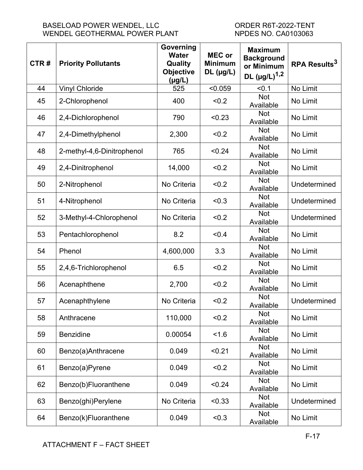### BASELOAD POWER WENDEL, LLC ORDER R6T-2022-TENT WENDEL GEOTHERMAL POWER PLANT NPDES NO. CA0103063

| CTR# | <b>Priority Pollutants</b> | Governing<br><b>Water</b><br>Quality<br><b>Objective</b><br>$(\mu g/L)$ | <b>MEC or</b><br><b>Minimum</b><br>$DL$ (µg/L) | <b>Maximum</b><br><b>Background</b><br>or Minimum<br>DL $(\mu g/L)^{1,2}$ | RPA Results <sup>3</sup> |
|------|----------------------------|-------------------------------------------------------------------------|------------------------------------------------|---------------------------------------------------------------------------|--------------------------|
| 44   | <b>Vinyl Chloride</b>      | 525                                                                     | < 0.059                                        | < 0.1                                                                     | No Limit                 |
| 45   | 2-Chlorophenol             | 400                                                                     | < 0.2                                          | <b>Not</b><br>Available                                                   | No Limit                 |
| 46   | 2,4-Dichlorophenol         | 790                                                                     | < 0.23                                         | <b>Not</b><br>Available                                                   | No Limit                 |
| 47   | 2,4-Dimethylphenol         | 2,300                                                                   | < 0.2                                          | <b>Not</b><br>Available                                                   | No Limit                 |
| 48   | 2-methyl-4,6-Dinitrophenol | 765                                                                     | < 0.24                                         | <b>Not</b><br>Available                                                   | No Limit                 |
| 49   | 2,4-Dinitrophenol          | 14,000                                                                  | < 0.2                                          | <b>Not</b><br>Available                                                   | No Limit                 |
| 50   | 2-Nitrophenol              | No Criteria                                                             | < 0.2                                          | <b>Not</b><br>Available                                                   | Undetermined             |
| 51   | 4-Nitrophenol              | No Criteria                                                             | < 0.3                                          | <b>Not</b><br>Available                                                   | Undetermined             |
| 52   | 3-Methyl-4-Chlorophenol    | No Criteria                                                             | < 0.2                                          | <b>Not</b><br>Available                                                   | Undetermined             |
| 53   | Pentachlorophenol          | 8.2                                                                     | < 0.4                                          | <b>Not</b><br>Available                                                   | No Limit                 |
| 54   | Phenol                     | 4,600,000                                                               | 3.3                                            | Not<br>Available                                                          | No Limit                 |
| 55   | 2,4,6-Trichlorophenol      | 6.5                                                                     | < 0.2                                          | <b>Not</b><br>Available                                                   | No Limit                 |
| 56   | Acenaphthene               | 2,700                                                                   | < 0.2                                          | <b>Not</b><br>Available                                                   | No Limit                 |
| 57   | Acenaphthylene             | No Criteria                                                             | < 0.2                                          | <b>Not</b><br>Available                                                   | Undetermined             |
| 58   | Anthracene                 | 110,000                                                                 | < 0.2                                          | Not<br>Available                                                          | No Limit                 |
| 59   | <b>Benzidine</b>           | 0.00054                                                                 | 1.6                                            | Not<br>Available                                                          | No Limit                 |
| 60   | Benzo(a)Anthracene         | 0.049                                                                   | < 0.21                                         | Not<br>Available                                                          | No Limit                 |
| 61   | Benzo(a)Pyrene             | 0.049                                                                   | < 0.2                                          | <b>Not</b><br>Available                                                   | No Limit                 |
| 62   | Benzo(b)Fluoranthene       | 0.049                                                                   | < 0.24                                         | Not<br>Available                                                          | No Limit                 |
| 63   | Benzo(ghi)Perylene         | No Criteria                                                             | < 0.33                                         | <b>Not</b><br>Available                                                   | Undetermined             |
| 64   | Benzo(k)Fluoranthene       | 0.049                                                                   | < 0.3                                          | Not<br>Available                                                          | No Limit                 |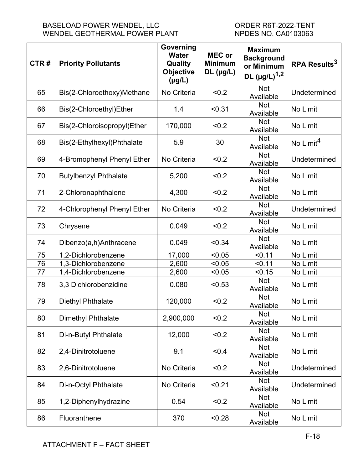| CTR# | <b>Priority Pollutants</b>   | Governing<br><b>Water</b><br>Quality<br><b>Objective</b><br>$(\mu g/L)$ | <b>MEC or</b><br><b>Minimum</b><br>$DL$ (µg/L) | <b>Maximum</b><br><b>Background</b><br>or Minimum<br>DL $(\mu g/L)^{1,2}$ | RPA Results <sup>3</sup> |
|------|------------------------------|-------------------------------------------------------------------------|------------------------------------------------|---------------------------------------------------------------------------|--------------------------|
| 65   | Bis(2-Chloroethoxy)Methane   | No Criteria                                                             | < 0.2                                          | <b>Not</b><br>Available                                                   | Undetermined             |
| 66   | Bis(2-Chloroethyl)Ether      | 1.4                                                                     | < 0.31                                         | Not<br>Available                                                          | No Limit                 |
| 67   | Bis(2-Chloroisopropyl)Ether  | 170,000                                                                 | < 0.2                                          | <b>Not</b><br>Available                                                   | No Limit                 |
| 68   | Bis(2-Ethylhexyl)Phthalate   | 5.9                                                                     | 30                                             | <b>Not</b><br>Available                                                   | No Limit <sup>4</sup>    |
| 69   | 4-Bromophenyl Phenyl Ether   | No Criteria                                                             | < 0.2                                          | <b>Not</b><br>Available                                                   | Undetermined             |
| 70   | <b>Butylbenzyl Phthalate</b> | 5,200                                                                   | < 0.2                                          | <b>Not</b><br>Available                                                   | No Limit                 |
| 71   | 2-Chloronaphthalene          | 4,300                                                                   | < 0.2                                          | <b>Not</b><br>Available                                                   | No Limit                 |
| 72   | 4-Chlorophenyl Phenyl Ether  | No Criteria                                                             | < 0.2                                          | <b>Not</b><br>Available                                                   | Undetermined             |
| 73   | Chrysene                     | 0.049                                                                   | < 0.2                                          | <b>Not</b><br>Available                                                   | No Limit                 |
| 74   | Dibenzo(a,h)Anthracene       | 0.049                                                                   | < 0.34                                         | <b>Not</b><br>Available                                                   | No Limit                 |
| 75   | 1,2-Dichlorobenzene          | 17,000                                                                  | < 0.05                                         | < 0.11                                                                    | No Limit                 |
| 76   | 1,3-Dichlorobenzene          | 2,600                                                                   | < 0.05                                         | < 0.11                                                                    | No Limit                 |
| 77   | 1,4-Dichlorobenzene          | 2,600                                                                   | < 0.05                                         | < 0.15                                                                    | No Limit                 |
| 78   | 3,3 Dichlorobenzidine        | 0.080                                                                   | < 0.53                                         | <b>Not</b><br>Available                                                   | No Limit                 |
| 79   | <b>Diethyl Phthalate</b>     | 120,000                                                                 | < 0.2                                          | <b>Not</b><br>Available                                                   | No Limit                 |
| 80   | <b>Dimethyl Phthalate</b>    | 2,900,000                                                               | < 0.2                                          | <b>Not</b><br>Available                                                   | No Limit                 |
| 81   | Di-n-Butyl Phthalate         | 12,000                                                                  | < 0.2                                          | <b>Not</b><br>Available                                                   | No Limit                 |
| 82   | 2,4-Dinitrotoluene           | 9.1                                                                     | < 0.4                                          | <b>Not</b><br>Available                                                   | No Limit                 |
| 83   | 2,6-Dinitrotoluene           | No Criteria                                                             | < 0.2                                          | <b>Not</b><br>Available                                                   | Undetermined             |
| 84   | Di-n-Octyl Phthalate         | No Criteria                                                             | < 0.21                                         | <b>Not</b><br>Available                                                   | Undetermined             |
| 85   | 1,2-Diphenylhydrazine        | 0.54                                                                    | < 0.2                                          | Not<br>Available                                                          | No Limit                 |
| 86   | Fluoranthene                 | 370                                                                     | < 0.28                                         | <b>Not</b><br>Available                                                   | No Limit                 |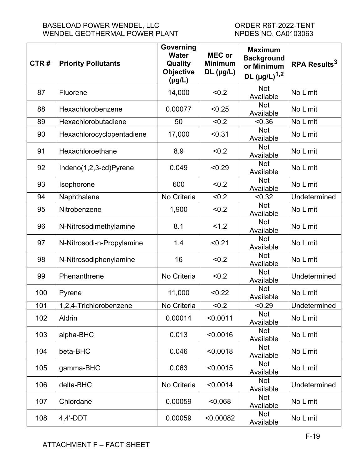| CTR# | <b>Priority Pollutants</b> | Governing<br><b>Water</b><br>Quality<br><b>Objective</b><br>$(\mu g/L)$ | <b>MEC or</b><br><b>Minimum</b><br>$DL$ (µg/L) | <b>Maximum</b><br><b>Background</b><br>or Minimum<br>DL $(\mu g/L)^{1,2}$ | RPA Results <sup>3</sup> |
|------|----------------------------|-------------------------------------------------------------------------|------------------------------------------------|---------------------------------------------------------------------------|--------------------------|
| 87   | Fluorene                   | 14,000                                                                  | < 0.2                                          | <b>Not</b><br>Available                                                   | No Limit                 |
| 88   | Hexachlorobenzene          | 0.00077                                                                 | < 0.25                                         | Not<br>Available                                                          | No Limit                 |
| 89   | Hexachlorobutadiene        | 50                                                                      | < 0.2                                          | < 0.36                                                                    | No Limit                 |
| 90   | Hexachlorocyclopentadiene  | 17,000                                                                  | < 0.31                                         | <b>Not</b><br>Available                                                   | No Limit                 |
| 91   | Hexachloroethane           | 8.9                                                                     | < 0.2                                          | Not<br>Available                                                          | No Limit                 |
| 92   | Indeno(1,2,3-cd)Pyrene     | 0.049                                                                   | < 0.29                                         | <b>Not</b><br>Available                                                   | No Limit                 |
| 93   | Isophorone                 | 600                                                                     | < 0.2                                          | <b>Not</b><br>Available                                                   | No Limit                 |
| 94   | Naphthalene                | No Criteria                                                             | < 0.2                                          | < 0.32                                                                    | Undetermined             |
| 95   | Nitrobenzene               | 1,900                                                                   | < 0.2                                          | <b>Not</b><br>Available                                                   | No Limit                 |
| 96   | N-Nitrosodimethylamine     | 8.1                                                                     | 1.2                                            | <b>Not</b><br>Available                                                   | No Limit                 |
| 97   | N-Nitrosodi-n-Propylamine  | 1.4                                                                     | < 0.21                                         | <b>Not</b><br>Available                                                   | No Limit                 |
| 98   | N-Nitrosodiphenylamine     | 16                                                                      | < 0.2                                          | Not<br>Available                                                          | No Limit                 |
| 99   | Phenanthrene               | No Criteria                                                             | < 0.2                                          | Not<br>Available                                                          | Undetermined             |
| 100  | Pyrene                     | 11,000                                                                  | < 0.22                                         | Not<br>Available                                                          | No Limit                 |
| 101  | 1,2,4-Trichlorobenzene     | No Criteria                                                             | < 0.2                                          | < 0.29                                                                    | Undetermined             |
| 102  | Aldrin                     | 0.00014                                                                 | < 0.0011                                       | <b>Not</b><br>Available                                                   | No Limit                 |
| 103  | alpha-BHC                  | 0.013                                                                   | < 0.0016                                       | <b>Not</b><br>Available                                                   | No Limit                 |
| 104  | beta-BHC                   | 0.046                                                                   | < 0.0018                                       | Not<br>Available                                                          | No Limit                 |
| 105  | gamma-BHC                  | 0.063                                                                   | < 0.0015                                       | Not<br>Available                                                          | No Limit                 |
| 106  | delta-BHC                  | No Criteria                                                             | < 0.0014                                       | <b>Not</b><br>Available                                                   | Undetermined             |
| 107  | Chlordane                  | 0.00059                                                                 | < 0.068                                        | <b>Not</b><br>Available                                                   | No Limit                 |
| 108  | $4,4'$ -DDT                | 0.00059                                                                 | < 0.00082                                      | <b>Not</b><br>Available                                                   | No Limit                 |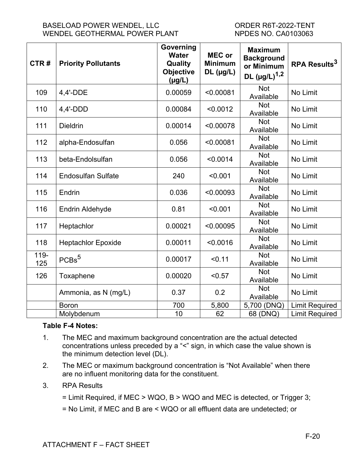| CTR#           | <b>Priority Pollutants</b> | Governing<br><b>Water</b><br>Quality<br><b>Objective</b><br>$(\mu g/L)$ | <b>MEC or</b><br><b>Minimum</b><br>$DL$ (µg/L) | <b>Maximum</b><br><b>Background</b><br>or Minimum<br>DL $(\mu g/L)^{1,2}$ | RPA Results <sup>3</sup> |
|----------------|----------------------------|-------------------------------------------------------------------------|------------------------------------------------|---------------------------------------------------------------------------|--------------------------|
| 109            | 4,4'-DDE                   | 0.00059                                                                 | < 0.00081                                      | <b>Not</b><br>Available                                                   | No Limit                 |
| 110            | $4,4'-DDD$                 | 0.00084                                                                 | < 0.0012                                       | <b>Not</b><br>Available                                                   | No Limit                 |
| 111            | <b>Dieldrin</b>            | 0.00014                                                                 | < 0.00078                                      | <b>Not</b><br>Available                                                   | No Limit                 |
| 112            | alpha-Endosulfan           | 0.056                                                                   | < 0.00081                                      | <b>Not</b><br>Available                                                   | No Limit                 |
| 113            | beta-Endolsulfan           | 0.056                                                                   | < 0.0014                                       | <b>Not</b><br>Available                                                   | No Limit                 |
| 114            | <b>Endosulfan Sulfate</b>  | 240                                                                     | < 0.001                                        | <b>Not</b><br>Available                                                   | No Limit                 |
| 115            | Endrin                     | 0.036                                                                   | < 0.00093                                      | <b>Not</b><br>Available                                                   | No Limit                 |
| 116            | <b>Endrin Aldehyde</b>     | 0.81                                                                    | < 0.001                                        | <b>Not</b><br>Available                                                   | No Limit                 |
| 117            | Heptachlor                 | 0.00021                                                                 | < 0.00095                                      | <b>Not</b><br>Available                                                   | No Limit                 |
| 118            | <b>Heptachlor Epoxide</b>  | 0.00011                                                                 | < 0.0016                                       | <b>Not</b><br>Available                                                   | No Limit                 |
| $119 -$<br>125 | PCBs <sup>5</sup>          | 0.00017                                                                 | < 0.11                                         | <b>Not</b><br>Available                                                   | No Limit                 |
| 126            | Toxaphene                  | 0.00020                                                                 | < 0.57                                         | <b>Not</b><br>Available                                                   | No Limit                 |
|                | Ammonia, as N (mg/L)       | 0.37                                                                    | 0.2                                            | <b>Not</b><br>Available                                                   | No Limit                 |
|                | <b>Boron</b>               | 700                                                                     | 5,800                                          | 5,700 (DNQ)                                                               | <b>Limit Required</b>    |
|                | Molybdenum                 | 10                                                                      | 62                                             | 68 (DNQ)                                                                  | <b>Limit Required</b>    |

## **Table F-4 Notes:**

- 1. The MEC and maximum background concentration are the actual detected concentrations unless preceded by a "<" sign, in which case the value shown is the minimum detection level (DL).
- 2. The MEC or maximum background concentration is "Not Available" when there are no influent monitoring data for the constituent.
- 3. RPA Results
	- = Limit Required, if MEC > WQO, B > WQO and MEC is detected, or Trigger 3;
	- = No Limit, if MEC and B are < WQO or all effluent data are undetected; or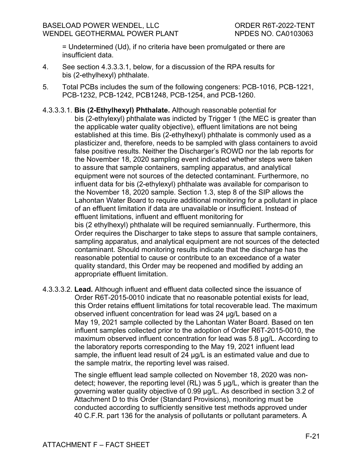appropriate effluent limitation.

= Undetermined (Ud), if no criteria have been promulgated or there are insufficient data.

- 4. See section 4.3.3.3.1, below, for a discussion of the RPA results for bis (2-ethylhexyl) phthalate.
- 5. Total PCBs includes the sum of the following congeners: PCB-1016, PCB-1221, PCB-1232, PCB-1242, PCB1248, PCB-1254, and PCB-1260.
- 4.3.3.3.1. **Bis (2-Ethylhexyl) Phthalate.** Although reasonable potential for bis (2-ethylexyl) phthalate was indicted by Trigger 1 (the MEC is greater than the applicable water quality objective), effluent limitations are not being established at this time. Bis (2-ethylhexyl) phthalate is commonly used as a plasticizer and, therefore, needs to be sampled with glass containers to avoid false positive results. Neither the Discharger's ROWD nor the lab reports for the November 18, 2020 sampling event indicated whether steps were taken to assure that sample containers, sampling apparatus, and analytical equipment were not sources of the detected contaminant. Furthermore, no influent data for bis (2-ethylexyl) phthalate was available for comparison to the November 18, 2020 sample. Section 1.3, step 8 of the SIP allows the Lahontan Water Board to require additional monitoring for a pollutant in place of an effluent limitation if data are unavailable or insufficient. Instead of effluent limitations, influent and effluent monitoring for bis (2 ethylhexyl) phthalate will be required semiannually. Furthermore, this Order requires the Discharger to take steps to assure that sample containers, sampling apparatus, and analytical equipment are not sources of the detected contaminant. Should monitoring results indicate that the discharge has the reasonable potential to cause or contribute to an exceedance of a water quality standard, this Order may be reopened and modified by adding an
- 4.3.3.3.2. **Lead.** Although influent and effluent data collected since the issuance of Order R6T-2015-0010 indicate that no reasonable potential exists for lead, this Order retains effluent limitations for total recoverable lead. The maximum observed influent concentration for lead was 24 μg/L based on a May 19, 2021 sample collected by the Lahontan Water Board. Based on ten influent samples collected prior to the adoption of Order R6T-2015-0010, the maximum observed influent concentration for lead was 5.8 μg/L. According to the laboratory reports corresponding to the May 19, 2021 influent lead sample, the influent lead result of 24 μg/L is an estimated value and due to the sample matrix, the reporting level was raised.

The single effluent lead sample collected on November 18, 2020 was nondetect; however, the reporting level (RL) was 5 μg/L, which is greater than the governing water quality objective of 0.99 μg/L. As described in section 3.2 of Attachment D to this Order (Standard Provisions), monitoring must be conducted according to sufficiently sensitive test methods approved under 40 C.F.R. part 136 for the analysis of pollutants or pollutant parameters. A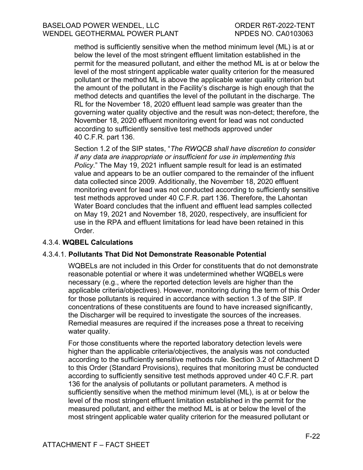#### BASELOAD POWER WENDEL, LLC ORDER R6T-2022-TENT WENDEL GEOTHERMAL POWER PLANT NPDES NO. CA0103063

method is sufficiently sensitive when the method minimum level (ML) is at or below the level of the most stringent effluent limitation established in the permit for the measured pollutant, and either the method ML is at or below the level of the most stringent applicable water quality criterion for the measured pollutant or the method ML is above the applicable water quality criterion but the amount of the pollutant in the Facility's discharge is high enough that the method detects and quantifies the level of the pollutant in the discharge. The RL for the November 18, 2020 effluent lead sample was greater than the governing water quality objective and the result was non-detect; therefore, the November 18, 2020 effluent monitoring event for lead was not conducted according to sufficiently sensitive test methods approved under 40 C.F.R. part 136.

Section 1.2 of the SIP states, "*The RWQCB shall have discretion to consider if any data are inappropriate or insufficient for use in implementing this Policy*." The May 19, 2021 influent sample result for lead is an estimated value and appears to be an outlier compared to the remainder of the influent data collected since 2009. Additionally, the November 18, 2020 effluent monitoring event for lead was not conducted according to sufficiently sensitive test methods approved under 40 C.F.R. part 136. Therefore, the Lahontan Water Board concludes that the influent and effluent lead samples collected on May 19, 2021 and November 18, 2020, respectively, are insufficient for use in the RPA and effluent limitations for lead have been retained in this Order.

#### 4.3.4. **WQBEL Calculations**

#### 4.3.4.1. **Pollutants That Did Not Demonstrate Reasonable Potential**

WQBELs are not included in this Order for constituents that do not demonstrate reasonable potential or where it was undetermined whether WQBELs were necessary (e.g., where the reported detection levels are higher than the applicable criteria/objectives). However, monitoring during the term of this Order for those pollutants is required in accordance with section 1.3 of the SIP. If concentrations of these constituents are found to have increased significantly, the Discharger will be required to investigate the sources of the increases. Remedial measures are required if the increases pose a threat to receiving water quality.

For those constituents where the reported laboratory detection levels were higher than the applicable criteria/objectives, the analysis was not conducted according to the sufficiently sensitive methods rule. Section 3.2 of Attachment D to this Order (Standard Provisions), requires that monitoring must be conducted according to sufficiently sensitive test methods approved under 40 C.F.R. part 136 for the analysis of pollutants or pollutant parameters. A method is sufficiently sensitive when the method minimum level (ML), is at or below the level of the most stringent effluent limitation established in the permit for the measured pollutant, and either the method ML is at or below the level of the most stringent applicable water quality criterion for the measured pollutant or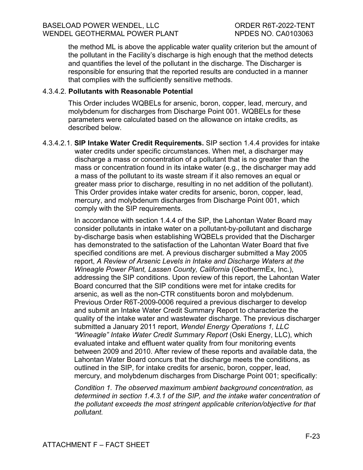the method ML is above the applicable water quality criterion but the amount of the pollutant in the Facility's discharge is high enough that the method detects and quantifies the level of the pollutant in the discharge. The Discharger is responsible for ensuring that the reported results are conducted in a manner that complies with the sufficiently sensitive methods.

#### 4.3.4.2. **Pollutants with Reasonable Potential**

This Order includes WQBELs for arsenic, boron, copper, lead, mercury, and molybdenum for discharges from Discharge Point 001. WQBELs for these parameters were calculated based on the allowance on intake credits, as described below.

4.3.4.2.1. **SIP Intake Water Credit Requirements.** SIP section 1.4.4 provides for intake water credits under specific circumstances. When met, a discharger may discharge a mass or concentration of a pollutant that is no greater than the mass or concentration found in its intake water (e.g., the discharger may add a mass of the pollutant to its waste stream if it also removes an equal or greater mass prior to discharge, resulting in no net addition of the pollutant). This Order provides intake water credits for arsenic, boron, copper, lead, mercury, and molybdenum discharges from Discharge Point 001, which comply with the SIP requirements.

> In accordance with section 1.4.4 of the SIP, the Lahontan Water Board may consider pollutants in intake water on a pollutant-by-pollutant and discharge by-discharge basis when establishing WQBELs provided that the Discharger has demonstrated to the satisfaction of the Lahontan Water Board that five specified conditions are met. A previous discharger submitted a May 2005 report, *A Review of Arsenic Levels in Intake and Discharge Waters at the Wineagle Power Plant, Lassen County, California* (GeothermEx, Inc.), addressing the SIP conditions. Upon review of this report, the Lahontan Water Board concurred that the SIP conditions were met for intake credits for arsenic, as well as the non-CTR constituents boron and molybdenum. Previous Order R6T-2009-0006 required a previous discharger to develop and submit an Intake Water Credit Summary Report to characterize the quality of the intake water and wastewater discharge. The previous discharger submitted a January 2011 report, *Wendel Energy Operations 1, LLC "Wineagle" Intake Water Credit Summary Report* (Oski Energy, LLC), which evaluated intake and effluent water quality from four monitoring events between 2009 and 2010. After review of these reports and available data, the Lahontan Water Board concurs that the discharge meets the conditions, as outlined in the SIP, for intake credits for arsenic, boron, copper, lead, mercury, and molybdenum discharges from Discharge Point 001; specifically:

> *Condition 1. The observed maximum ambient background concentration, as determined in section 1.4.3.1 of the SIP, and the intake water concentration of the pollutant exceeds the most stringent applicable criterion/objective for that pollutant.*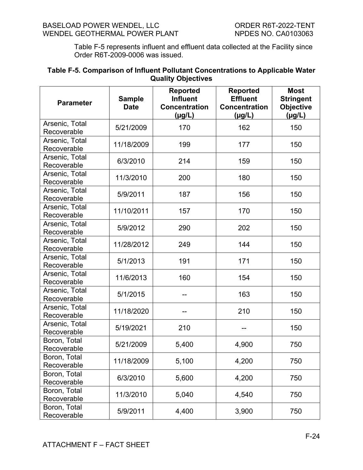Table F-5 represents influent and effluent data collected at the Facility since Order R6T-2009-0006 was issued.

#### <span id="page-69-0"></span>**Table F-5. Comparison of Influent Pollutant Concentrations to Applicable Water Quality Objectives**

| <b>Parameter</b>              | <b>Sample</b><br><b>Date</b> | <b>Reported</b><br><b>Influent</b><br><b>Concentration</b><br>(µg/L) | <b>Reported</b><br><b>Effluent</b><br><b>Concentration</b><br>(µg/L) | <b>Most</b><br><b>Stringent</b><br><b>Objective</b><br>$(\mu g/L)$ |
|-------------------------------|------------------------------|----------------------------------------------------------------------|----------------------------------------------------------------------|--------------------------------------------------------------------|
| Arsenic, Total<br>Recoverable | 5/21/2009                    | 170                                                                  | 162                                                                  | 150                                                                |
| Arsenic, Total<br>Recoverable | 11/18/2009                   | 199                                                                  | 177                                                                  | 150                                                                |
| Arsenic, Total<br>Recoverable | 6/3/2010                     | 214                                                                  | 159                                                                  | 150                                                                |
| Arsenic, Total<br>Recoverable | 11/3/2010                    | 200                                                                  | 180                                                                  | 150                                                                |
| Arsenic, Total<br>Recoverable | 5/9/2011                     | 187                                                                  | 156                                                                  | 150                                                                |
| Arsenic, Total<br>Recoverable | 11/10/2011                   | 157                                                                  | 170                                                                  | 150                                                                |
| Arsenic, Total<br>Recoverable | 5/9/2012                     | 290                                                                  | 202                                                                  | 150                                                                |
| Arsenic, Total<br>Recoverable | 11/28/2012                   | 249                                                                  | 144                                                                  | 150                                                                |
| Arsenic, Total<br>Recoverable | 5/1/2013                     | 191                                                                  | 171                                                                  | 150                                                                |
| Arsenic, Total<br>Recoverable | 11/6/2013                    | 160                                                                  | 154                                                                  | 150                                                                |
| Arsenic, Total<br>Recoverable | 5/1/2015                     |                                                                      | 163                                                                  | 150                                                                |
| Arsenic, Total<br>Recoverable | 11/18/2020                   |                                                                      | 210                                                                  | 150                                                                |
| Arsenic, Total<br>Recoverable | 5/19/2021                    | 210                                                                  |                                                                      | 150                                                                |
| Boron, Total<br>Recoverable   | 5/21/2009                    | 5,400                                                                | 4,900                                                                | 750                                                                |
| Boron, Total<br>Recoverable   | 11/18/2009                   | 5,100                                                                | 4,200                                                                | 750                                                                |
| Boron, Total<br>Recoverable   | 6/3/2010                     | 5,600                                                                | 4,200                                                                | 750                                                                |
| Boron, Total<br>Recoverable   | 11/3/2010                    | 5,040                                                                | 4,540                                                                | 750                                                                |
| Boron, Total<br>Recoverable   | 5/9/2011                     | 4,400                                                                | 3,900                                                                | 750                                                                |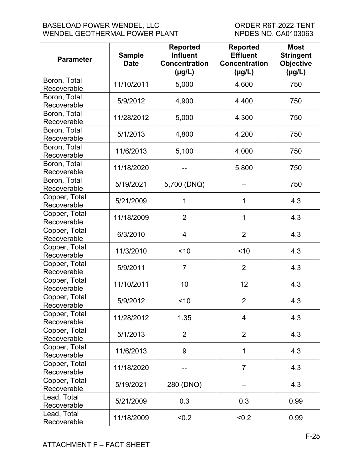#### BASELOAD POWER WENDEL, LLC<br>
WENDEL GEOTHERMAL POWER PLANT
WENDEL GEOTHERMAL
NER PLANT
UNERER SURFALL TOWER PLANT
UNER WENDEL GEOTHERMAL POWER PLANT

| <b>Parameter</b>             | <b>Sample</b><br><b>Date</b> | <b>Reported</b><br><b>Influent</b><br><b>Concentration</b><br>(µg/L) | <b>Reported</b><br><b>Effluent</b><br><b>Concentration</b><br>(µg/L) | <b>Most</b><br><b>Stringent</b><br><b>Objective</b><br>$(\mu g/L)$ |
|------------------------------|------------------------------|----------------------------------------------------------------------|----------------------------------------------------------------------|--------------------------------------------------------------------|
| Boron, Total<br>Recoverable  | 11/10/2011                   | 5,000                                                                | 4,600                                                                | 750                                                                |
| Boron, Total<br>Recoverable  | 5/9/2012                     | 4,900                                                                | 4,400                                                                | 750                                                                |
| Boron, Total<br>Recoverable  | 11/28/2012                   | 5,000                                                                | 4,300                                                                | 750                                                                |
| Boron, Total<br>Recoverable  | 5/1/2013                     | 4,800                                                                | 4,200                                                                | 750                                                                |
| Boron, Total<br>Recoverable  | 11/6/2013                    | 5,100                                                                | 4,000                                                                | 750                                                                |
| Boron, Total<br>Recoverable  | 11/18/2020                   |                                                                      | 5,800                                                                | 750                                                                |
| Boron, Total<br>Recoverable  | 5/19/2021                    | 5,700 (DNQ)                                                          |                                                                      | 750                                                                |
| Copper, Total<br>Recoverable | 5/21/2009                    | 1                                                                    | 1                                                                    | 4.3                                                                |
| Copper, Total<br>Recoverable | 11/18/2009                   | $\overline{2}$                                                       | 1                                                                    | 4.3                                                                |
| Copper, Total<br>Recoverable | 6/3/2010                     | 4                                                                    | $\overline{2}$                                                       | 4.3                                                                |
| Copper, Total<br>Recoverable | 11/3/2010                    | ~10                                                                  | < 10                                                                 | 4.3                                                                |
| Copper, Total<br>Recoverable | 5/9/2011                     | $\overline{7}$                                                       | $\overline{2}$                                                       | 4.3                                                                |
| Copper, Total<br>Recoverable | 11/10/2011                   | 10                                                                   | 12                                                                   | 4.3                                                                |
| Copper, Total<br>Recoverable | 5/9/2012                     | < 10                                                                 | $\overline{2}$                                                       | 4.3                                                                |
| Copper, Total<br>Recoverable | 11/28/2012                   | 1.35                                                                 | 4                                                                    | 4.3                                                                |
| Copper, Total<br>Recoverable | 5/1/2013                     | $\overline{2}$                                                       | $\overline{2}$                                                       | 4.3                                                                |
| Copper, Total<br>Recoverable | 11/6/2013                    | 9                                                                    | 1                                                                    | 4.3                                                                |
| Copper, Total<br>Recoverable | 11/18/2020                   |                                                                      | $\overline{7}$                                                       | 4.3                                                                |
| Copper, Total<br>Recoverable | 5/19/2021                    | 280 (DNQ)                                                            |                                                                      | 4.3                                                                |
| Lead, Total<br>Recoverable   | 5/21/2009                    | 0.3                                                                  | 0.3                                                                  | 0.99                                                               |
| Lead, Total<br>Recoverable   | 11/18/2009                   | < 0.2                                                                | < 0.2                                                                | 0.99                                                               |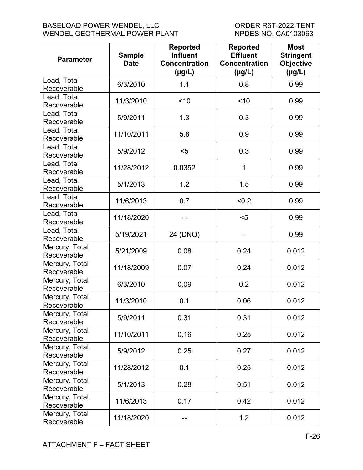#### BASELOAD POWER WENDEL, LLC<br>
WENDEL GEOTHERMAL POWER PLANT
WENDEL GEOTHERMAL
NERRIAL
NERRAL
NERRAL
NERRAL
NERRAL
NERRAL
NERRAL
UNERRAL
UNERRAL
NERRAL
NERRAL
NERRAL
NERRAL
NERRAL
NERRAL
NERRAL
NERRAL
NERRAL
NERRAL
NERRAL
NER BASELOAD FOWER WENDEL, ELC<br>WENDEL GEOTHERMAL POWER PLANT

| <b>Parameter</b>              | <b>Sample</b><br><b>Date</b> | <b>Reported</b><br><b>Influent</b><br><b>Concentration</b><br>(µg/L) | <b>Reported</b><br><b>Effluent</b><br><b>Concentration</b><br>(µg/L) | <b>Most</b><br><b>Stringent</b><br><b>Objective</b><br>$(\mu g/L)$ |
|-------------------------------|------------------------------|----------------------------------------------------------------------|----------------------------------------------------------------------|--------------------------------------------------------------------|
| Lead, Total<br>Recoverable    | 6/3/2010                     | 1.1                                                                  | 0.8                                                                  | 0.99                                                               |
| Lead, Total<br>Recoverable    | 11/3/2010                    | < 10                                                                 | ~10                                                                  | 0.99                                                               |
| Lead, Total<br>Recoverable    | 5/9/2011                     | 1.3                                                                  | 0.3                                                                  | 0.99                                                               |
| Lead, Total<br>Recoverable    | 11/10/2011                   | 5.8                                                                  | 0.9                                                                  | 0.99                                                               |
| Lead, Total<br>Recoverable    | 5/9/2012                     | $5$                                                                  | 0.3                                                                  | 0.99                                                               |
| Lead, Total<br>Recoverable    | 11/28/2012                   | 0.0352                                                               | 1                                                                    | 0.99                                                               |
| Lead, Total<br>Recoverable    | 5/1/2013                     | 1.2                                                                  | 1.5                                                                  | 0.99                                                               |
| Lead, Total<br>Recoverable    | 11/6/2013                    | 0.7                                                                  | < 0.2                                                                | 0.99                                                               |
| Lead, Total<br>Recoverable    | 11/18/2020                   |                                                                      | $5$                                                                  | 0.99                                                               |
| Lead, Total<br>Recoverable    | 5/19/2021                    | 24 (DNQ)                                                             |                                                                      | 0.99                                                               |
| Mercury, Total<br>Recoverable | 5/21/2009                    | 0.08                                                                 | 0.24                                                                 | 0.012                                                              |
| Mercury, Total<br>Recoverable | 11/18/2009                   | 0.07                                                                 | 0.24                                                                 | 0.012                                                              |
| Mercury, Total<br>Recoverable | 6/3/2010                     | 0.09                                                                 | 0.2                                                                  | 0.012                                                              |
| Mercury, Total<br>Recoverable | 11/3/2010                    | 0.1                                                                  | 0.06                                                                 | 0.012                                                              |
| Mercury, Total<br>Recoverable | 5/9/2011                     | 0.31                                                                 | 0.31                                                                 | 0.012                                                              |
| Mercury, Total<br>Recoverable | 11/10/2011                   | 0.16                                                                 | 0.25                                                                 | 0.012                                                              |
| Mercury, Total<br>Recoverable | 5/9/2012                     | 0.25                                                                 | 0.27                                                                 | 0.012                                                              |
| Mercury, Total<br>Recoverable | 11/28/2012                   | 0.1                                                                  | 0.25                                                                 | 0.012                                                              |
| Mercury, Total<br>Recoverable | 5/1/2013                     | 0.28                                                                 | 0.51                                                                 | 0.012                                                              |
| Mercury, Total<br>Recoverable | 11/6/2013                    | 0.17                                                                 | 0.42                                                                 | 0.012                                                              |
| Mercury, Total<br>Recoverable | 11/18/2020                   |                                                                      | 1.2                                                                  | 0.012                                                              |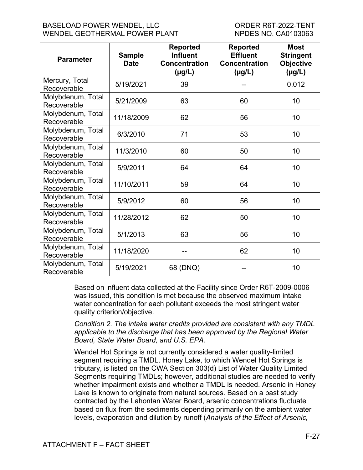| <b>Parameter</b>                 | <b>Sample</b><br><b>Date</b> | <b>Reported</b><br><b>Influent</b><br><b>Concentration</b><br>(µg/L) | <b>Reported</b><br><b>Effluent</b><br><b>Concentration</b><br>$(\mu g/L)$ | <b>Most</b><br><b>Stringent</b><br><b>Objective</b><br>$(\mu g/L)$ |
|----------------------------------|------------------------------|----------------------------------------------------------------------|---------------------------------------------------------------------------|--------------------------------------------------------------------|
| Mercury, Total<br>Recoverable    | 5/19/2021                    | 39                                                                   |                                                                           | 0.012                                                              |
| Molybdenum, Total<br>Recoverable | 5/21/2009                    | 63                                                                   | 60                                                                        | 10                                                                 |
| Molybdenum, Total<br>Recoverable | 11/18/2009                   | 62                                                                   | 56                                                                        | 10                                                                 |
| Molybdenum, Total<br>Recoverable | 6/3/2010                     | 71                                                                   | 53                                                                        | 10                                                                 |
| Molybdenum, Total<br>Recoverable | 11/3/2010                    | 60                                                                   | 50                                                                        | 10                                                                 |
| Molybdenum, Total<br>Recoverable | 5/9/2011                     | 64                                                                   | 64                                                                        | 10                                                                 |
| Molybdenum, Total<br>Recoverable | 11/10/2011                   | 59                                                                   | 64                                                                        | 10                                                                 |
| Molybdenum, Total<br>Recoverable | 5/9/2012                     | 60                                                                   | 56                                                                        | 10                                                                 |
| Molybdenum, Total<br>Recoverable | 11/28/2012                   | 62                                                                   | 50                                                                        | 10                                                                 |
| Molybdenum, Total<br>Recoverable | 5/1/2013                     | 63                                                                   | 56                                                                        | 10                                                                 |
| Molybdenum, Total<br>Recoverable | 11/18/2020                   |                                                                      | 62                                                                        | 10                                                                 |
| Molybdenum, Total<br>Recoverable | 5/19/2021                    | 68 (DNQ)                                                             |                                                                           | 10                                                                 |

Based on influent data collected at the Facility since Order R6T-2009-0006 was issued, this condition is met because the observed maximum intake water concentration for each pollutant exceeds the most stringent water quality criterion/objective.

*Condition 2. The intake water credits provided are consistent with any TMDL applicable to the discharge that has been approved by the Regional Water Board, State Water Board, and U.S. EPA.*

Wendel Hot Springs is not currently considered a water quality-limited segment requiring a TMDL. Honey Lake, to which Wendel Hot Springs is tributary, is listed on the CWA Section 303(d) List of Water Quality Limited Segments requiring TMDLs; however, additional studies are needed to verify whether impairment exists and whether a TMDL is needed. Arsenic in Honey Lake is known to originate from natural sources. Based on a past study contracted by the Lahontan Water Board, arsenic concentrations fluctuate based on flux from the sediments depending primarily on the ambient water levels, evaporation and dilution by runoff (*Analysis of the Effect of Arsenic,*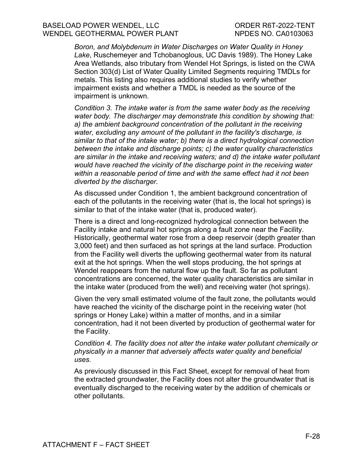*Boron, and Molybdenum in Water Discharges on Water Quality in Honey Lake*, Ruschemeyer and Tchobanoglous, UC Davis 1989). The Honey Lake Area Wetlands, also tributary from Wendel Hot Springs, is listed on the CWA Section 303(d) List of Water Quality Limited Segments requiring TMDLs for metals. This listing also requires additional studies to verify whether impairment exists and whether a TMDL is needed as the source of the impairment is unknown.

*Condition 3. The intake water is from the same water body as the receiving water body. The discharger may demonstrate this condition by showing that: a) the ambient background concentration of the pollutant in the receiving water, excluding any amount of the pollutant in the facility's discharge, is similar to that of the intake water; b) there is a direct hydrological connection between the intake and discharge points; c) the water quality characteristics are similar in the intake and receiving waters; and d) the intake water pollutant would have reached the vicinity of the discharge point in the receiving water within a reasonable period of time and with the same effect had it not been diverted by the discharger.*

As discussed under Condition 1, the ambient background concentration of each of the pollutants in the receiving water (that is, the local hot springs) is similar to that of the intake water (that is, produced water).

There is a direct and long-recognized hydrological connection between the Facility intake and natural hot springs along a fault zone near the Facility. Historically, geothermal water rose from a deep reservoir (depth greater than 3,000 feet) and then surfaced as hot springs at the land surface. Production from the Facility well diverts the upflowing geothermal water from its natural exit at the hot springs. When the well stops producing, the hot springs at Wendel reappears from the natural flow up the fault. So far as pollutant concentrations are concerned, the water quality characteristics are similar in the intake water (produced from the well) and receiving water (hot springs).

Given the very small estimated volume of the fault zone, the pollutants would have reached the vicinity of the discharge point in the receiving water (hot springs or Honey Lake) within a matter of months, and in a similar concentration, had it not been diverted by production of geothermal water for the Facility.

*Condition 4. The facility does not alter the intake water pollutant chemically or physically in a manner that adversely affects water quality and beneficial uses.*

As previously discussed in this Fact Sheet, except for removal of heat from the extracted groundwater, the Facility does not alter the groundwater that is eventually discharged to the receiving water by the addition of chemicals or other pollutants.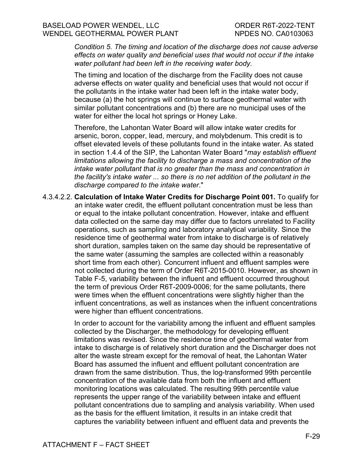*Condition 5. The timing and location of the discharge does not cause adverse effects on water quality and beneficial uses that would not occur if the intake water pollutant had been left in the receiving water body.*

The timing and location of the discharge from the Facility does not cause adverse effects on water quality and beneficial uses that would not occur if the pollutants in the intake water had been left in the intake water body, because (a) the hot springs will continue to surface geothermal water with similar pollutant concentrations and (b) there are no municipal uses of the water for either the local hot springs or Honey Lake.

Therefore, the Lahontan Water Board will allow intake water credits for arsenic, boron, copper, lead, mercury, and molybdenum. This credit is to offset elevated levels of these pollutants found in the intake water. As stated in section 1.4.4 of the SIP, the Lahontan Water Board "*may establish effluent limitations allowing the facility to discharge a mass and concentration of the intake water pollutant that is no greater than the mass and concentration in the facility's intake water ... so there is no net addition of the pollutant in the discharge compared to the intake water*."

4.3.4.2.2. **Calculation of Intake Water Credits for Discharge Point 001.** To qualify for an intake water credit, the effluent pollutant concentration must be less than or equal to the intake pollutant concentration. However, intake and effluent data collected on the same day may differ due to factors unrelated to Facility operations, such as sampling and laboratory analytical variability. Since the residence time of geothermal water from intake to discharge is of relatively short duration, samples taken on the same day should be representative of the same water (assuming the samples are collected within a reasonably short time from each other). Concurrent influent and effluent samples were not collected during the term of Order R6T-2015-0010. However, as shown in Table F-5, variability between the influent and effluent occurred throughout the term of previous Order R6T-2009-0006; for the same pollutants, there were times when the effluent concentrations were slightly higher than the influent concentrations, as well as instances when the influent concentrations were higher than effluent concentrations.

> In order to account for the variability among the influent and effluent samples collected by the Discharger, the methodology for developing effluent limitations was revised. Since the residence time of geothermal water from intake to discharge is of relatively short duration and the Discharger does not alter the waste stream except for the removal of heat, the Lahontan Water Board has assumed the influent and effluent pollutant concentration are drawn from the same distribution. Thus, the log-transformed 99th percentile concentration of the available data from both the influent and effluent monitoring locations was calculated. The resulting 99th percentile value represents the upper range of the variability between intake and effluent pollutant concentrations due to sampling and analysis variability. When used as the basis for the effluent limitation, it results in an intake credit that captures the variability between influent and effluent data and prevents the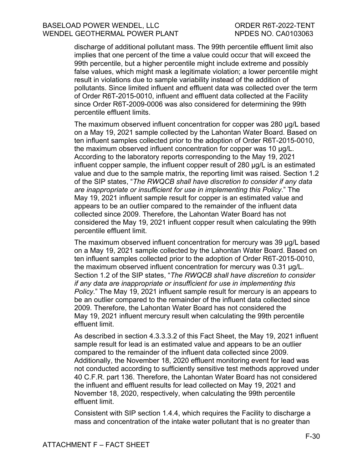discharge of additional pollutant mass. The 99th percentile effluent limit also implies that one percent of the time a value could occur that will exceed the 99th percentile, but a higher percentile might include extreme and possibly false values, which might mask a legitimate violation; a lower percentile might result in violations due to sample variability instead of the addition of pollutants. Since limited influent and effluent data was collected over the term of Order R6T-2015-0010, influent and effluent data collected at the Facility since Order R6T-2009-0006 was also considered for determining the 99th percentile effluent limits.

The maximum observed influent concentration for copper was 280 μg/L based on a May 19, 2021 sample collected by the Lahontan Water Board. Based on ten influent samples collected prior to the adoption of Order R6T-2015-0010, the maximum observed influent concentration for copper was 10 μg/L. According to the laboratory reports corresponding to the May 19, 2021 influent copper sample, the influent copper result of 280 μg/L is an estimated value and due to the sample matrix, the reporting limit was raised. Section 1.2 of the SIP states, "*The RWQCB shall have discretion to consider if any data are inappropriate or insufficient for use in implementing this Policy*." The May 19, 2021 influent sample result for copper is an estimated value and appears to be an outlier compared to the remainder of the influent data collected since 2009. Therefore, the Lahontan Water Board has not considered the May 19, 2021 influent copper result when calculating the 99th percentile effluent limit.

The maximum observed influent concentration for mercury was 39 μg/L based on a May 19, 2021 sample collected by the Lahontan Water Board. Based on ten influent samples collected prior to the adoption of Order R6T-2015-0010, the maximum observed influent concentration for mercury was 0.31 μg/L. Section 1.2 of the SIP states, "*The RWQCB shall have discretion to consider if any data are inappropriate or insufficient for use in implementing this Policy*." The May 19, 2021 influent sample result for mercury is an appears to be an outlier compared to the remainder of the influent data collected since 2009. Therefore, the Lahontan Water Board has not considered the May 19, 2021 influent mercury result when calculating the 99th percentile effluent limit.

As described in section 4.3.3.3.2 of this Fact Sheet, the May 19, 2021 influent sample result for lead is an estimated value and appears to be an outlier compared to the remainder of the influent data collected since 2009. Additionally, the November 18, 2020 effluent monitoring event for lead was not conducted according to sufficiently sensitive test methods approved under 40 C.F.R. part 136. Therefore, the Lahontan Water Board has not considered the influent and effluent results for lead collected on May 19, 2021 and November 18, 2020, respectively, when calculating the 99th percentile effluent limit.

Consistent with SIP section 1.4.4, which requires the Facility to discharge a mass and concentration of the intake water pollutant that is no greater than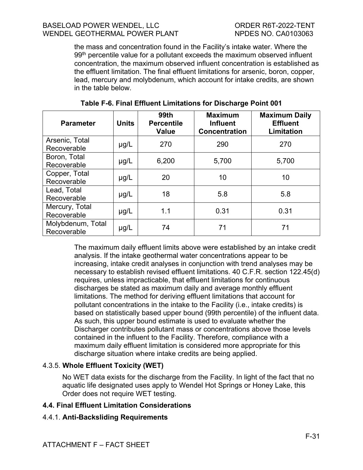the mass and concentration found in the Facility's intake water. Where the 99<sup>th</sup> percentile value for a pollutant exceeds the maximum observed influent concentration, the maximum observed influent concentration is established as the effluent limitation. The final effluent limitations for arsenic, boron, copper, lead, mercury and molybdenum, which account for intake credits, are shown in the table below.

| <b>Parameter</b>                 | <b>Units</b> | <b>99th</b><br><b>Percentile</b><br>Value | <b>Maximum</b><br><b>Influent</b><br><b>Concentration</b> | <b>Maximum Daily</b><br><b>Effluent</b><br>Limitation |
|----------------------------------|--------------|-------------------------------------------|-----------------------------------------------------------|-------------------------------------------------------|
| Arsenic, Total<br>Recoverable    | $\mu$ g/L    | 270                                       | 290                                                       | 270                                                   |
| Boron, Total<br>Recoverable      | $\mu$ g/L    | 6,200                                     | 5,700                                                     | 5,700                                                 |
| Copper, Total<br>Recoverable     | $\mu$ g/L    | 20                                        | 10                                                        | 10                                                    |
| Lead, Total<br>Recoverable       | $\mu$ g/L    | 18                                        | 5.8                                                       | 5.8                                                   |
| Mercury, Total<br>Recoverable    | $\mu$ g/L    | 1.1                                       | 0.31                                                      | 0.31                                                  |
| Molybdenum, Total<br>Recoverable | $\mu$ g/L    | 74                                        | 71                                                        | 71                                                    |

**Table F-6. Final Effluent Limitations for Discharge Point 001**

The maximum daily effluent limits above were established by an intake credit analysis. If the intake geothermal water concentrations appear to be increasing, intake credit analyses in conjunction with trend analyses may be necessary to establish revised effluent limitations. 40 C.F.R. section 122.45(d) requires, unless impracticable, that effluent limitations for continuous discharges be stated as maximum daily and average monthly effluent limitations. The method for deriving effluent limitations that account for pollutant concentrations in the intake to the Facility (i.e., intake credits) is based on statistically based upper bound (99th percentile) of the influent data. As such, this upper bound estimate is used to evaluate whether the Discharger contributes pollutant mass or concentrations above those levels contained in the influent to the Facility. Therefore, compliance with a maximum daily effluent limitation is considered more appropriate for this discharge situation where intake credits are being applied.

# 4.3.5. **Whole Effluent Toxicity (WET)**

No WET data exists for the discharge from the Facility. In light of the fact that no aquatic life designated uses apply to Wendel Hot Springs or Honey Lake, this Order does not require WET testing.

# **4.4. Final Effluent Limitation Considerations**

# 4.4.1. **Anti-Backsliding Requirements**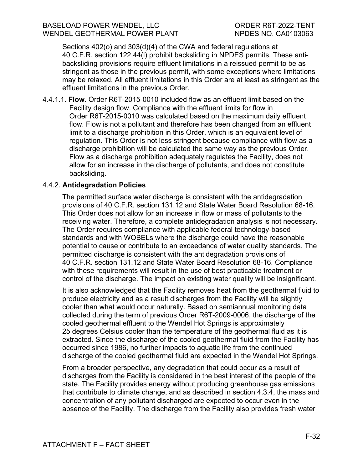Sections 402(o) and 303(d)(4) of the CWA and federal regulations at 40 C.F.R. section 122.44(l) prohibit backsliding in NPDES permits. These antibacksliding provisions require effluent limitations in a reissued permit to be as stringent as those in the previous permit, with some exceptions where limitations may be relaxed. All effluent limitations in this Order are at least as stringent as the effluent limitations in the previous Order.

4.4.1.1. **Flow.** Order R6T-2015-0010 included flow as an effluent limit based on the Facility design flow. Compliance with the effluent limits for flow in Order R6T-2015-0010 was calculated based on the maximum daily effluent flow. Flow is not a pollutant and therefore has been changed from an effluent limit to a discharge prohibition in this Order, which is an equivalent level of regulation. This Order is not less stringent because compliance with flow as a discharge prohibition will be calculated the same way as the previous Order. Flow as a discharge prohibition adequately regulates the Facility, does not allow for an increase in the discharge of pollutants, and does not constitute backsliding.

### 4.4.2. **Antidegradation Policies**

The permitted surface water discharge is consistent with the antidegradation provisions of 40 C.F.R. section 131.12 and State Water Board Resolution 68-16. This Order does not allow for an increase in flow or mass of pollutants to the receiving water. Therefore, a complete antidegradation analysis is not necessary. The Order requires compliance with applicable federal technology-based standards and with WQBELs where the discharge could have the reasonable potential to cause or contribute to an exceedance of water quality standards. The permitted discharge is consistent with the antidegradation provisions of 40 C.F.R. section 131.12 and State Water Board Resolution 68-16. Compliance with these requirements will result in the use of best practicable treatment or control of the discharge. The impact on existing water quality will be insignificant.

It is also acknowledged that the Facility removes heat from the geothermal fluid to produce electricity and as a result discharges from the Facility will be slightly cooler than what would occur naturally. Based on semiannual monitoring data collected during the term of previous Order R6T-2009-0006, the discharge of the cooled geothermal effluent to the Wendel Hot Springs is approximately 25 degrees Celsius cooler than the temperature of the geothermal fluid as it is extracted. Since the discharge of the cooled geothermal fluid from the Facility has occurred since 1986, no further impacts to aquatic life from the continued discharge of the cooled geothermal fluid are expected in the Wendel Hot Springs.

From a broader perspective, any degradation that could occur as a result of discharges from the Facility is considered in the best interest of the people of the state. The Facility provides energy without producing greenhouse gas emissions that contribute to climate change, and as described in section 4.3.4, the mass and concentration of any pollutant discharged are expected to occur even in the absence of the Facility. The discharge from the Facility also provides fresh water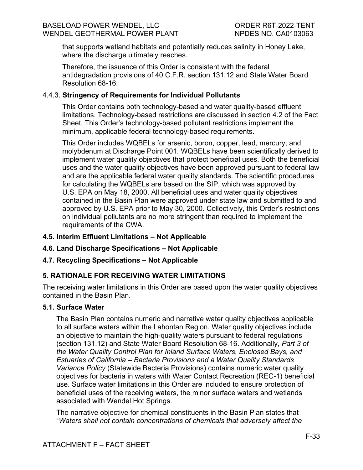that supports wetland habitats and potentially reduces salinity in Honey Lake, where the discharge ultimately reaches.

Therefore, the issuance of this Order is consistent with the federal antidegradation provisions of 40 C.F.R. section 131.12 and State Water Board Resolution 68-16.

### 4.4.3. **Stringency of Requirements for Individual Pollutants**

This Order contains both technology-based and water quality-based effluent limitations. Technology-based restrictions are discussed in section 4.2 of the Fact Sheet. This Order's technology-based pollutant restrictions implement the minimum, applicable federal technology-based requirements.

This Order includes WQBELs for arsenic, boron, copper, lead, mercury, and molybdenum at Discharge Point 001. WQBELs have been scientifically derived to implement water quality objectives that protect beneficial uses. Both the beneficial uses and the water quality objectives have been approved pursuant to federal law and are the applicable federal water quality standards. The scientific procedures for calculating the WQBELs are based on the SIP, which was approved by U.S. EPA on May 18, 2000. All beneficial uses and water quality objectives contained in the Basin Plan were approved under state law and submitted to and approved by U.S. EPA prior to May 30, 2000. Collectively, this Order's restrictions on individual pollutants are no more stringent than required to implement the requirements of the CWA.

### **4.5. Interim Effluent Limitations – Not Applicable**

# **4.6. Land Discharge Specifications – Not Applicable**

### **4.7. Recycling Specifications – Not Applicable**

# **5. RATIONALE FOR RECEIVING WATER LIMITATIONS**

The receiving water limitations in this Order are based upon the water quality objectives contained in the Basin Plan.

### **5.1. Surface Water**

The Basin Plan contains numeric and narrative water quality objectives applicable to all surface waters within the Lahontan Region. Water quality objectives include an objective to maintain the high-quality waters pursuant to federal regulations (section 131.12) and State Water Board Resolution 68-16. Additionally, *Part 3 of the Water Quality Control Plan for Inland Surface Waters, Enclosed Bays, and Estuaries of California – Bacteria Provisions and a Water Quality Standards Variance Policy* (Statewide Bacteria Provisions) contains numeric water quality objectives for bacteria in waters with Water Contact Recreation (REC-1) beneficial use. Surface water limitations in this Order are included to ensure protection of beneficial uses of the receiving waters, the minor surface waters and wetlands associated with Wendel Hot Springs.

The narrative objective for chemical constituents in the Basin Plan states that "*Waters shall not contain concentrations of chemicals that adversely affect the*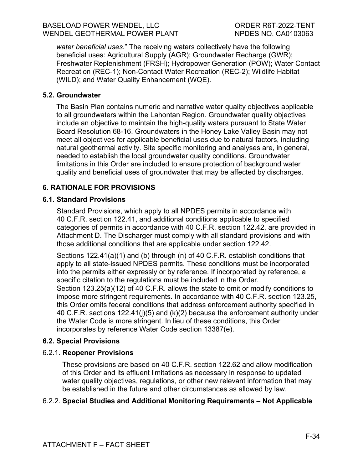*water beneficial uses*." The receiving waters collectively have the following beneficial uses: Agricultural Supply (AGR); Groundwater Recharge (GWR); Freshwater Replenishment (FRSH); Hydropower Generation (POW); Water Contact Recreation (REC-1); Non-Contact Water Recreation (REC-2); Wildlife Habitat (WILD); and Water Quality Enhancement (WQE).

## **5.2. Groundwater**

The Basin Plan contains numeric and narrative water quality objectives applicable to all groundwaters within the Lahontan Region. Groundwater quality objectives include an objective to maintain the high-quality waters pursuant to State Water Board Resolution 68-16. Groundwaters in the Honey Lake Valley Basin may not meet all objectives for applicable beneficial uses due to natural factors, including natural geothermal activity. Site specific monitoring and analyses are, in general, needed to establish the local groundwater quality conditions. Groundwater limitations in this Order are included to ensure protection of background water quality and beneficial uses of groundwater that may be affected by discharges.

# **6. RATIONALE FOR PROVISIONS**

### **6.1. Standard Provisions**

Standard Provisions, which apply to all NPDES permits in accordance with 40 C.F.R. section 122.41, and additional conditions applicable to specified categories of permits in accordance with 40 C.F.R. section 122.42, are provided in Attachment D. The Discharger must comply with all standard provisions and with those additional conditions that are applicable under section 122.42.

Sections 122.41(a)(1) and (b) through (n) of 40 C.F.R. establish conditions that apply to all state-issued NPDES permits. These conditions must be incorporated into the permits either expressly or by reference. If incorporated by reference, a specific citation to the regulations must be included in the Order. Section 123.25(a)(12) of 40 C.F.R. allows the state to omit or modify conditions to impose more stringent requirements. In accordance with 40 C.F.R. section 123.25, this Order omits federal conditions that address enforcement authority specified in 40 C.F.R. sections 122.41(j)(5) and (k)(2) because the enforcement authority under the Water Code is more stringent. In lieu of these conditions, this Order incorporates by reference Water Code section 13387(e).

### **6.2. Special Provisions**

### 6.2.1. **Reopener Provisions**

These provisions are based on 40 C.F.R. section 122.62 and allow modification of this Order and its effluent limitations as necessary in response to updated water quality objectives, regulations, or other new relevant information that may be established in the future and other circumstances as allowed by law.

# 6.2.2. **Special Studies and Additional Monitoring Requirements – Not Applicable**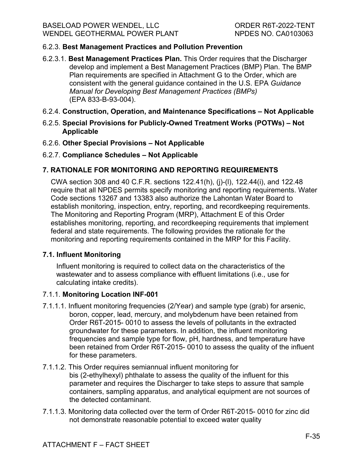# 6.2.3. **Best Management Practices and Pollution Prevention**

- 6.2.3.1. **Best Management Practices Plan.** This Order requires that the Discharger develop and implement a Best Management Practices (BMP) Plan. The BMP Plan requirements are specified in Attachment G to the Order, which are consistent with the general guidance contained in the U.S. EPA *Guidance Manual for Developing Best Management Practices (BMPs)*  (EPA 833-B-93-004).
- 6.2.4. **Construction, Operation, and Maintenance Specifications – Not Applicable**
- 6.2.5. **Special Provisions for Publicly-Owned Treatment Works (POTWs) – Not Applicable**
- 6.2.6. **Other Special Provisions – Not Applicable**
- 6.2.7. **Compliance Schedules – Not Applicable**

# **7. RATIONALE FOR MONITORING AND REPORTING REQUIREMENTS**

CWA section 308 and 40 C.F.R. sections 122.41(h), (j)-(l), 122.44(i), and 122.48 require that all NPDES permits specify monitoring and reporting requirements. Water Code sections 13267 and 13383 also authorize the Lahontan Water Board to establish monitoring, inspection, entry, reporting, and recordkeeping requirements. The Monitoring and Reporting Program (MRP), Attachment E of this Order establishes monitoring, reporting, and recordkeeping requirements that implement federal and state requirements. The following provides the rationale for the monitoring and reporting requirements contained in the MRP for this Facility.

# **7.1. Influent Monitoring**

Influent monitoring is required to collect data on the characteristics of the wastewater and to assess compliance with effluent limitations (i.e., use for calculating intake credits).

### 7.1.1. **Monitoring Location INF-001**

- 7.1.1.1. Influent monitoring frequencies (2/Year) and sample type (grab) for arsenic, boron, copper, lead, mercury, and molybdenum have been retained from Order R6T-2015- 0010 to assess the levels of pollutants in the extracted groundwater for these parameters. In addition, the influent monitoring frequencies and sample type for flow, pH, hardness, and temperature have been retained from Order R6T-2015- 0010 to assess the quality of the influent for these parameters.
- 7.1.1.2. This Order requires semiannual influent monitoring for bis (2-ethylhexyl) phthalate to assess the quality of the influent for this parameter and requires the Discharger to take steps to assure that sample containers, sampling apparatus, and analytical equipment are not sources of the detected contaminant.
- 7.1.1.3. Monitoring data collected over the term of Order R6T-2015- 0010 for zinc did not demonstrate reasonable potential to exceed water quality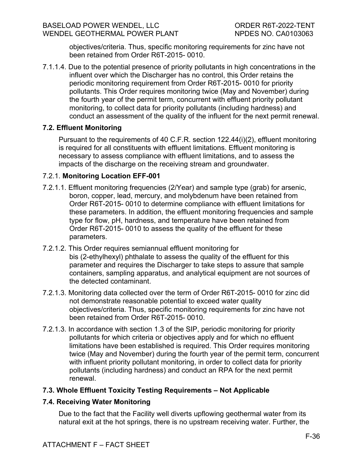objectives/criteria. Thus, specific monitoring requirements for zinc have not been retained from Order R6T-2015- 0010.

7.1.1.4. Due to the potential presence of priority pollutants in high concentrations in the influent over which the Discharger has no control, this Order retains the periodic monitoring requirement from Order R6T-2015- 0010 for priority pollutants. This Order requires monitoring twice (May and November) during the fourth year of the permit term, concurrent with effluent priority pollutant monitoring, to collect data for priority pollutants (including hardness) and conduct an assessment of the quality of the influent for the next permit renewal.

### **7.2. Effluent Monitoring**

Pursuant to the requirements of 40 C.F.R. section 122.44(i)(2), effluent monitoring is required for all constituents with effluent limitations. Effluent monitoring is necessary to assess compliance with effluent limitations, and to assess the impacts of the discharge on the receiving stream and groundwater.

### 7.2.1. **Monitoring Location EFF-001**

- 7.2.1.1. Effluent monitoring frequencies (2/Year) and sample type (grab) for arsenic, boron, copper, lead, mercury, and molybdenum have been retained from Order R6T-2015- 0010 to determine compliance with effluent limitations for these parameters. In addition, the effluent monitoring frequencies and sample type for flow, pH, hardness, and temperature have been retained from Order R6T-2015- 0010 to assess the quality of the effluent for these parameters.
- 7.2.1.2. This Order requires semiannual effluent monitoring for bis (2-ethylhexyl) phthalate to assess the quality of the effluent for this parameter and requires the Discharger to take steps to assure that sample containers, sampling apparatus, and analytical equipment are not sources of the detected contaminant.
- 7.2.1.3. Monitoring data collected over the term of Order R6T-2015- 0010 for zinc did not demonstrate reasonable potential to exceed water quality objectives/criteria. Thus, specific monitoring requirements for zinc have not been retained from Order R6T-2015- 0010.
- 7.2.1.3. In accordance with section 1.3 of the SIP, periodic monitoring for priority pollutants for which criteria or objectives apply and for which no effluent limitations have been established is required. This Order requires monitoring twice (May and November) during the fourth year of the permit term, concurrent with influent priority pollutant monitoring, in order to collect data for priority pollutants (including hardness) and conduct an RPA for the next permit renewal.

### **7.3. Whole Effluent Toxicity Testing Requirements – Not Applicable**

### **7.4. Receiving Water Monitoring**

Due to the fact that the Facility well diverts upflowing geothermal water from its natural exit at the hot springs, there is no upstream receiving water. Further, the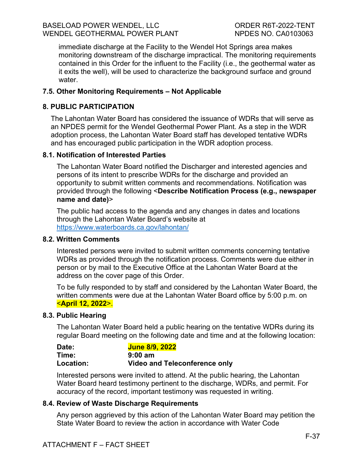immediate discharge at the Facility to the Wendel Hot Springs area makes monitoring downstream of the discharge impractical. The monitoring requirements contained in this Order for the influent to the Facility (i.e., the geothermal water as it exits the well), will be used to characterize the background surface and ground water.

## **7.5. Other Monitoring Requirements – Not Applicable**

### **8. PUBLIC PARTICIPATION**

The Lahontan Water Board has considered the issuance of WDRs that will serve as an NPDES permit for the Wendel Geothermal Power Plant. As a step in the WDR adoption process, the Lahontan Water Board staff has developed tentative WDRs and has encouraged public participation in the WDR adoption process.

### **8.1. Notification of Interested Parties**

The Lahontan Water Board notified the Discharger and interested agencies and persons of its intent to prescribe WDRs for the discharge and provided an opportunity to submit written comments and recommendations. Notification was provided through the following <**Describe Notification Process (e.g., newspaper name and date)**>

The public had access to the agenda and any changes in dates and locations through the Lahontan Water Board's website at <https://www.waterboards.ca.gov/lahontan/>

### **8.2. Written Comments**

Interested persons were invited to submit written comments concerning tentative WDRs as provided through the notification process. Comments were due either in person or by mail to the Executive Office at the Lahontan Water Board at the address on the cover page of this Order.

To be fully responded to by staff and considered by the Lahontan Water Board, the written comments were due at the Lahontan Water Board office by 5:00 p.m. on <**April 12, 2022**>.

### **8.3. Public Hearing**

The Lahontan Water Board held a public hearing on the tentative WDRs during its regular Board meeting on the following date and time and at the following location:

| Date:     | <b>June 8/9, 2022</b>                |
|-----------|--------------------------------------|
| Time:     | $9:00 \text{ am}$                    |
| Location: | <b>Video and Teleconference only</b> |

Interested persons were invited to attend. At the public hearing, the Lahontan Water Board heard testimony pertinent to the discharge, WDRs, and permit. For accuracy of the record, important testimony was requested in writing.

### **8.4. Review of Waste Discharge Requirements**

Any person aggrieved by this action of the Lahontan Water Board may petition the State Water Board to review the action in accordance with Water Code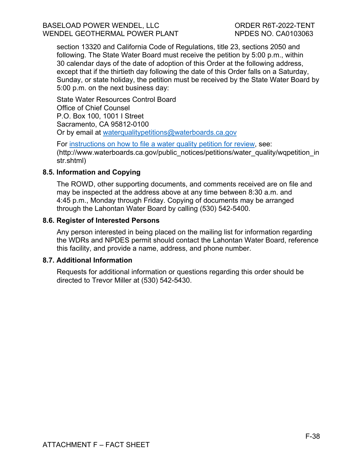section 13320 and California Code of Regulations, title 23, sections 2050 and following. The State Water Board must receive the petition by 5:00 p.m., within 30 calendar days of the date of adoption of this Order at the following address, except that if the thirtieth day following the date of this Order falls on a Saturday, Sunday, or state holiday, the petition must be received by the State Water Board by 5:00 p.m. on the next business day:

State Water Resources Control Board Office of Chief Counsel P.O. Box 100, 1001 I Street Sacramento, CA 95812-0100 Or by email at [waterqualitypetitions@waterboards.ca.gov](mailto:waterqualitypetitions@waterboards.ca.gov)

For [instructions on how to file a water quality petition for review,](https://www.waterboards.ca.gov/public_notices/petitions/water_quality/wqpetition_instr.shtml) see: (http://www.waterboards.ca.gov/public\_notices/petitions/water\_quality/wqpetition\_in str.shtml)

### **8.5. Information and Copying**

The ROWD, other supporting documents, and comments received are on file and may be inspected at the address above at any time between 8:30 a.m. and 4:45 p.m., Monday through Friday. Copying of documents may be arranged through the Lahontan Water Board by calling (530) 542-5400.

#### **8.6. Register of Interested Persons**

Any person interested in being placed on the mailing list for information regarding the WDRs and NPDES permit should contact the Lahontan Water Board, reference this facility, and provide a name, address, and phone number.

#### **8.7. Additional Information**

Requests for additional information or questions regarding this order should be directed to Trevor Miller at (530) 542-5430.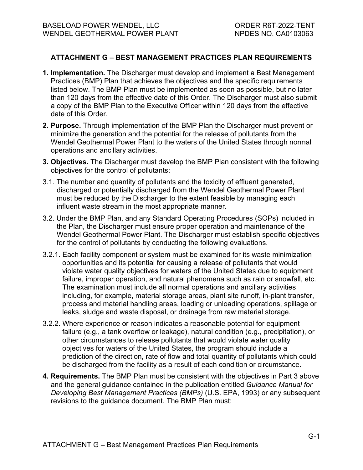## **ATTACHMENT G – BEST MANAGEMENT PRACTICES PLAN REQUIREMENTS**

- **1. Implementation.** The Discharger must develop and implement a Best Management Practices (BMP) Plan that achieves the objectives and the specific requirements listed below. The BMP Plan must be implemented as soon as possible, but no later than 120 days from the effective date of this Order. The Discharger must also submit a copy of the BMP Plan to the Executive Officer within 120 days from the effective date of this Order.
- **2. Purpose.** Through implementation of the BMP Plan the Discharger must prevent or minimize the generation and the potential for the release of pollutants from the Wendel Geothermal Power Plant to the waters of the United States through normal operations and ancillary activities.
- **3. Objectives.** The Discharger must develop the BMP Plan consistent with the following objectives for the control of pollutants:
- 3.1. The number and quantity of pollutants and the toxicity of effluent generated, discharged or potentially discharged from the Wendel Geothermal Power Plant must be reduced by the Discharger to the extent feasible by managing each influent waste stream in the most appropriate manner.
- 3.2. Under the BMP Plan, and any Standard Operating Procedures (SOPs) included in the Plan, the Discharger must ensure proper operation and maintenance of the Wendel Geothermal Power Plant. The Discharger must establish specific objectives for the control of pollutants by conducting the following evaluations.
- 3.2.1. Each facility component or system must be examined for its waste minimization opportunities and its potential for causing a release of pollutants that would violate water quality objectives for waters of the United States due to equipment failure, improper operation, and natural phenomena such as rain or snowfall, etc. The examination must include all normal operations and ancillary activities including, for example, material storage areas, plant site runoff, in-plant transfer, process and material handling areas, loading or unloading operations, spillage or leaks, sludge and waste disposal, or drainage from raw material storage.
- 3.2.2. Where experience or reason indicates a reasonable potential for equipment failure (e.g., a tank overflow or leakage), natural condition (e.g., precipitation), or other circumstances to release pollutants that would violate water quality objectives for waters of the United States, the program should include a prediction of the direction, rate of flow and total quantity of pollutants which could be discharged from the facility as a result of each condition or circumstance.
- **4. Requirements.** The BMP Plan must be consistent with the objectives in Part 3 above and the general guidance contained in the publication entitled *Guidance Manual for Developing Best Management Practices (BMPs)* (U.S. EPA, 1993) or any subsequent revisions to the guidance document. The BMP Plan must: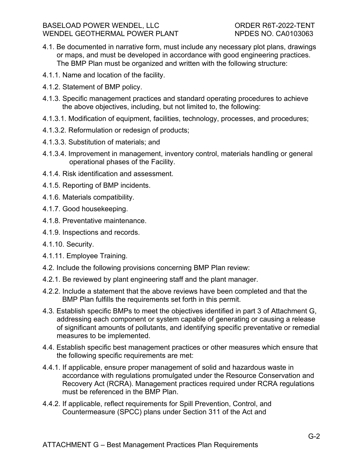- 4.1. Be documented in narrative form, must include any necessary plot plans, drawings or maps, and must be developed in accordance with good engineering practices. The BMP Plan must be organized and written with the following structure:
- 4.1.1. Name and location of the facility.
- 4.1.2. Statement of BMP policy.
- 4.1.3. Specific management practices and standard operating procedures to achieve the above objectives, including, but not limited to, the following:
- 4.1.3.1. Modification of equipment, facilities, technology, processes, and procedures;
- 4.1.3.2. Reformulation or redesign of products;
- 4.1.3.3. Substitution of materials; and
- 4.1.3.4. Improvement in management, inventory control, materials handling or general operational phases of the Facility.
- 4.1.4. Risk identification and assessment.
- 4.1.5. Reporting of BMP incidents.
- 4.1.6. Materials compatibility.
- 4.1.7. Good housekeeping.
- 4.1.8. Preventative maintenance.
- 4.1.9. Inspections and records.
- 4.1.10. Security.
- 4.1.11. Employee Training.
- 4.2. Include the following provisions concerning BMP Plan review:
- 4.2.1. Be reviewed by plant engineering staff and the plant manager.
- 4.2.2. Include a statement that the above reviews have been completed and that the BMP Plan fulfills the requirements set forth in this permit.
- 4.3. Establish specific BMPs to meet the objectives identified in part 3 of Attachment G, addressing each component or system capable of generating or causing a release of significant amounts of pollutants, and identifying specific preventative or remedial measures to be implemented.
- 4.4. Establish specific best management practices or other measures which ensure that the following specific requirements are met:
- 4.4.1. If applicable, ensure proper management of solid and hazardous waste in accordance with regulations promulgated under the Resource Conservation and Recovery Act (RCRA). Management practices required under RCRA regulations must be referenced in the BMP Plan.
- 4.4.2. If applicable, reflect requirements for Spill Prevention, Control, and Countermeasure (SPCC) plans under Section 311 of the Act and